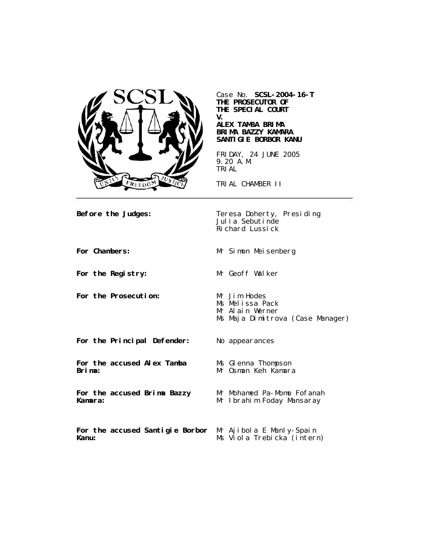

Case No. **SCSL-2004-16-T THE PROSECUTOR OF THE SPECIAL COURT V.**

**ALEX TAMBA BRIMA BRIMA BAZZY KAMARA SANTIGIE BORBOR KANU**

FRIDAY, 24 JUNE 2005 9.20 A.M. TRIAL

TRIAL CHAMBER II

**Before the Judges:** Teresa Doherty, Presiding Julia Sebutinde Richard Lussick

For Chambers: Mr Simon Meisenberg

For the Registry: Mr Geoff Walker

For the Prosecution: Mr Jim Hodes

Ms Melissa Pack Mr Alain Werner Ms Maja Dimitrova (Case Manager)

**For the Principal Defender:** No appearances

**For the accused Alex Tamba Brima:**

**For the accused Brima Bazzy Kamara:**

Mr Mohamed Pa-Momo Fofanah Mr Ibrahim Foday Mansaray

Ms Glenna Thompson Mr Osman Keh Kamara

**For the accused Santigie Borbor**  Mr Ajibola E Manly-Spain **Kanu:** Ms Viola Trebicka (intern)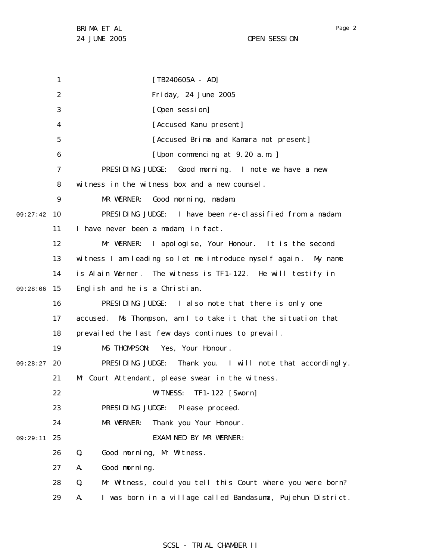1 2 3 4 5 6 7 8 9 09:27:42 10 11 12 13 14 09:28:06 15 16 17 18 19 09:28:27 20 21 22 23 24 25 09:29:11 26 27 28 29 [TB240605A - AD] Friday, 24 June 2005 [Open session] [Accused Kanu present] [Accused Brima and Kamara not present] [Upon commencing at 9.20 a.m. ] PRESIDING JUDGE: Good morning. I note we have a new witness in the witness box and a new counsel. MR WERNER: Good morning, madam. PRESIDING JUDGE: I have been re-classified from a madam. I have never been a madam, in fact. Mr WERNER: I apologise, Your Honour. It is the second witness I am leading so let me introduce myself again . My name is Alain Werner. The witness is TF1-122. He will testify in English and he is a Christian. PRESIDING JUDGE: I also note that there is only one accused. Ms Thompson, am I to take it that the situation that prevailed the last few days continues to prevail. MS THOMPSON: Yes, Your Honour . PRESIDING JUDGE: Thank you. I will note that accordingly. Mr Court Attendant, please swear in the witness. WITNESS: TF1-122 [Sworn] PRESIDING JUDGE: Please proceed. MR WERNER: Thank you Your Honour. EXAMINED BY MR WERNER : Q. Good morning, Mr Witness. A. Good morning. Q. Mr Witness, could you tell this Court where you were born? A. I was born in a village called Bandasuma, Pujehun District.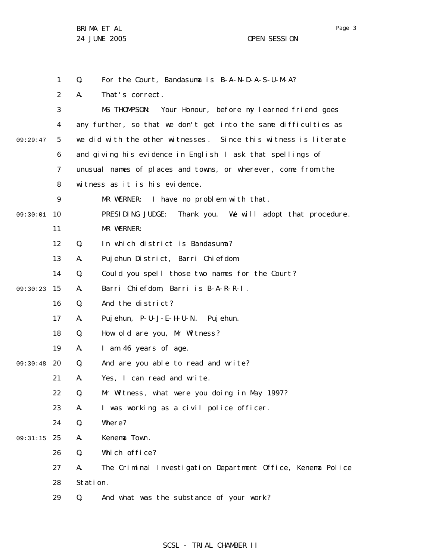Page 3

1 2 3 4 5 6 7 8 9 09:30:01 10 11 12 13 14 15 09:30:23 16 17 18 19 09:30:48 20 21 22 23 24 25 09:31:15 26 27 28 29 09:29:47 Q. For the Court, Bandasuma is B-A-N-D-A-S-U-M-A? A. That's correct. MS THOMPSON: Your Honour, before my learned friend goes any further, so that we don't get into the same difficulties as we did with the other witnesses . Since this witness is literate and giving his evidence in English I ask that spellings of unusual names of places and towns, or wherever, come from the witness as it is his evidence. MR WERNER: I have no problem with that. PRESIDING JUDGE: Thank you. We will adopt that procedure. MR WERNER: Q. In which district is Bandasuma? A. Pujehun District, Barri Chiefdom. Q. Could you spell those two names for the Court? A. Barri Chiefdom, Barri is B-A-R-R-I . Q. And the district? A. Pujehun, P-U-J-E-H-U-N. Pujehun. Q. How old are you, Mr Witness? A. I am 46 years of age. Q. And are you able to read and write? A. Yes, I can read and write. Q. Mr Witness, what were you doing in May 1997? A. I was working as a civil police officer. Q. Where? A. Kenema Town. Q. Which office? A. The Criminal Investigation Department Office, Kenema Police Station. Q. And what was the substance of your work?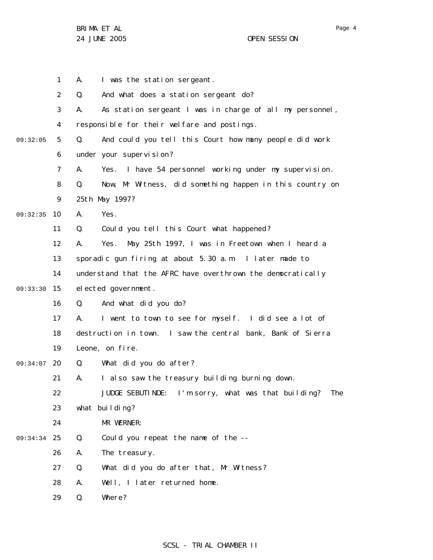|          | $\mathbf{1}$   | А. | I was the station sergeant.                                 |
|----------|----------------|----|-------------------------------------------------------------|
|          | $\overline{2}$ | Q. | And what does a station sergeant do?                        |
|          | 3              | А. | As station sergeant I was in charge of all my personnel,    |
|          | 4              |    | responsible for their welfare and postings.                 |
| 09:32:05 | 5              | Q. | And could you tell this Court how many people did work      |
|          | 6              |    | under your supervision?                                     |
|          | 7              | А. | I have 54 personnel working under my supervision.<br>Yes.   |
|          | 8              | Q. | Now, Mr Witness, did something happen in this country on    |
|          | 9              |    | 25th May 1997?                                              |
| 09:32:35 | 10             | Α. | Yes.                                                        |
|          | 11             | Q. | Could you tell this Court what happened?                    |
|          | 12             | Α. | May 25th 1997, I was in Freetown when I heard a<br>Yes.     |
|          | 13             |    | sporadic gun firing at about 5.30 a.m. I later made to      |
|          | 14             |    | understand that the AFRC have overthrown the democratically |
| 09:33:30 | 15             |    | elected government.                                         |
|          | 16             | Q. | And what did you do?                                        |
|          | 17             | А. | I went to town to see for myself. I did see a lot of        |
|          | 18             |    | destruction in town. I saw the central bank, Bank of Sierra |
|          | 19             |    | Leone, on fire.                                             |
| 09:34:07 | 20             | Q. | What did you do after?                                      |
|          | 21             | А. | I also saw the treasury building burning down.              |
|          | 22             |    | JUDGE SEBUTINDE: I'm sorry, what was that building?<br>The  |
|          | 23             |    | what building?                                              |
|          | 24             |    | MR WERNER:                                                  |
| 09:34:34 | 25             | Q. | Could you repeat the name of the --                         |
|          | 26             | Α. | The treasury.                                               |
|          | 27             | Q. | What did you do after that, Mr Witness?                     |
|          | 28             | Α. | Well, I later returned home.                                |
|          | 29             | Q. | Where?                                                      |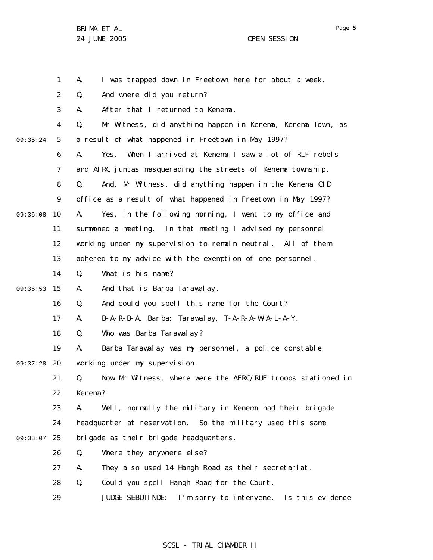Page 5

1 2 3 4 5 6 7 8 9 10 11 12 13 14 15 09:36:53 16 17 18 19 20 09:37:28 21 22 23 24 09:38:07 25 26 27 28 29 09:35:24 09:36:08 A. I was trapped down in Freetown here for about a week. Q. And where did you return? A. After that I returned to Kenema. Q. Mr Witness, did anything happen in Kenema, Kenema Town, as a result of what happened in Freetown in May 1997? A. Yes. When I arrived at Kenema I saw a lot of RUF rebels and AFRC juntas masquerading the streets of Kenema township. Q. And, Mr Witness, did anything happen in the Kenema CID office as a result of what happened in Freetown in May 1997? A. Yes, in the following morning, I went to my office and summoned a meeting. In that meeting I advised my personnel working under my supervision to remain neutral. All of them adhered to my advice with the exemption of one personnel. Q. What is his name? A. And that is Barba Tarawalay. Q. And could you spell this name for the Court? A. B-A-R-B-A, Barba; Tarawalay, T-A-R-A-W-A-L-A-Y. Q. Who was Barba Tarawalay? A. Barba Tarawalay was my personnel, a police constable working under my supervision. Q. Now Mr Witness, where were the AFRC/RUF troops stationed in Kenema? A. Well, normally the military in Kenema had their brigade headquarter at reservation. So the military used this same brigade as their brigade headquarters. Q. Where they anywhere else? A. They also used 14 Hangh Road as their secretariat. Q. Could you spell Hangh Road for the Court. JUDGE SEBUTINDE: I'm sorry to intervene. Is this evidence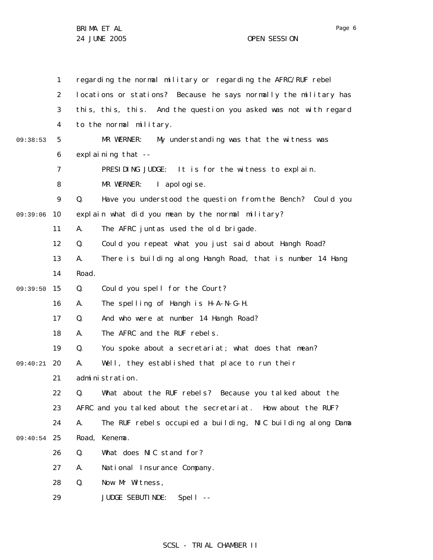1 2 3 4 5 6 7 8 9 10 11 12 13 14 09:39:50 15 16 17 18 19 20 09:40:21 21 22 23 24 09:40:54 25 26 27 28 29 09:38:53 09:39:06 regarding the normal military or regarding the AFRC/RUF rebel locations or stations? Because he says normally the military has this, this, this. And the question you asked was not with regard to the normal military. MR WERNER: My understanding was that the witness was explaining that -- PRESIDING JUDGE: It is for the witness to explain. MR WERNER: I apologise. Q. Have you understood the question from the Bench? Could you explain what did you mean by the normal military? A. The AFRC juntas used the old brigade. Q. Could you repeat what you just said about Hangh Road? A. There is building along Hangh Road, that is number 14 Hang Road. Q. Could you spell for the Court? A. The spelling of Hangh is H-A-N-G-H. Q. And who were at number 14 Hangh Road? A. The AFRC and the RUF rebels. Q. You spoke about a secretariat; what does that mean? A. Well, they established that place to run their administration. Q. What about the RUF rebels? Because you talked about the AFRC and you talked about the secretariat. How about the RUF? A. The RUF rebels occupied a building, NIC building along Dama Road, Kenema. Q. What does NIC stand for? A. National Insurance Company. Q. Now Mr Witness, JUDGE SEBUTINDE: Spell --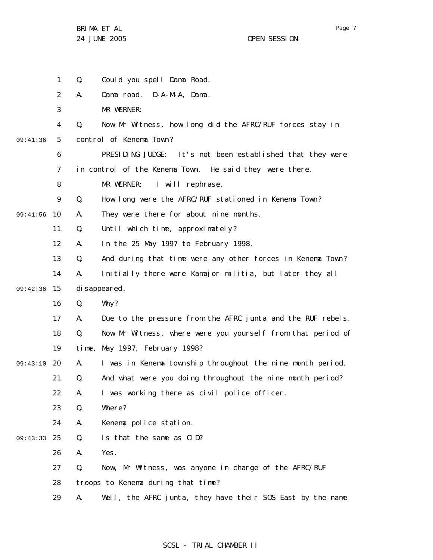|          | 1              | Q.    | Could you spell Dama Road.                                  |
|----------|----------------|-------|-------------------------------------------------------------|
|          | 2              | А.    | Dama road. D-A-M-A, Dama.                                   |
|          | 3              |       | MR WERNER:                                                  |
|          | 4              | Q.    | Now Mr Witness, how long did the AFRC/RUF forces stay in    |
| 09:41:36 | 5              |       | control of Kenema Town?                                     |
|          | 6              |       | PRESIDING JUDGE: It's not been established that they were   |
|          | $\overline{7}$ |       | in control of the Kenema Town. He said they were there.     |
|          | 8              |       | I will rephrase.<br>MR WERNER:                              |
|          | 9              | Q.    | How long were the AFRC/RUF stationed in Kenema Town?        |
| 09:41:56 | 10             | А.    | They were there for about nine months.                      |
|          | 11             | Q.    | Until which time, approximately?                            |
|          | 12             | А.    | In the 25 May 1997 to February 1998.                        |
|          | 13             | Q.    | And during that time were any other forces in Kenema Town?  |
|          | 14             | А.    | Initially there were Kamajor militia, but later they all    |
| 09:42:36 | 15             |       | di sappeared.                                               |
|          | 16             | Q.    | Why?                                                        |
|          | 17             | А.    | Due to the pressure from the AFRC junta and the RUF rebels. |
|          | 18             | Q.    | Now Mr Witness, where were you yourself from that period of |
|          | 19             | time, | May 1997, February 1998?                                    |
| 09:43:10 | 20             | А.    | I was in Kenema township throughout the nine month period.  |
|          | 21             | Q.    | And what were you doing throughout the nine month period?   |
|          | 22             | А.    | I was working there as civil police officer.                |
|          | 23             | Q.    | Where?                                                      |
|          | 24             | Α.    | Kenema police station.                                      |
| 09:43:33 | 25             | Q.    | Is that the same as CID?                                    |
|          | 26             | Α.    | Yes.                                                        |
|          | 27             | Q.    | Now, Mr Witness, was anyone in charge of the AFRC/RUF       |
|          | 28             |       | troops to Kenema during that time?                          |
|          | 29             | Α.    | Well, the AFRC junta, they have their SOS East by the name  |

# SCSL - TRIAL CHAMBER II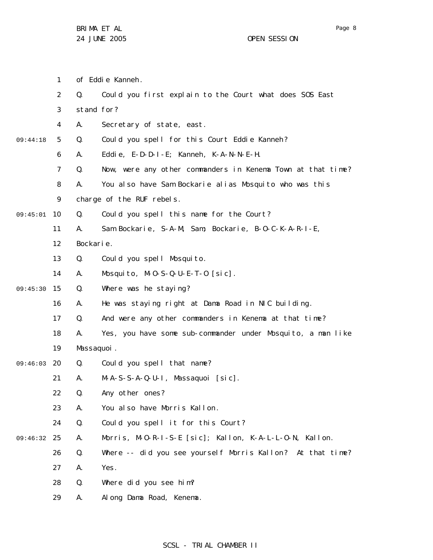- 1 of Eddie Kanneh.
- 2 Q. Could you first explain to the Court what does SOS East
- 3 stand for?
- 4 A. Secretary of state, east.
- 5 09:44:18 Q. Could you spell for this Court Eddie Kanneh?
	- 6 A. Eddie, E-D-D-I-E; Kanneh, K-A-N-N-E-H.
		- 7 Q. Now, were any other commanders in Kenema Town at that time?
	- 8 A. You also have Sam Bockarie alias Mosquito who was this
	- 9 charge of the RUF rebels.
- 09:45:01 10 Q. Could you spell this name for the Court?
	- 11 A. Sam Bockarie, S-A-M, Sam; Bockarie, B-O-C-K-A-R-I-E,
		- 12 Bockarie.
		- 13 Q. Could you spell Mosquito.
		- 14 A. Mosquito, M-O-S-Q-U-E-T-O [sic].
- 09:45:30 15 Q. Where was he staying?
	- 16 A. He was staying right at Dama Road in NIC building.
	- 17 Q. And were any other commanders in Kenema at that time?
	- 18 A. Yes, you have some sub-commander under Mosquito, a man like
		- 19 Massaquoi.
- 09:46:03 20 Q. Could you spell that name?
	- 21 A. M-A-S-S-A-Q-U-I, Massaquoi [sic].
	- 22 Q. Any other ones?
	- 23 A. You also have Morris Kallon.
	- 24 Q. Could you spell it for this Court?
- 09:46:32 25 A. Morris, M-O-R-I-S-E [sic]; Kallon, K-A-L-L-O-N, Kallon.
- 26 Q. Where -- did you see yourself Morris Kallon? At that time?
	- 27 A. Yes.
	- 28 Q. Where did you see him?
	- 29 A. Along Dama Road, Kenema.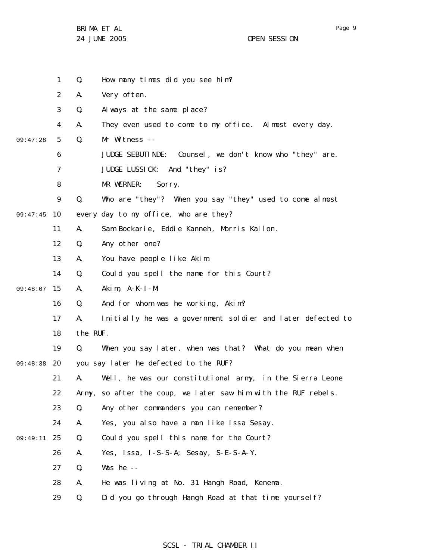|          | $\mathbf{1}$   | Q.       | How many times did you see him?                                |
|----------|----------------|----------|----------------------------------------------------------------|
|          | $\overline{2}$ | А.       | Very often.                                                    |
|          | 3              | Q.       | Always at the same place?                                      |
|          | 4              | А.       | They even used to come to my office. Almost every day.         |
| 09:47:28 | 5              | Q.       | Mr Witness --                                                  |
|          | 6              |          | JUDGE SEBUTINDE: Counsel, we don't know who "they" are.        |
|          | 7              |          | JUDGE LUSSICK: And "they" is?                                  |
|          | 8              |          | MR WERNER:<br>Sorry.                                           |
|          | 9              | Q.       | Who are "they"? When you say "they" used to come almost        |
| 09:47:45 | 10             |          | every day to my office, who are they?                          |
|          | 11             | А.       | Sam Bockarie, Eddie Kanneh, Morris Kallon.                     |
|          | 12             | Q.       | Any other one?                                                 |
|          | 13             | А.       | You have people like Akim.                                     |
|          | 14             | Q.       | Could you spell the name for this Court?                       |
| 09:48:07 | 15             | А.       | Akim, $A-K-I - M$ .                                            |
|          | 16             | Q.       | And for whom was he working, Akim?                             |
|          | 17             | А.       | Initially he was a government soldier and later defected to    |
|          | 18             | the RUF. |                                                                |
|          | 19             | Q.       | When you say later, when was that? What do you mean when       |
| 09:48:38 | 20             |          | you say later he defected to the RUF?                          |
|          | 21             | А.       | Well, he was our constitutional army, in the Sierra Leone      |
|          | 22             |          | Army, so after the coup, we later saw him with the RUF rebels. |
|          | 23             | Q.       | Any other commanders you can remember?                         |
|          | 24             | А.       | Yes, you also have a man like Issa Sesay.                      |
| 09:49:11 | 25             | Q.       | Could you spell this name for the Court?                       |
|          | 26             | А.       | Yes, Issa, I-S-S-A; Sesay, S-E-S-A-Y.                          |
|          | 27             | Q.       | Was he $-$                                                     |
|          | 28             | А.       | He was living at No. 31 Hangh Road, Kenema.                    |
|          | 29             | Q.       | Did you go through Hangh Road at that time yoursel f?          |

# SCSL - TRIAL CHAMBER II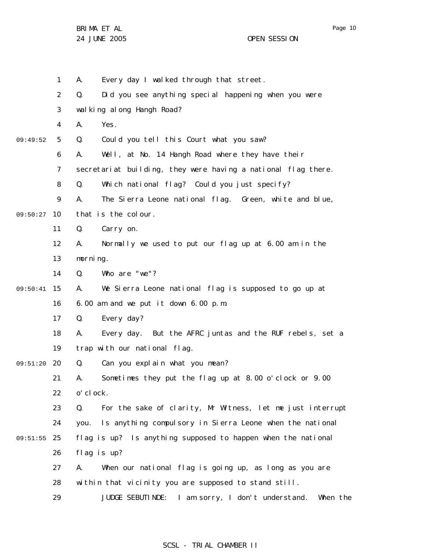29

1 2 3 4 5 6 7 8 9 09:50:27 10 11 12 13 14 15 09:50:41 16 17 18 19 20 09:51:20 21 22 23 24 25 09:51:55 26 27 28 09:49:52 A. Every day I walked through that street. Q. Did you see anything special happening when you were wal king along Hangh Road? A. Yes. Q. Could you tell this Court what you saw? A. Well, at No. 14 Hangh Road where they have their secretariat building, they were having a national flag there. Q. Which national flag? Could you just specify? A. The Sierra Leone national flag. Green, white and blue, that is the colour. Q. Carry on. A. Normally we used to put our flag up at 6.00 am in the morning. Q. Who are "we"? A. We Sierra Leone national flag is supposed to go up at 6.00 am and we put it down 6.00 p.m. Q. Every day? A. Every day. But the AFRC juntas and the RUF rebels, set a trap with our national flag. Q. Can you explain what you mean? A. Sometimes they put the flag up at 8.00 o'clock or 9.00 o'clock. Q. For the sake of clarity, Mr Witness, let me just interrupt you. Is anything compulsory in Sierra Leone when the national flag is up? Is anything supposed to happen when the national flag is up? A. When our national flag is going up, as long as you are within that vicinity you are supposed to stand still.

### SCSL - TRIAL CHAMBER II

JUDGE SEBUTINDE: I am sorry, I don't understand. When the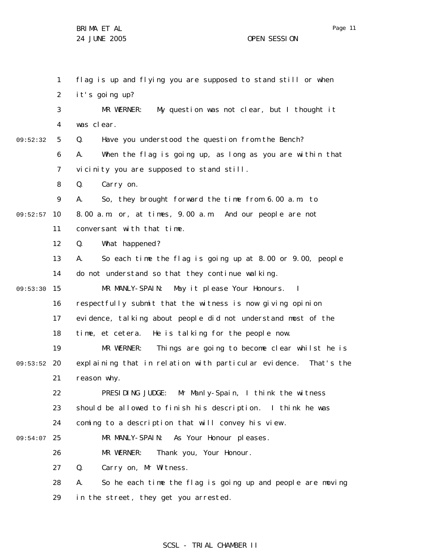Page 11

1 2 3 4 5 6 7 8 9 09:52:57 10 11 12 13 14 09:53:30 15 16 17 18 19 09:53:52 20 21 22 23 24 09:54:07 25 26 27 28 29 09:52:32 flag is up and flying you are supposed to stand still or when it's going up? MR WERNER: My question was not clear, but I thought it was clear. Q. Have you understood the question from the Bench? A. When the flag is going up, as long as you are within that vicinity you are supposed to stand still. Q. Carry on. A. So, they brought forward the time from 6.00 a.m. to 8.00 a.m. or, at times, 9.00 a.m. And our people are not conversant with that time. Q. What happened? A. So each time the flag is going up at 8.00 or 9.00, people do not understand so that they continue walking. MR MANLY-SPAIN: May it please Your Honours. I respectfully submit that the witness is now giving opinion evidence, talking about people did not understand most of the time, et cetera. He is talking for the people now. MR WERNER: Things are going to become clear whilst he is explaining that in relation with particular evidence. That's the reason why. PRESIDING JUDGE: Mr Manly-Spain, I think the witness should be allowed to finish his description. I think he was coming to a description that will convey his view . MR MANLY-SPAIN: As Your Honour pleases. MR WERNER: Thank you, Your Honour. Q. Carry on, Mr Witness. A. So he each time the flag is going up and people are moving in the street, they get you arrested.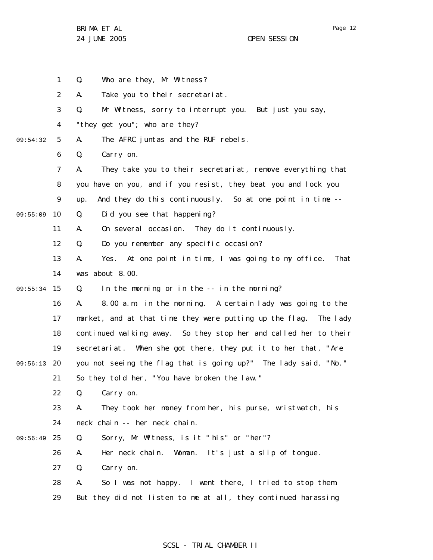Page 12

|          | $\mathbf{1}$ | Q.<br>Who are they, Mr Witness?                                    |
|----------|--------------|--------------------------------------------------------------------|
|          | 2            | Take you to their secretariat.<br>А.                               |
|          | 3            | Mr Witness, sorry to interrupt you. But just you say,<br>Q.        |
|          | 4            | "they get you"; who are they?                                      |
| 09:54:32 | 5            | The AFRC juntas and the RUF rebels.<br>А.                          |
|          | 6            | Q.<br>Carry on.                                                    |
|          | 7            | They take you to their secretariat, remove everything that<br>А.   |
|          | 8            | you have on you, and if you resist, they beat you and lock you     |
|          | 9            | And they do this continuously. So at one point in time --<br>up.   |
| 09:55:09 | 10           | Q.<br>Did you see that happening?                                  |
|          | 11           | On several occasion. They do it continuously.<br>А.                |
|          | 12           | Do you remember any specific occasion?<br>Q.                       |
|          | 13           | Yes. At one point in time, I was going to my office.<br>А.<br>That |
|          | 14           | was about 8.00.                                                    |
| 09:55:34 | 15           | In the morning or in the -- in the morning?<br>Q.                  |
|          | 16           | 8.00 a.m. in the morning. A certain lady was going to the<br>Α.    |
|          | 17           | market, and at that time they were putting up the flag. The lady   |
|          | 18           | continued walking away. So they stop her and called her to their   |
|          | 19           | secretariat. When she got there, they put it to her that, "Are     |
| 09:56:13 | 20           | you not seeing the flag that is going up?" The lady said, "No."    |
|          | 21           | So they told her, "You have broken the law."                       |
|          | 22           | Q. Carry on.                                                       |
|          | 23           | They took her money from her, his purse, wristwatch, his<br>А.     |
|          | 24           | neck chain -- her neck chain.                                      |
| 09:56:49 | 25           | Sorry, Mr Witness, is it "his" or "her"?<br>Q.                     |
|          | 26           | Her neck chain. Woman. It's just a slip of tongue.<br>Α.           |
|          | 27           | Carry on.<br>Q.                                                    |
|          | 28           | So I was not happy. I went there, I tried to stop them.<br>А.      |
|          | 29           | But they did not listen to me at all, they continued harassing     |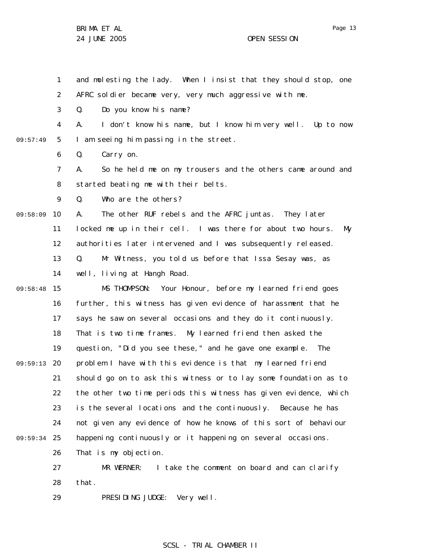1 2 and molesting the lady. When I insist that they should stop, one AFRC soldier became very, very much aggressive with me.

3 Q. Do you know his name?

4 5 09:57:49 A. I don't know his name, but I know him very well. Up to now I am seeing him passing in the street.

> 6 Q. Carry on.

7 8 A. So he held me on my trousers and the others came around and started beating me with their belts.

9 Q. Who are the others?

10 09:58:09 A. The other RUF rebels and the AFRC juntas. They later

11 locked me up in their cell. I was there for about two hours. My

12 authorities later intervened and I was subsequently released.

13 14 Q. Mr Witness, you told us before that Issa Sesay was, as well, living at Hangh Road.

15 16 17 18 19 09:59:13 20 21 22 23 24 09:59:34 25 26 09:58:48 MS THOMPSON: Your Honour, before my learned friend goes further, this witness has given evidence of harassment that he says he saw on several occasions and they do it continuously. That is two time frames. My learned friend then asked the question, "Did you see these," and he gave one example. The problem I have with this evidence is that my learned friend should go on to ask this witness or to lay some foundation as to the other two time periods this witness has given evidence, which is the several locations and the continuously. Because he has not given any evidence of how he knows of this sort of behaviour happening continuously or it happening on several occasions. That is my objection.

27 28 MR WERNER: I take the comment on board and can clarify that.

29 PRESIDING JUDGE: Very well.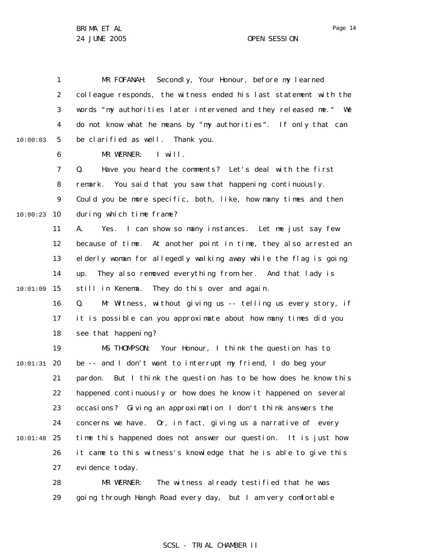1 2 3 4 5 6 7 8 9 10 10:00:23 11 12 13 14 15 10:01:09 16 17 18 19 20 10:01:31 21 22 23 24 25 10:01:48 26 27 28 29 10:00:03 MR FOFANAH: Secondly, Your Honour, before my learned colleague responds, the witness ended his last statement with the words "my authorities later intervened and they released me." We do not know what he means by "my authorities". If only that can be clarified as well. Thank you. MR WERNER: I will. Q. Have you heard the comments? Let's deal with the first remark. You said that you saw that happening continuously. Could you be more specific, both, like, how many times and then during which time frame? A. Yes. I can show so many instances. Let me just say few because of time. At another point in time, they also arrested an elderly woman for allegedly walking away while the flag is going up. They also removed everything from her. And that lady is still in Kenema. They do this over and again. Q. Mr Witness, without giving us -- telling us every story, if it is possible can you approximate about how many times did you see that happening? MS THOMPSON: Your Honour, I think the question has to be -- and I don't want to interrupt my friend, I do beg your pardon. But I think the question has to be how does he know this happened continuously or how does he know it happened on several occasions? Giving an approximation I don't think answers the concerns we have. Or, in fact, giving us a narrative of every time this happened does not answer our question. It is just how it came to this witness's knowledge that he is able to give this evidence today. MR WERNER: The witness already testified that he was going through Hangh Road every day, but I am very comfortable

# SCSL - TRIAL CHAMBER II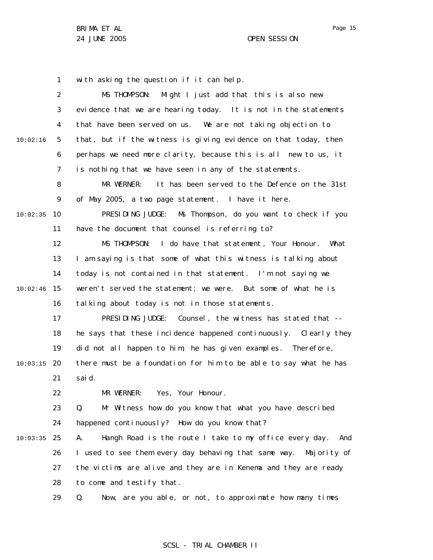1 with asking the question if it can help.

2 3 4 5 6 7 8 9 10 10:02:35 11 12 13 14 15 10:02:46 16 17 18 19 20 10:03:15 21 22 23 24 25 10:03:35 26 27 28 29 10:02:16 MS THOMPSON: Might I just add that this is also new evidence that we are hearing today. It is not in the statements that have been served on us. We are not taking objection to that, but if the witness is giving evidence on that today, then perhaps we need more clarity, because this is all new to us, it is nothing that we have seen in any of the statements. MR WERNER: It has been served to the Defence on the 31st of May 2005, a two page statement. I have it here. PRESIDING JUDGE: Ms Thompson, do you want to check if you have the document that counsel is referring to? MS THOMPSON: I do have that statement, Your Honour. What I am saying is that some of what this witness is talking about today is not contained in that statement. I'm not saying we weren't served the statement; we were. But some of what he is talking about today is not in those statements. PRESIDING JUDGE: Counsel, the witness has stated that -he says that these incidence happened continuously. Clearly they did not all happen to him; he has given examples. Therefore, there must be a foundation for him to be able to say what he has said. MR WERNER: Yes, Your Honour. Q. Mr Witness how do you know that what you have described happened continuously? How do you know that? A. Hangh Road is the route I take to my office every day. And I used to see them every day behaving that same way. Majority of the victims are alive and they are in Kenema and they are ready to come and testify that. Q. Now, are you able, or not, to approximate how many times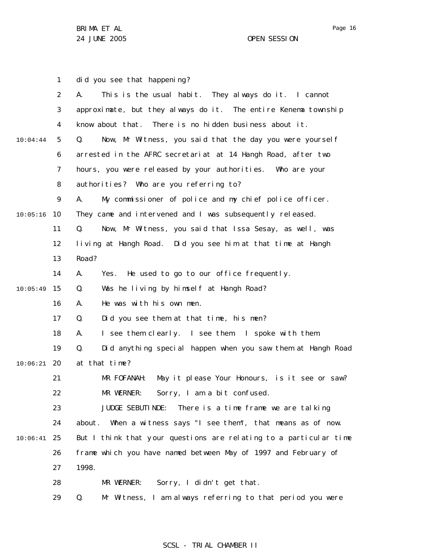|          | 1              | did you see that happening?                                       |
|----------|----------------|-------------------------------------------------------------------|
|          | $\overline{2}$ | This is the usual habit. They always do it. I cannot<br>А.        |
|          | 3              | approximate, but they always do it. The entire Kenema township    |
|          | 4              | know about that. There is no hidden business about it.            |
| 10:04:44 | 5              | Now, Mr Witness, you said that the day you were yourself<br>Q.    |
|          | 6              | arrested in the AFRC secretariat at 14 Hangh Road, after two      |
|          | 7              | hours, you were released by your authorities. Who are your        |
|          | 8              | authorities? Who are you referring to?                            |
|          | 9              | My commissioner of police and my chief police officer.<br>А.      |
| 10:05:16 | 10             | They came and intervened and I was subsequently released.         |
|          | 11             | Now, Mr Witness, you said that Issa Sesay, as well, was<br>Q.     |
|          | 12             | living at Hangh Road. Did you see him at that time at Hangh       |
|          | 13             | Road?                                                             |
|          | 14             | He used to go to our office frequently.<br>А.<br>Yes.             |
| 10:05:49 | 15             | Was he living by himself at Hangh Road?<br>Q.                     |
|          | 16             | He was with his own men.<br>А.                                    |
|          | 17             | Did you see them at that time, his men?<br>Q.                     |
|          | 18             | I see them clearly. I see them. I spoke with them.<br>А.          |
|          | 19             | Q.<br>Did anything special happen when you saw them at Hangh Road |
| 10:06:21 | 20             | at that time?                                                     |
|          | 21             | May it please Your Honours, is it see or saw?<br>MR FOFANAH:      |
|          | 22             | MR WERNER: Sorry, I am a bit confused.                            |
|          | 23             | JUDGE SEBUTI NDE:<br>There is a time frame we are talking         |
|          | 24             | When a witness says "I see them", that means as of now.<br>about. |
| 10:06:41 | 25             | But I think that your questions are relating to a particular time |
|          | 26             | frame which you have named between May of 1997 and February of    |
|          | 27             | 1998.                                                             |
|          | 28             | Sorry, I didn't get that.<br>MR WERNER:                           |
|          | 29             | Mr Witness, I am always referring to that period you were<br>Q.   |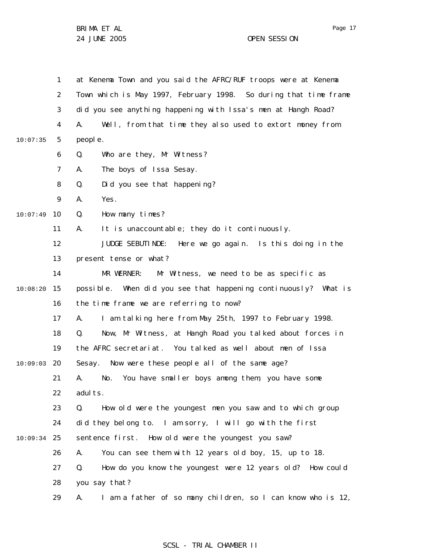1 2 3 4 5 6 7 8 9 10 10:07:49 11 12 13 14 15 10:08:20 16 17 18 19 20 10:09:03 21 22 23 24 25 10:09:34 26 27 28 29 10:07:35 at Kenema Town and you said the AFRC/RUF troops were at Kenema Town which is May 1997, February 1998. So during that time frame did you see anything happening with Issa's men at Hangh Road? A. Well, from that time they also used to extort money from people. Q. Who are they, Mr Witness? A. The boys of Issa Sesay. Q. Did you see that happening? A. Yes. Q. How many times? A. It is unaccountable; they do it continuously. JUDGE SEBUTINDE: Here we go again. Is this doing in the present tense or what? MR WERNER: Mr Witness, we need to be as specific as possible. When did you see that happening continuously? What is the time frame we are referring to now? A. I am talking here from May 25th, 1997 to February 1998. Q. Now, Mr Witness, at Hangh Road you talked about forces in the AFRC secretariat. You talked as well about men of Issa Sesay. Now were these people all of the same age? A. No. You have smaller boys among them, you have some adults. Q. How old were the youngest men you saw and to which group did they belong to. I am sorry, I will go with the first sentence first. How old were the youngest you saw? A. You can see them with 12 years old boy, 15, up to 18. Q. How do you know the youngest were 12 years old? How could you say that? A. I am a father of so many children, so I can know who is 12,

### SCSL - TRIAL CHAMBER II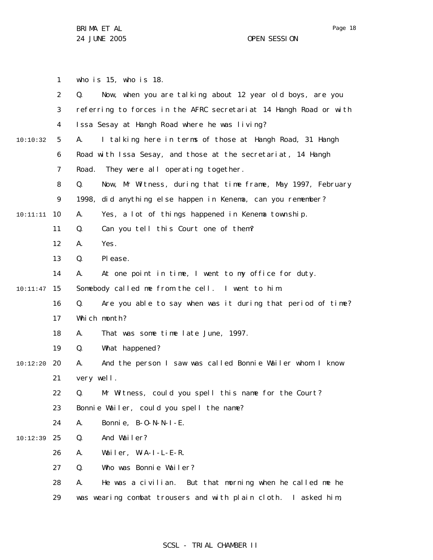1 2 3 4 5 6 7 8 9 10 10:11:11 11 12 13 14 15 10:11:47 16 17 18 19 20 10:12:20 21 22 23 24 25 10:12:39 26 27 28 29 10:10:32 who is 15, who is 18. Q. Now, when you are talking about 12 year old boys, are you referring to forces in the AFRC secretariat 14 Hangh Road or with Issa Sesay at Hangh Road where he was living? A. I talking here in terms of those at Hangh Road, 31 Hangh Road with Issa Sesay, and those at the secretariat, 14 Hangh Road. They were all operating together. Q. Now, Mr Witness, during that time frame, May 1997, February 1998, did anything else happen in Kenema, can you remember? A. Yes, a lot of things happened in Kenema township. Q. Can you tell this Court one of them? A. Yes. Q. Please. A. At one point in time, I went to my office for duty. Somebody called me from the cell. I went to him. Q. Are you able to say when was it during that period of time? Which month? A. That was some time late June, 1997. Q. What happened? A. And the person I saw was called Bonnie Wailer whom I know very well. Q. Mr Witness, could you spell this name for the Court? Bonnie Wailer, could you spell the name? A. Bonnie, B-O-N-N-I-E. Q. And Wailer? A. Wailer, W-A-I-L-E-R. Q. Who was Bonnie Wailer? A. He was a civilian. But that morning when he called me he was wearing combat trousers and with plain cloth. I asked him,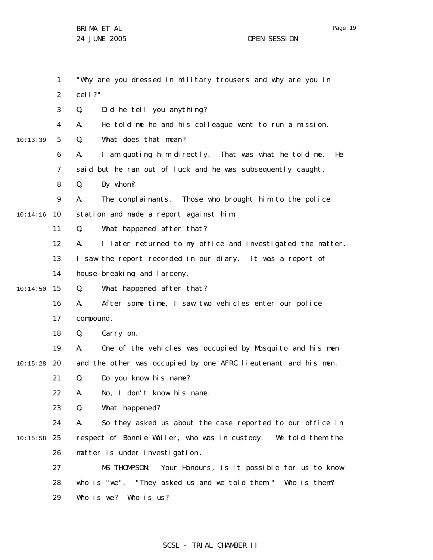1 2 3 4 5 6 7 8 9 10 10:14:16 11 12 13 14 15 10:14:50 16 17 18 19 20 10:15:28 21 22 23 24 25 10:15:58 26 27 28 29 10:13:39 "Why are you dressed in military trousers and why are you in cell?" Q. Did he tell you anything? A. He told me he and his colleague went to run a mission. Q. What does that mean? A. I am quoting him directly. That was what he told me. He said but he ran out of luck and he was subsequently caught. Q. By whom? A. The complainants. Those who brought him to the police station and made a report against him. Q. What happened after that? A. I later returned to my office and investigated the matter. I saw the report recorded in our diary. It was a report of house-breaking and larceny. Q. What happened after that? A. After some time, I saw two vehicles enter our police compound. Q. Carry on. A. One of the vehicles was occupied by Mosquito and his men and the other was occupied by one AFRC lieutenant and his men. Q. Do you know his name? A. No, I don't know his name. Q. What happened? A. So they asked us about the case reported to our office in respect of Bonnie Wailer, who was in custody. We told them the matter is under investigation . MS THOMPSON: Your Honours, is it possible for us to know who is "we". "They asked us and we told them." Who is them? Who is we? Who is us?

# SCSL - TRIAL CHAMBER II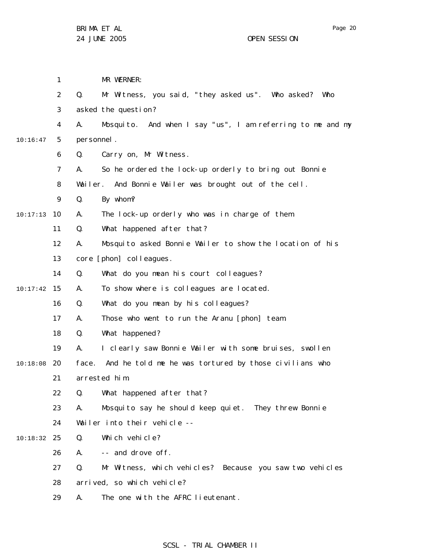1 2 3 4 5 6 7 8 9 10 10:17:13 11 12 13 14 15 10:17:42 16 17 18 19 20 10:18:08 21 22 23 24 25 10:18:32 26 27 28 29 10:16:47 MR WERNER: Q. Mr Witness, you said, "they asked us". Who asked? Who asked the question? A. Mosquito. And when I say "us", I am referring to me and my personnel. Q. Carry on, Mr Witness. A. So he ordered the lock-up orderly to bring out Bonnie Wailer. And Bonnie Wailer was brought out of the cell. Q. By whom? A. The lock-up orderly who was in charge of them. Q. What happened after that? A. Mosquito asked Bonnie Wailer to show the location of his core [phon] colleagues. Q. What do you mean his court colleagues? A. To show where is colleagues are located. Q. What do you mean by his colleagues? A. Those who went to run the Aranu [phon] team. Q. What happened? A. I clearly saw Bonnie Wailer with some bruises, swollen face. And he told me he was tortured by those civilians who arrested him. Q. What happened after that? A. Mosquito say he should keep quiet. They threw Bonnie Wailer into their vehicle --Q. Which vehicle? A. -- and drove off. Q. Mr Witness, which vehicles? Because you saw two vehicles arrived, so which vehicle? A. The one with the AFRC lieutenant.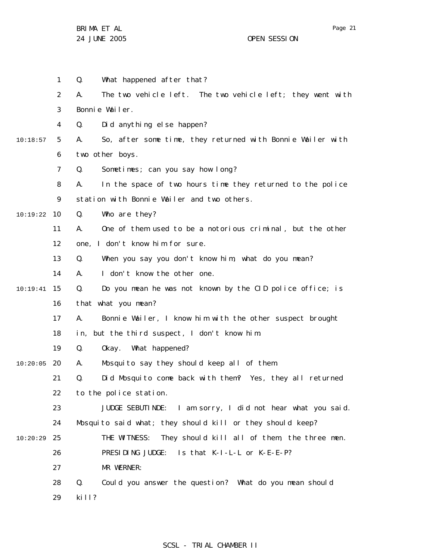|          | 1              | Q.<br>What happened after that?                                  |
|----------|----------------|------------------------------------------------------------------|
|          | $\overline{2}$ | The two vehicle left. The two vehicle left; they went with<br>А. |
|          | 3              | Bonnie Wailer.                                                   |
|          | 4              | Did anything else happen?<br>Q.                                  |
| 10:18:57 | 5              | So, after some time, they returned with Bonnie Wailer with<br>А. |
|          | 6              | two other boys.                                                  |
|          | 7              | Sometimes; can you say how long?<br>Q.                           |
|          | 8              | In the space of two hours time they returned to the police<br>А. |
|          | 9              | station with Bonnie Wailer and two others.                       |
| 10:19:22 | 10             | Who are they?<br>Q.                                              |
|          | 11             | One of them used to be a notorious criminal, but the other<br>А. |
|          | 12             | one, I don't know him for sure.                                  |
|          | 13             | Q.<br>When you say you don't know him, what do you mean?         |
|          | 14             | I don't know the other one.<br>А.                                |
| 10:19:41 | 15             | Q.<br>Do you mean he was not known by the CID police office; is  |
|          | 16             | that what you mean?                                              |
|          | 17             | Bonnie Wailer, I know him with the other suspect brought<br>А.   |
|          | 18             | but the third suspect, I don't know him.<br>in,                  |
|          | 19             | Q.<br>Okay. What happened?                                       |
| 10:20:05 | 20             | Mosquito say they should keep all of them.<br>А.                 |
|          | 21             | Q.<br>Did Mosquito come back with them? Yes, they all returned   |
|          | 22             | to the police station.                                           |
|          | 23             | JUDGE SEBUTINDE: I am sorry, I did not hear what you said.       |
|          | 24             | Mosquito said what; they should kill or they should keep?        |
| 10:20:29 | 25             | They should kill all of them, the three men.<br>THE WITNESS:     |
|          | 26             | PRESIDING JUDGE: Is that K-I-L-L or K-E-E-P?                     |
|          | 27             | MR WERNER:                                                       |
|          | 28             | Q.<br>Could you answer the question? What do you mean should     |
|          | 29             | ki II?                                                           |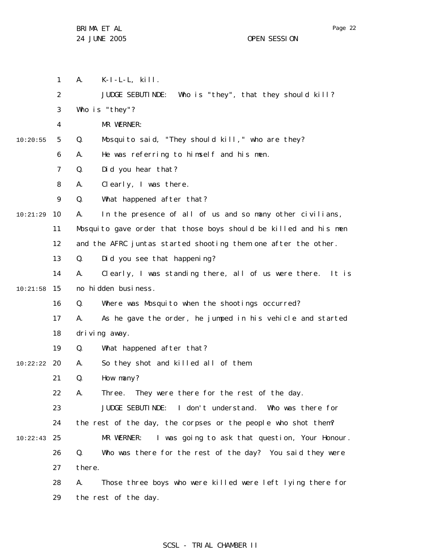29

the rest of the day.

1 2 3 4 5 6 7 8 9 10 11 12 13 14 15 10:21:58 16 17 18 19 20 10:22:22 21 22 23 24 25 10:22:43 26 27 28 10:20:55 10:21:29 A. K-I-L-L, kill. JUDGE SEBUTINDE: Who is "they", that they should kill? Who is "they"? MR WERNER: Q. Mosquito said, "They should kill," who are they? A. He was referring to himself and his men. Q. Did you hear that? A. Clearly, I was there. Q. What happened after that? A. In the presence of all of us and so many other civilians, Mosquito gave order that those boys should be killed and his men and the AFRC juntas started shooting them one after the other. Q. Did you see that happening? A. Clearly, I was standing there, all of us were there. It is no hidden business. Q. Where was Mosquito when the shootings occurred? A. As he gave the order, he jumped in his vehicle and started driving away. Q. What happened after that? A. So they shot and killed all of them. Q. How many? A. Three. They were there for the rest of the day. JUDGE SEBUTINDE: I don't understand. Who was there for the rest of the day, the corpses or the people who shot them? MR WERNER: I was going to ask that question, Your Honour. Q. Who was there for the rest of the day? You said they were there. A. Those three boys who were killed were left lying there for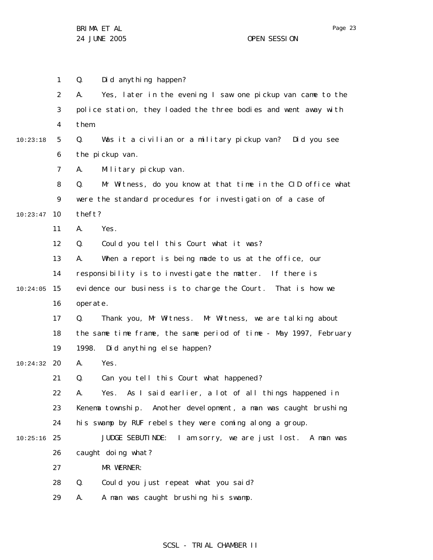1 2 3 4 5 6 7 8 9 10 10:23:47 11 12 13 14 15 10:24:05 16 17 18 19 20 10:24:32 21 22 23 24 25 10:25:16 26 27 28 29 10:23:18 Q. Did anything happen? A. Yes, later in the evening I saw one pickup van came to the police station, they loaded the three bodies and went away with them. Q. Was it a civilian or a military pickup van? Did you see the pickup van. A. Military pickup van. Q. Mr Witness, do you know at that time in the CID office what were the standard procedures for investigation of a case of theft? A. Yes. Q. Could you tell this Court what it was? A. When a report is being made to us at the office, our responsibility is to investigate the matter. If there is evidence our business is to charge the Court. That is how we operate. Q. Thank you, Mr Witness. Mr Witness, we are talking about the same time frame, the same period of time - May 1997, February 1998. Did anything else happen? A. Yes. Q. Can you tell this Court what happened? A. Yes. As I said earlier, a lot of all things happened in Kenema township. Another development, a man was caught brushing his swamp by RUF rebels they were coming along a group. JUDGE SEBUTINDE: I am sorry, we are just lost. A man was caught doing what? MR WERNER: Q. Could you just repeat what you said? A. A man was caught brushing his swamp.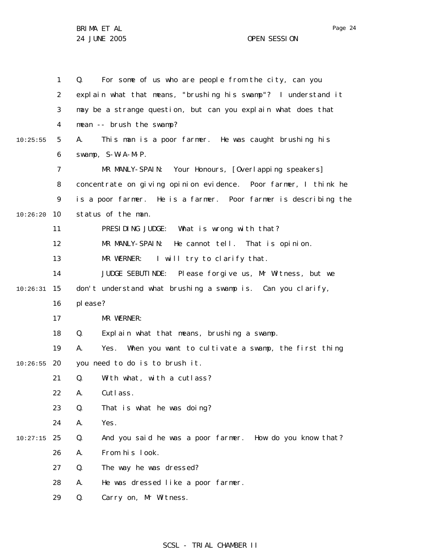|          | $\mathbf{1}$      | For some of us who are people from the city, can you<br>Q.        |
|----------|-------------------|-------------------------------------------------------------------|
|          | $\overline{2}$    | explain what that means, "brushing his swamp"? I understand it    |
|          | 3                 | may be a strange question, but can you explain what does that     |
|          | 4                 | mean -- brush the swamp?                                          |
| 10:25:55 | 5                 | This man is a poor farmer. He was caught brushing his<br>А.       |
|          | 6                 | swamp, S-W-A-M-P.                                                 |
|          | 7                 | MR MANLY-SPAIN: Your Honours, [Overlapping speakers]              |
|          | 8                 | concentrate on giving opinion evidence. Poor farmer, I think he   |
|          | 9                 | is a poor farmer. He is a farmer. Poor farmer is describing the   |
| 10:26:20 | 10                | status of the man.                                                |
|          | 11                | PRESIDING JUDGE: What is wrong with that?                         |
|          | $12 \overline{ }$ | MR MANLY-SPAIN: He cannot tell. That is opinion.                  |
|          | 13                | MR WERNER: I will try to clarify that.                            |
|          | 14                | JUDGE SEBUTINDE: Please forgive us, Mr Witness, but we            |
| 10:26:31 | 15                | don't understand what brushing a swamp is. Can you clarify,       |
|          | 16                | please?                                                           |
|          | 17                | MR WERNER:                                                        |
|          | 18                | Explain what that means, brushing a swamp.<br>Q.                  |
|          | 19                | When you want to cultivate a swamp, the first thing<br>А.<br>Yes. |
| 10:26:55 | 20                | you need to do is to brush it.                                    |
|          | 21                | With what, with a cutlass?<br>Q.                                  |
|          | 22                | Cutlass.<br>А.                                                    |
|          | 23                | Q.<br>That is what he was doing?                                  |
|          | 24                | Yes.<br>А.                                                        |
| 10:27:15 | 25                | And you said he was a poor farmer. How do you know that?<br>Q.    |
|          | 26                | From his look.<br>Α.                                              |
|          | 27                | Q.<br>The way he was dressed?                                     |
|          | 28                | He was dressed like a poor farmer.<br>А.                          |
|          | 29                | Carry on, Mr Witness.<br>Q.                                       |

# SCSL - TRIAL CHAMBER II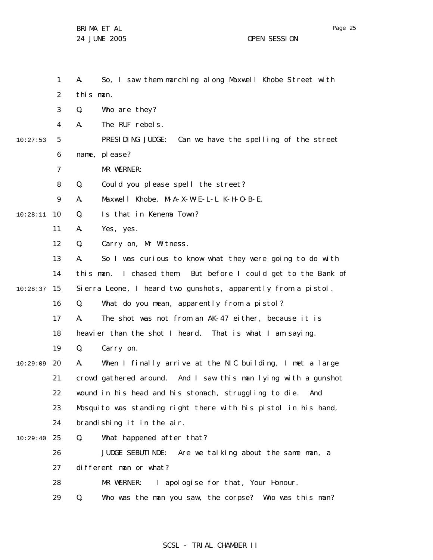1 2 3 4 5 6 7 8 9 10 10:28:11 11 12 13 14 15 10:28:37 16 17 18 19 20 10:29:09 21 22 23 24 25 10:29:40 26 27 28 29 10:27:53 A. So, I saw them marching along Maxwell Khobe S treet with this man. Q. Who are they? A. The RUF rebels. PRESIDING JUDGE: Can we have the spelling of the street name, please? MR WERNER: Q. Could you please spell the street? A. Maxwell Khobe, M-A-X-W-E-L-L K-H-O-B-E. Q. Is that in Kenema Town? A. Yes, yes. Q. Carry on, Mr Witness. A. So I was curious to know what they were going to do with this man. I chased them. But before I could get to the Bank of Sierra Leone, I heard two gunshots, apparently from a pistol. Q. What do you mean, apparently from a pistol? A. The shot was not from an AK-47 either, because it is heavier than the shot I heard. That is what I am saying. Q. Carry on. A. When I finally arrive at the NIC building, I met a large crowd gathered around. And I saw this man lying with a gunshot wound in his head and his stomach, struggling to die. And Mosquito was standing right there with his pistol in his hand, brandishing it in the air. Q. What happened after that? JUDGE SEBUTINDE: Are we talking about the same man, a different man or what? MR WERNER: I apologise for that, Your Honour. Q. Who was the man you saw, the corpse? Who was this man?

### SCSL - TRIAL CHAMBER II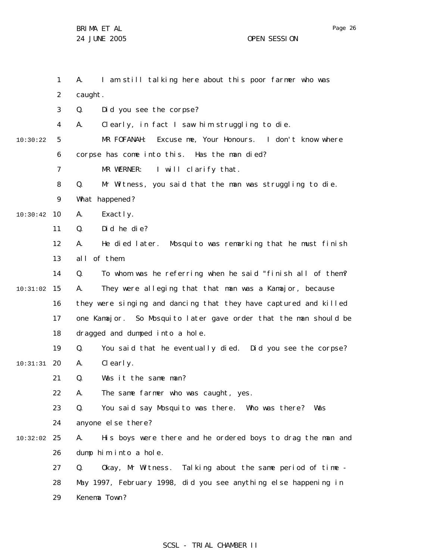|          | $\mathbf{1}$   | I am still talking here about this poor farmer who was<br>А.      |
|----------|----------------|-------------------------------------------------------------------|
|          | 2              | caught.                                                           |
|          | 3              | Did you see the corpse?<br>Q.                                     |
|          | 4              | Clearly, in fact I saw him struggling to die.<br>А.               |
| 10:30:22 | 5              | Excuse me, Your Honours. I don't know where<br>MR FOFANAH:        |
|          | 6              | corpse has come into this. Has the man died?                      |
|          | $\overline{7}$ | MR WERNER: I will clarify that.                                   |
|          | 8              | Mr Witness, you said that the man was struggling to die.<br>Q.    |
|          | 9              | What happened?                                                    |
| 10:30:42 | 10             | А.<br>Exactly.                                                    |
|          | 11             | Did he die?<br>Q.                                                 |
|          | 12             | He died later. Mosquito was remarking that he must finish<br>А.   |
|          | 13             | al I<br>of them.                                                  |
|          | 14             | To whom was he referring when he said "finish all of them?<br>Q.  |
| 10:31:02 | 15             | They were alleging that that man was a Kamajor, because<br>А.     |
|          | 16             | they were singing and dancing that they have captured and killed  |
|          | 17             | one Kamajor. So Mosquito later gave order that the man should be  |
|          | 18             | dragged and dumped into a hole.                                   |
|          | 19             | Q.<br>You said that he eventually died. Did you see the corpse?   |
| 10:31:31 | 20             | Clearly.<br>А.                                                    |
|          | 21             | Q.<br>Was it the same man?                                        |
|          | 22             | The same farmer who was caught, yes.<br>А.                        |
|          | 23             | You said say Mosquito was there. Who was there? Was<br>Q.         |
|          | 24             | anyone el se there?                                               |
| 10:32:02 | 25             | His boys were there and he ordered boys to drag the man and<br>А. |
|          | 26             | dump him into a hole.                                             |
|          | 27             | Okay, Mr Witness. Talking about the same period of time -<br>Q.   |
|          | 28             | May 1997, February 1998, did you see anything else happening in   |
|          | 29             | Kenema Town?                                                      |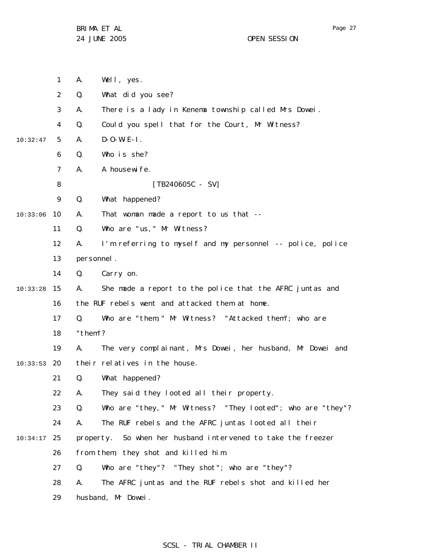|          | $\mathbf{1}$ | А.         | Well, yes.                                                 |
|----------|--------------|------------|------------------------------------------------------------|
|          | 2            | Q.         | What did you see?                                          |
|          | 3            | А.         | There is a lady in Kenema township called Mrs Dowei.       |
|          | 4            | Q.         | Could you spell that for the Court, Mr Witness?            |
| 10:32:47 | 5            | А.         | $D - O - W - E - I$ .                                      |
|          | 6            | Q.         | Who is she?                                                |
|          | 7            | А.         | A housewi fe.                                              |
|          | 8            |            | $[TB240605C - SV]$                                         |
|          | 9            | Q.         | What happened?                                             |
| 10:33:06 | 10           | Α.         | That woman made a report to us that --                     |
|          | 11           | Q.         | Who are "us, " Mr Witness?                                 |
|          | 12           | А.         | I'm referring to myself and my personnel -- police, police |
|          | 13           | personnel. |                                                            |
|          | 14           | Q.         | Carry on.                                                  |
| 10:33:28 | 15           | А.         | She made a report to the police that the AFRC juntas and   |
|          | 16           |            | the RUF rebels went and attacked them at home.             |
|          | 17           | Q.         | Who are "them," Mr Witness? "Attacked them"; who are       |
|          | 18           | "them"?    |                                                            |
|          | 19           | А.         | The very complainant, Mrs Dowei, her husband, Mr Dowei and |
| 10:33:53 | 20           |            | their relatives in the house.                              |
|          | 21           | Q.         | What happened?                                             |
|          | 22           | А.         | They said they looted all their property.                  |
|          | 23           | Q.         | Who are "they," Mr Witness? "They looted"; who are "they"? |
|          | 24           | А.         | The RUF rebels and the AFRC juntas looted all their        |
| 10:34:17 | 25           | property.  | So when her husband intervened to take the freezer         |
|          | 26           |            | from them, they shot and killed him.                       |
|          | 27           | Q.         | Who are "they"? "They shot"; who are "they"?               |
|          | 28           | А.         | The AFRC juntas and the RUF rebels shot and killed her     |
|          | 29           |            | husband, Mr Dowei.                                         |

# SCSL - TRIAL CHAMBER II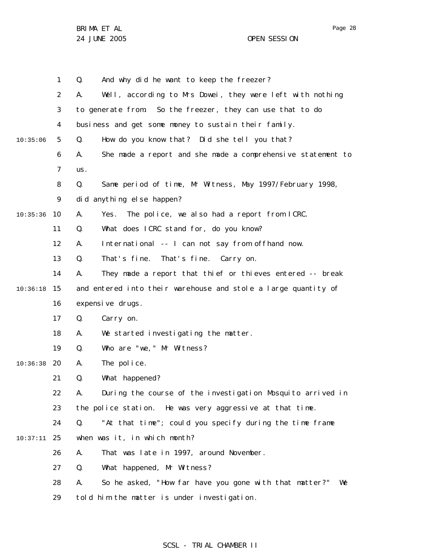1 2 3 4 5 6 7 8 9 10 10:35:36 11 12 13 14 15 10:36:18 16 17 18 19 20 10:36:38 21 22 23 24 25 10:37:11 26 27 28 29 10:35:06 Q. And why did he want to keep the freezer? A. Well, according to Mrs Dowei, they were left with nothing to generate from. So the freezer, they can use that to do business and get some money to sustain their family. Q. How do you know that? Did she tell you that? A. She made a report and she made a comprehensive statement to us. Q. Same period of time, Mr Witness, May 1997/February 1998, did anything else happen? A. Yes. The police, we also had a report from ICRC. Q. What does ICRC stand for, do you know? A. International -- I can not say from offhand now. Q. That's fine. That's fine. Carry on. A. They made a report that thief or thieves entered -- break and entered into their warehouse and stole a large quantity of expensive drugs. Q. Carry on. A. We started investigating the matter. Q. Who are "we," Mr Witness? A. The police. Q. What happened? A. During the course of the investigation Mosquito arrived in the police station. He was very aggressive at that time. Q. "At that time"; could you specify during the time frame when was it, in which month? A. That was late in 1997, around November. Q. What happened, Mr Witness? A. So he asked, "How far have you gone with that matter?" We told him the matter is under investigation.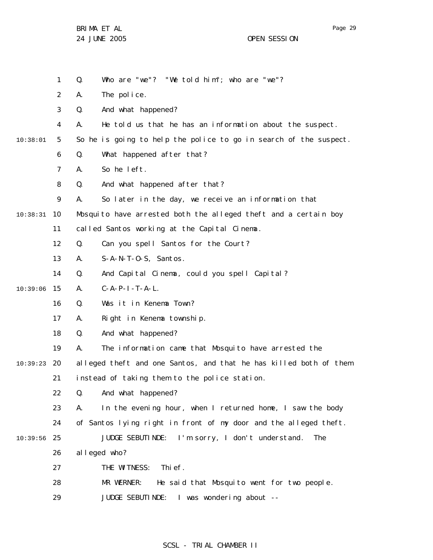2 3 A. The police. Q. And what happened?

Q. Who are "we"? "We told him"; who are "we"?

4 A. He told us that he has an information about the suspect.

So he is going to help the police to go in search of the suspect.

5 10:38:01

1

6

Q. What happened after that?

7 A. So he left.

8 Q. And what happened after that?

9 A. So later in the day, we receive an information that

10 10:38:31 Mosquito have arrested both the alleged theft and a certain boy

11 called Santos working at the Capital Cinema.

12 Q. Can you spell Santos for the Court?

- 13 A. S-A-N-T-O-S, Santos.
- 14 Q. And Capital Cinema, could you spell Capital?

15 10:39:06 A. C-A-P-I-T-A-L.

> 16 Q. Was it in Kenema Town?

17 A. Right in Kenema township.

18 Q. And what happened?

19 A. The information came that Mosquito have arrested the

20 10:39:23 21 alleged theft and one Santos, and that he has killed both of them instead of taking them to the police station.

> 22 Q. And what happened?

23 A. In the evening hour, when I returned home, I saw the body

24 of Santos lying right in front of my door and the alleged theft.

25 10:39:56 JUDGE SEBUTINDE: I'm sorry, I don't understand. The

> 26 alleged who?

27 THE WITNESS: Thief.

28 MR WERNER: He said that Mosquito went for two people.

29 JUDGE SEBUTINDE: I was wondering about --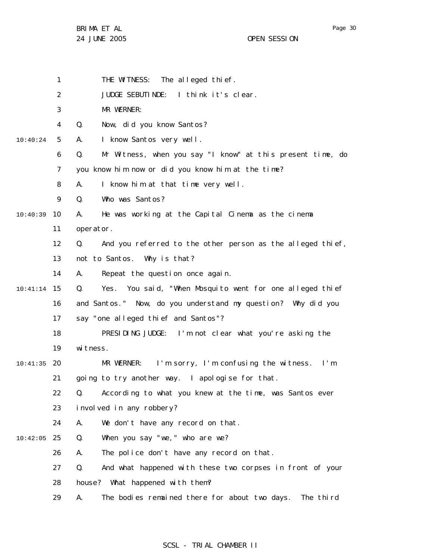- 1 THE WITNESS: The alleged thief.
- 2 JUDGE SEBUTINDE: I think it's clear.
- 3 MR WERNER:
- 4 Q. Now, did you know Santos?
- 5 10:40:24 A. I know Santos very well.
	- 6 Q. Mr Witness, when you say "I know" at this present time, do
	- 7 you know him now or did you know him at the time?
	- 8 A. I know him at that time very well.
	- 9 Q. Who was Santos?

10 10:40:39 A. He was working at the Capital Cinema as the cinema

- 11 operator.
- 12 Q. And you referred to the other person as the alleged thief,
- 13 not to Santos. Why is that?
- 14 A. Repeat the question once again.
- 15 10:41:14 16 17 Q. Yes. You said, "When Mosquito went for one alleged thief and Santos." Now, do you understand my question? Why did you say "one alleged thief and Santos"?
	- 18 19 PRESIDING JUDGE: I'm not clear what you're asking the witness.
- 20 10:41:35 21 MR WERNER: I'm sorry, I'm confusing the witness. I'm going to try another way. I apologise for that.
	- 22 Q. According to what you knew at the time, was Santos ever
	- 23 involved in any robbery?
	- 24 A. We don't have any record on that.
- 25 10:42:05 Q. When you say "we," who are we?
	- 26 A. The police don't have any record on that.
	- 27 Q. And what happened with these two corpses in front of your
	- 28 house? What happened with them?
	- 29 A. The bodies remained there for about two days. The third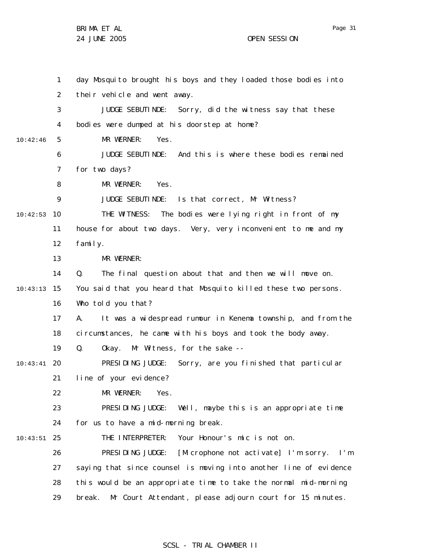1 2 3 4 5 6 7 8 9 10 10:42:53 11 12 13 14 15 10:43:13 16 17 18 19 20 10:43:41 21 22 23 24 25 10:43:51 26 27 28 29 10:42:46 day Mosquito brought his boys and they loaded those bodies into their vehicle and went away. JUDGE SEBUTINDE: Sorry, did the witness say that these bodies were dumped at his doorstep at home? MR WERNER: Yes. JUDGE SEBUTINDE: And this is where these bodies remained for two days? MR WERNER: Yes. JUDGE SEBUTINDE: Is that correct, Mr Witness? THE WITNESS: The bodies were lying right in front of my house for about two days. Very, very inconvenient to me and my family. MR WERNER: Q. The final question about that and then we will move on. You said that you heard that Mosquito killed these two persons. Who told you that? A. It was a widespread rumour in Kenema township, and from the circumstances, he came with his boys and took the body away. Q. Okay. Mr Witness, for the sake -- PRESIDING JUDGE: Sorry, are you finished that particular line of your evidence? MR WERNER: Yes. PRESIDING JUDGE: Well, maybe this is an appropriate time for us to have a mid-morning break. THE INTERPRETER: Your Honour's mic is not on. PRESIDING JUDGE: [Microphone not activate] I'm sorry. I'm saying that since counsel is moving into another line of evidence this would be an appropriate time to take the normal mid-morning break. Mr Court Attendant, please adjourn court for 15 minutes.

### SCSL - TRIAL CHAMBER II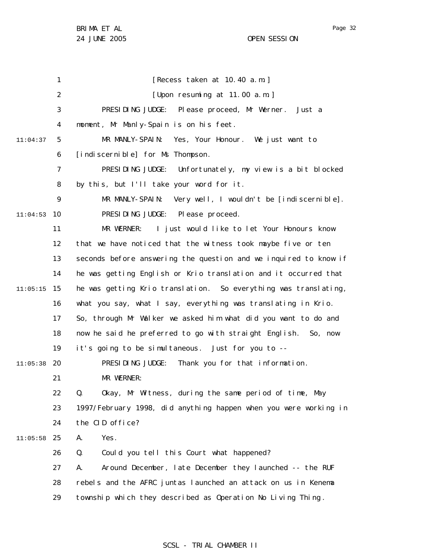Page 32

1 2 3 4 5 6 7 8 9 10 11:04:53 11 12 13 14 15 11:05:15 16 17 18 19 20 11:05:38 21 22 23 24 25 11:05:58 26 27 28 29 11:04:37 [Recess taken at 10.40 a.m.] [Upon resuming at 11.00 a.m.] PRESIDING JUDGE: Please proceed, Mr Werner. Just a moment, Mr Manly-Spain is on his feet. MR MANLY-SPAIN: Yes, Your Honour. We just want to [indiscernible] for Ms Thompson. PRESIDING JUDGE: Unfortunately, my view is a bit blocked by this, but I'll take your word for it. MR MANLY-SPAIN: Very well, I wouldn't be [indiscernible]. PRESIDING JUDGE: Please proceed. MR WERNER: I just would like to let Your Honours know that we have noticed that the witness took maybe five or ten seconds before answering the question and we inquired to know if he was getting English or Krio translation and it occurred that he was getting Krio translation. So everything was translating, what you say, what I say, everything was translating in Krio. So, through Mr Walker we asked him what did you want to do and now he said he preferred to go with straight English. So, now it's going to be simultaneous. Just for you to --PRESIDING JUDGE: Thank you for that information. MR WERNER: Q. Okay, Mr Witness, during the same period of time, May 1997/February 1998, did anything happen when you were working in the CID office? A. Yes. Q. Could you tell this Court what happened? A. Around December, late December they launched -- the RUF rebels and the AFRC juntas launched an attack on us in Kenema township which they described as Operation No Living Thing .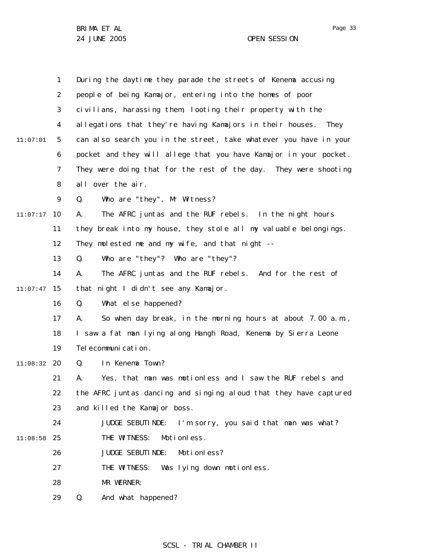|          | $\mathbf{1}$ | During the daytime they parade the streets of Kenema accusing     |
|----------|--------------|-------------------------------------------------------------------|
|          | 2            | people of being Kamajor, entering into the homes of poor          |
|          | 3            | civilians, harassing them, looting their property with the        |
|          | 4            | allegations that they're having Kamajors in their houses.<br>They |
| 11:07:01 | 5            | can also search you in the street, take whatever you have in your |
|          | 6            | pocket and they will allege that you have Kamajor in your pocket. |
|          | 7            | They were doing that for the rest of the day. They were shooting  |
|          | 8            | all over the air.                                                 |
|          | 9            | Who are "they", Mr Witness?<br>Q.                                 |
| 11:07:17 | 10           | The AFRC juntas and the RUF rebels. In the night hours<br>А.      |
|          | 11           | they break into my house, they stole all my valuable belongings.  |
|          | 12           | They molested me and my wife, and that night --                   |
|          | 13           | Who are "they"? Who are "they"?<br>Q.                             |
|          | 14           | The AFRC juntas and the RUF rebels. And for the rest of<br>А.     |
| 11:07:47 | 15           | that night I didn't see any Kamajor.                              |
|          | 16           | What else happened?<br>Q.                                         |
|          | 17           | So when day break, in the morning hours at about 7.00 a.m.,<br>Α. |
|          | 18           | I saw a fat man lying along Hangh Road, Kenema by Sierra Leone    |
|          | 19           | Tel ecommuni cation.                                              |
| 11:08:32 | 20           | In Kenema Town?<br>Q.                                             |
|          | 21           | Yes, that man was motionless and I saw the RUF rebels and<br>А.   |
|          | 22           | the AFRC juntas dancing and singing aloud that they have captured |
|          | 23           | and killed the Kamajor boss.                                      |
|          | 24           | JUDGE SEBUTINDE: I'm sorry, you said that man was what?           |
| 11:08:58 | 25           | THE WITNESS:<br>Moti onless.                                      |
|          | 26           | Moti onless?<br>JUDGE SEBUTI NDE:                                 |
|          | 27           | THE WITNESS:<br>Was lying down motionless.                        |
|          | 28           | MR WERNER:                                                        |
|          | 29           | Q.<br>And what happened?                                          |

# SCSL - TRIAL CHAMBER II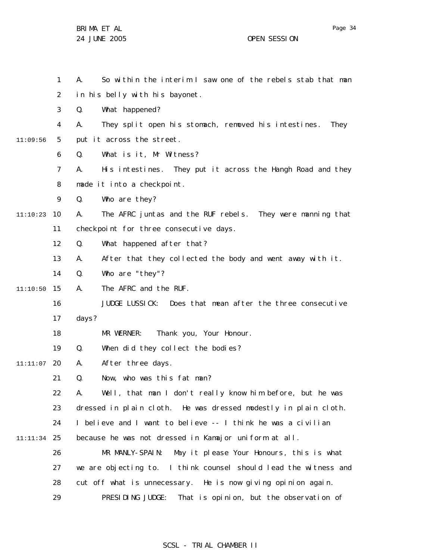1 2 3 4 5 6 7 8 9 10 11:10:23 11 12 13 14 15 11:10:50 16 17 18 19 20 11:11:07 21 22 23 24 25 11:11:34 26 27 28 29 11:09:56 A. So within the interim I saw one of the rebels stab that man in his belly with his bayonet. Q. What happened? A. They split open his stomach, removed his intestines. They put it across the street. Q. What is it, Mr Witness? A. His intestines. They put it across the Hangh Road and they made it into a checkpoint. Q. Who are they? A. The AFRC juntas and the RUF rebels. They were manning that checkpoint for three consecutive days. Q. What happened after that? A. After that they collected the body and went away with it. Q. Who are "they"? A. The AFRC and the RUF. JUDGE LUSSICK: Does that mean after the three consecutive days? MR WERNER: Thank you, Your Honour. Q. When did they collect the bodies? A. After three days. Q. Now, who was this fat man? A. Well, that man I don't really know him before, but he was dressed in plain cloth. He was dressed modestly in plain cloth. I believe and I want to believe -- I think he was a civilian because he was not dressed in Kamajor uniform at all. MR MANLY-SPAIN: May it please Your Honours, this is what we are objecting to. I think counsel should lead the witness and cut off what is unnecessary. He is now giving opinion again. PRESIDING JUDGE: That is opinion, but the observation of

SCSL - TRIAL CHAMBER II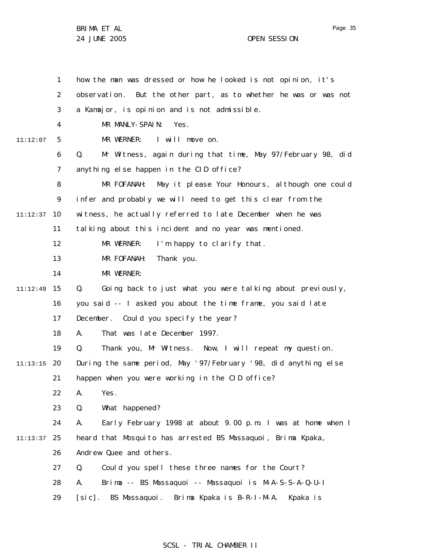1 2 3 4 5 6 7 8 9 10 11:12:37 11 12 13 14 15 11:12:49 16 17 18 19 20 11:13:15 21 22 23 24 25 11:13:37 26 27 28 29 11:12:07 how the man was dressed or how he looked is not opinion, it's observation. But the other part, as to whether he was or was not a Kamajor, is opinion and is not admissible. MR MANLY-SPAIN: Yes. MR WERNER: I will move on. Q. Mr Witness, again during that time, May 97/February 98, did anything else happen in the CID office? MR FOFANAH: May it please Your Honours, although one could infer and probably we will need to get this clear from the witness, he actually referred to late December when he was talking about this incident and no year was mentioned. MR WERNER: I'm happy to clarify that. MR FOFANAH: Thank you. MR WERNER: Q. Going back to just what you were talking about previously, you said -- I asked you about the time frame, you said late December. Could you specify the year? A. That was late December 1997. Q. Thank you, Mr Witness. Now, I will repeat my question. During the same period, May '97/February '98, did anything else happen when you were working in the CID office? A. Yes. Q. What happened? A. Early February 1998 at about 9.00 p.m. I was at home when I heard that Mosquito has arrested BS Massaquoi, Brima Kpaka, Andrew Quee and others. Q. Could you spell these three names for the Court? A. Brima -- BS Massaquoi -- Massaquoi is M-A-S-S-A-Q-U-I [sic]. BS Massaquoi. Brima Kpaka is B-R-I-M-A. Kpaka is

### SCSL - TRIAL CHAMBER II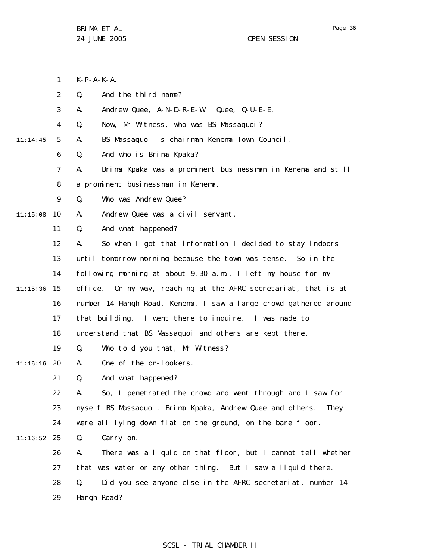- 1  $K-P-A-K-A$ .
- 2 Q. And the third name?
- 3 A. Andrew Quee, A-N-D-R-E-W. Quee, Q-U-E-E.
- 4 Q. Now, Mr Witness, who was BS Massaquoi?
- 5 11:14:45 A. BS Massaquoi is chairman Kenema Town Council.
	- 6 Q. And who is Brima Kpaka?
	- 7 A. Brima Kpaka was a prominent businessman in Kenema and still
	- 8 a prominent businessman in Kenema.
	- 9 Q. Who was Andrew Quee?
- 10 11:15:08 A. Andrew Quee was a civil servant.
	- 11 Q. And what happened?
	- 12 A. So when I got that information I decided to stay indoors
	- 13 until tomorrow morning because the town was tense. So in the
	- 14 following morning at about 9.30 a.m., I left my house for my
- 15 11:15:36 office. On my way, reaching at the AFRC secretariat, that is at
	- 16 number 14 Hangh Road, Kenema, I saw a large crowd gathered around
	- 17 that building. I went there to inquire. I was made to
		- 18 understand that BS Massaquoi and others are kept there.
		- 19 Q. Who told you that, Mr Witness?
- 20 11:16:16 A. One of the on-lookers.
	- 21 Q. And what happened?
	- 22 23 24 A. So, I penetrated the crowd and went through and I saw for myself BS Massaquoi, Brima Kpaka, Andrew Quee and others. They were all lying down flat on the ground, on the bare floor.
- 25 11:16:52 Q. Carry on.
	- 26 27 28 29 A. There was a liquid on that floor, but I cannot tell whether that was water or any other thing. But I saw a liquid there. Q. Did you see anyone else in the AFRC secretariat, number 14 Hangh Road?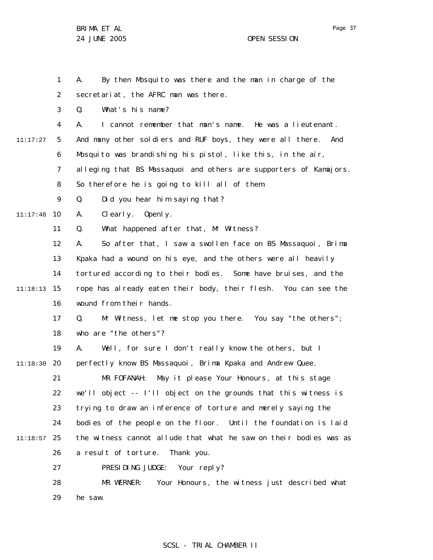Page 37

1 2 3 4 5 6 7 8 9 10 11:17:48 11 12 13 14 15 11:18:13 16 17 18 19 20 11:18:30 21 22 23 24 25 11:18:57 26 27 28 29 11:17:27 A. By then Mosquito was there and the man in charge of the secretariat, the AFRC man was there. Q. What's his name? A. I cannot remember that man's name. He was a lieutenant. And many other soldiers and RUF boys, they were all there. And Mosquito was brandishing his pistol, like this, in the air, alleging that BS Massaquoi and others are supporters of Kamajors. So therefore he is going to kill all of them. Q. Did you hear him saying that? A. Clearly. Openly. Q. What happened after that, Mr Witness? A. So after that, I saw a swollen face on BS Massaquoi, Brima Kpaka had a wound on his eye, and the others were all heavily tortured according to their bodies. Some have bruises, and the rope has already eaten their body, their flesh. You can see the wound from their hands. Q. Mr Witness, let me stop you there. You say "the others"; who are "the others"? A. Well, for sure I don't really know the others, but I perfectly know BS Massaquoi, Brima Kpaka and Andrew Quee. MR FOFANAH: May it please Your Honours, at this stage we'll object -- I'll object on the grounds that this witness is trying to draw an inference of torture and merely saying the bodies of the people on the floor. Until the foundation is laid the witness cannot allude that what he saw on their bodies was as a result of torture. Thank you. PRESIDING JUDGE: Your reply? MR WERNER: Your Honours, the witness just described what he saw.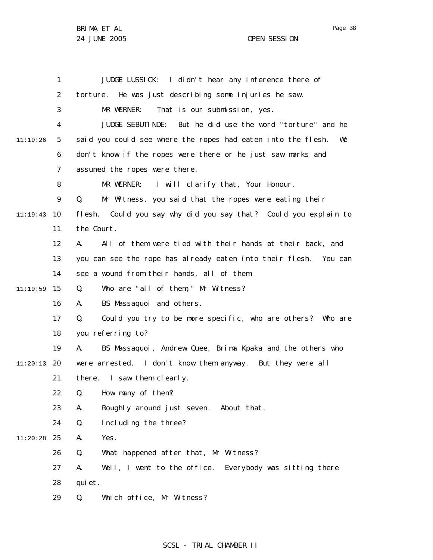|          | 1  | JUDGE LUSSICK: I didn't hear any inference there of                |
|----------|----|--------------------------------------------------------------------|
|          | 2  | torture. He was just describing some injuries he saw.              |
|          | 3  | MR WERNER:<br>That is our submission, yes.                         |
|          | 4  | JUDGE SEBUTINDE: But he did use the word "torture" and he          |
| 11:19:26 | 5  | said you could see where the ropes had eaten into the flesh.<br>We |
|          | 6  | don't know if the ropes were there or he just saw marks and        |
|          | 7  | assumed the ropes were there.                                      |
|          | 8  | MR WERNER: I will clarify that, Your Honour.                       |
|          | 9  | Mr Witness, you said that the ropes were eating their<br>Q.        |
| 11:19:43 | 10 | flesh. Could you say why did you say that? Could you explain to    |
|          | 11 | the Court.                                                         |
|          | 12 | All of them were tied with their hands at their back, and<br>А.    |
|          | 13 | you can see the rope has already eaten into their flesh. You can   |
|          | 14 | see a wound from their hands, all of them.                         |
| 11:19:59 | 15 | Who are "all of them," Mr Witness?<br>Q.                           |
|          | 16 | BS Massaquoi and others.<br>А.                                     |
|          | 17 | Could you try to be more specific, who are others? Who are<br>Q.   |
|          | 18 | you referring to?                                                  |
|          | 19 | BS Massaquoi, Andrew Quee, Brima Kpaka and the others who<br>А.    |
| 11:20:13 | 20 | were arrested. I don't know them anyway. But they were all         |
|          | 21 | there. I saw them clearly.                                         |
|          | 22 | Q. How many of them?                                               |
|          | 23 | Α.<br>Roughly around just seven. About that.                       |
|          | 24 | Q.<br>Including the three?                                         |
| 11:20:28 | 25 | Yes.<br>Α.                                                         |
|          | 26 | Q.<br>What happened after that, Mr Witness?                        |
|          | 27 | Α.<br>Well, I went to the office. Everybody was sitting there      |
|          | 28 | qui et.                                                            |
|          | 29 | Q.<br>Which office, Mr Witness?                                    |

## SCSL - TRIAL CHAMBER II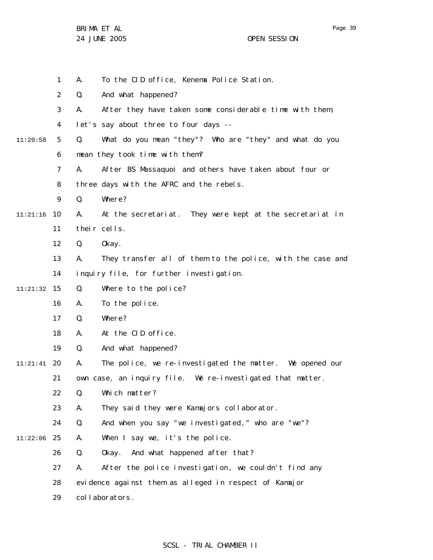|          | 1              | А. | To the CID office, Kenema Police Station.                  |
|----------|----------------|----|------------------------------------------------------------|
|          | 2              | Q. | And what happened?                                         |
|          | 3              | А. | After they have taken some considerable time with them,    |
|          | 4              |    | let's say about three to four days --                      |
| 11:20:58 | 5              | Q. | What do you mean "they"? Who are "they" and what do you    |
|          | 6              |    | mean they took time with them?                             |
|          | $\overline{7}$ | А. | After BS Massaquoi and others have taken about four or     |
|          | 8              |    | three days with the AFRC and the rebels.                   |
|          | 9              | Q. | Where?                                                     |
| 11:21:16 | 10             | А. | At the secretariat. They were kept at the secretariat in   |
|          | 11             |    | their cells.                                               |
|          | 12             | Q. | 0kay.                                                      |
|          | 13             | А. | They transfer all of them to the police, with the case and |
|          | 14             |    | inquiry file, for further investigation.                   |
| 11:21:32 | 15             | Q. | Where to the police?                                       |
|          | 16             | А. | To the police.                                             |
|          | 17             | Q. | Where?                                                     |
|          | 18             | А. | At the CID office.                                         |
|          | 19             | Q. | And what happened?                                         |
| 11:21:41 | 20             | Α. | The police, we re-investigated the matter. We opened our   |
|          | 21             |    | own case, an inquiry file. We re-investigated that matter. |
|          | 22             | Q. | Which matter?                                              |
|          | 23             | А. | They said they were Kamajors collaborator.                 |
|          | 24             | Q. | And when you say "we investigated," who are "we"?          |
| 11:22:06 | 25             | А. | When I say we, it's the police.                            |
|          | 26             | Q. | And what happened after that?<br>0kay.                     |
|          | 27             | А. | After the police investigation, we couldn't find any       |
|          | 28             |    | evidence against them as alleged in respect of Kamajor     |
|          | 29             |    | collaborators.                                             |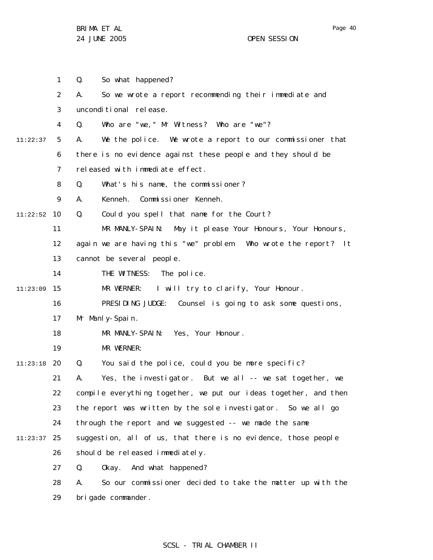1 2 3 4 5 6 7 8 9 10 11:22:52 11 12 13 14 15 11:23:09 16 17 18 19 20 11:23:18 21 22 23 24 25 11:23:37 26 27 28 29 11:22:37 Q. So what happened? A. So we wrote a report recommending their immediate and unconditional release. Q. Who are "we," Mr Witness? Who are "we"? A. We the police. We wrote a report to our commissioner that there is no evidence against these people and they should be released with immediate effect. Q. What's his name, the commissioner? A. Kenneh. Commissioner Kenneh. Q. Could you spell that name for the Court? MR MANLY-SPAIN: May it please Your Honours, Your Honours, again we are having this "we" problem. Who wrote the report? It cannot be several people. THE WITNESS: The police. MR WERNER: I will try to clarify, Your Honour. PRESIDING JUDGE: Counsel is going to ask some questions, Mr Manly-Spain. MR MANLY-SPAIN: Yes, Your Honour. MR WERNER: Q. You said the police, could you be more specific? A. Yes, the investigator. But we all -- we sat together, we compile everything together, we put our ideas together, and then the report was written by the sole investigator. So we all go through the report and we suggested -- we made the same suggestion, all of us, that there is no evidence, those people should be released immediately. Q. Okay. And what happened? A. So our commissioner decided to take the matter up with the brigade commander.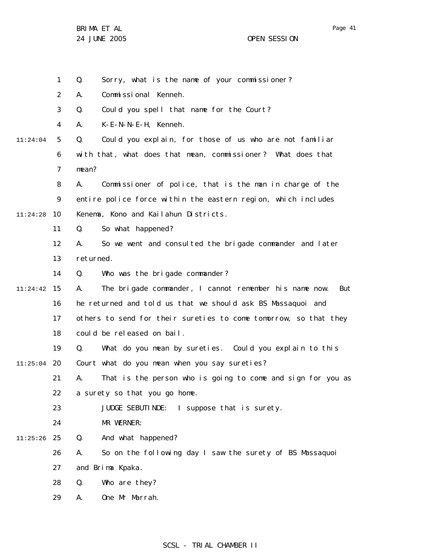1 Q. Sorry, what is the name of your commissioner?

2 A. Commissional Kenneh.

3 Q. Could you spell that name for the Court?

4 A. K-E-N-N-E-H, Kenneh.

5 6 7 11:24:04 Q. Could you explain, for those of us who are not familiar with that, what does that mean, commissioner? What does that mean?

8 9 10 11:24:28 A. Commissioner of police, that is the man in charge of the entire police force within the eastern region, which includes Kenema, Kono and Kailahun Districts.

> 11 Q. So what happened?

12 13 A. So we went and consulted the brigade commander and later returned.

14 Q. Who was the brigade commander?

15 11:24:42 16 17 A. The brigade commander, I cannot remember his name now. But he returned and told us that we should ask BS Massaquoi and others to send for their sureties to come tomorrow, so that they

18 could be released on bail.

19 Q. What do you mean by sureties. Could you explain to this

20 11:25:04 Court what do you mean when you say sureties?

> 21 22 A. That is the person who is going to come and sign for you as a surety so that you go home.

23 JUDGE SEBUTINDE: I suppose that is surety.

24 MR WERNER:

25 11:25:26 Q. And what happened?

> 26 A. So on the following day I saw the surety of BS Massaquoi

27 and Brima Kpaka.

28 Q. Who are they?

29 A. One Mr Marrah.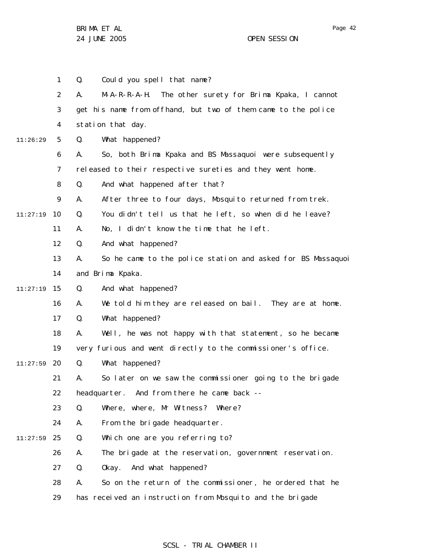1 2 3 4 5 6 7 8 9 10 11:27:19 11 12 13 14 15 11:27:19 16 17 18 19 20 11:27:59 21 22 23 24 25 11:27:59 26 27 28 29 11:26:29 Q. Could you spell that name? A. M-A-R-R-A-H. The other surety for Brima Kpaka, I cannot get his name from offhand, but two of them came to the police station that day. Q. What happened? A. So, both Brima Kpaka and BS Massaquoi were subsequently released to their respective sureties and they went home. Q. And what happened after that? A. After three to four days, Mosquito returned from trek. Q. You didn't tell us that he left, so when did he leave? A. No, I didn't know the time that he left. Q. And what happened? A. So he came to the police station and asked for BS Massaquoi and Brima Kpaka. Q. And what happened? A. We told him they are released on bail. They are at home. Q. What happened? A. Well, he was not happy with that statement, so he became very furious and went directly to the commissioner's office. Q. What happened? A. So later on we saw the commissioner going to the brigade headquarter. And from there he came back -- Q. Where, where, Mr Witness? Where? A. From the brigade headquarter. Q. Which one are you referring to? A. The brigade at the reservation, government reservation. Q. Okay. And what happened? A. So on the return of the commissioner, he ordered that he has received an instruction from Mosquito and the brigade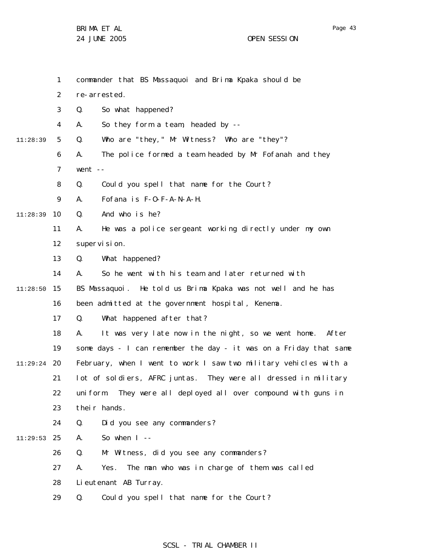|          | $\mathbf{1}$   | commander that BS Massaquoi and Brima Kpaka should be              |
|----------|----------------|--------------------------------------------------------------------|
|          | 2              | re-arrested.                                                       |
|          | 3              | So what happened?<br>Q.                                            |
|          | 4              | So they form a team, headed by --<br>А.                            |
| 11:28:39 | 5              | Who are "they, " Mr Witness? Who are "they"?<br>Q.                 |
|          | 6              | The police formed a team headed by Mr Fofanah and they<br>А.       |
|          | $\overline{7}$ | went $--$                                                          |
|          | 8              | Q.<br>Could you spell that name for the Court?                     |
|          | 9              | Fofana is F-O-F-A-N-A-H.<br>А.                                     |
| 11:28:39 | 10             | And who is he?<br>Q.                                               |
|          | 11             | He was a police sergeant working directly under my own<br>А.       |
|          | 12             | supervision.                                                       |
|          | 13             | What happened?<br>Q.                                               |
|          | 14             | So he went with his team and later returned with<br>А.             |
| 11:28:50 | 15             | BS Massaquoi. He told us Brima Kpaka was not well and he has       |
|          | 16             | been admitted at the government hospital, Kenema.                  |
|          | 17             | What happened after that?<br>Q.                                    |
|          | 18             | It was very late now in the night, so we went home. After<br>А.    |
|          | 19             | some days - I can remember the day - it was on a Friday that same  |
| 11:29:24 | - 20           | February, when I went to work I saw two military vehicles with a   |
|          | 21             | lot of soldiers, AFRC juntas. They were all dressed in military    |
|          | 22             | They were all deployed all over compound with guns in<br>uni form. |
|          | 23             | their hands.                                                       |
|          | 24             | Did you see any commanders?<br>Q.                                  |
| 11:29:53 | 25             | So when $1 - -$<br>А.                                              |
|          | 26             | Mr Witness, did you see any commanders?<br>Q.                      |
|          | 27             | The man who was in charge of them was called<br>Yes.<br>А.         |
|          | 28             | Li eutenant AB Turray.                                             |
|          | 29             | Could you spell that name for the Court?<br>Q.                     |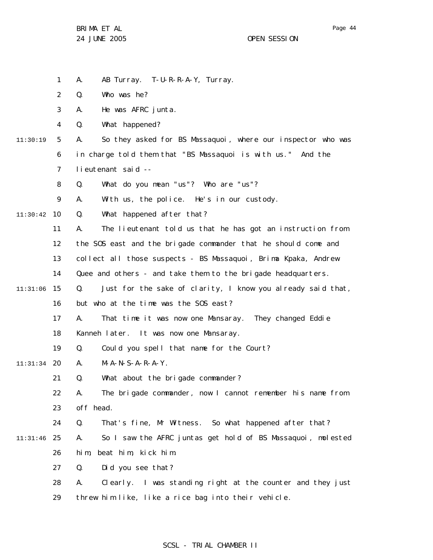BRIMA ET AL

1 2 3 4 5 6 7 8 9 10 11:30:42 11 12 13 14 15 11:31:06 16 17 18 19 20 11:31:34 21 22 23 24 25 11:31:46 26 27 28 29 11:30:19 A. AB Turray. T-U-R-R-A-Y, Turray. Q. Who was he? A. He was AFRC junta. Q. What happened? A. So they asked for BS Massaquoi, where our inspector who was in charge told them that "BS Massaquoi is with us." And the lieutenant said -- Q. What do you mean "us"? Who are "us"? A. With us, the police. He's in our custody. Q. What happened after that? A. The lieutenant told us that he has got an instruction from the SOS east and the brigade commander that he should come and collect all those suspects - BS Massaquoi, Brima Kpaka, Andrew Quee and others - and take them to the brigade headquarters. Q. Just for the sake of clarity, I know you already said that, but who at the time was the SOS east? A. That time it was now one Mansaray. They changed Eddie Kanneh later. It was now one Mansaray. Q. Could you spell that name for the Court? A. M-A-N-S-A-R-A-Y. Q. What about the brigade commander? A. The brigade commander, now I cannot remember his name from off head. Q. That's fine, Mr Witness. So what happened after that? A. So I saw the AFRC juntas get hold of BS Massaquoi, molested him, beat him, kick him. Q. Did you see that? A. Clearly. I was standing right at the counter and they just threw him like, like a rice bag into their vehicle.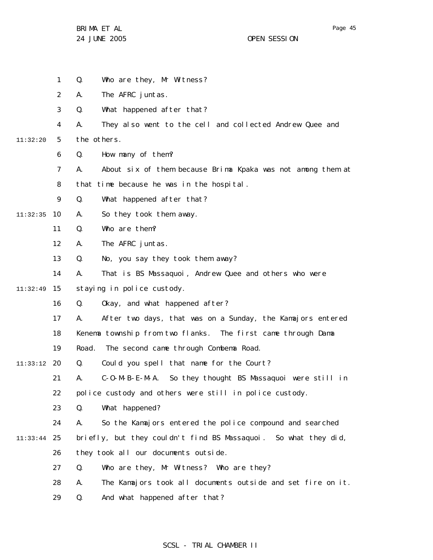|          | 1              | Q.<br>Who are they, Mr Witness?                                   |
|----------|----------------|-------------------------------------------------------------------|
|          | $\overline{2}$ | The AFRC juntas.<br>А.                                            |
|          | 3              | Q.<br>What happened after that?                                   |
|          | 4              | They also went to the cell and collected Andrew Quee and<br>А.    |
| 11:32:20 | 5              | the others.                                                       |
|          | 6              | How many of them?<br>Q.                                           |
|          | 7              | About six of them because Brima Kpaka was not among them at<br>А. |
|          | 8              | that time because he was in the hospital.                         |
|          | 9              | Q.<br>What happened after that?                                   |
| 11:32:35 | 10             | А.<br>So they took them away.                                     |
|          | 11             | Q.<br>Who are them?                                               |
|          | 12             | А.<br>The AFRC juntas.                                            |
|          | 13             | Q.<br>No, you say they took them away?                            |
|          | 14             | That is BS Massaquoi, Andrew Quee and others who were<br>А.       |
| 11:32:49 | 15             | staying in police custody.                                        |
|          | 16             | Okay, and what happened after?<br>Q.                              |
|          | 17             | After two days, that was on a Sunday, the Kamajors entered<br>А.  |
|          | 18             | Kenema township from two flanks. The first came through Dama      |
|          | 19             | Road.<br>The second came through Combema Road.                    |
| 11:33:12 | -20            | Could you spell that name for the Court?<br>Q.                    |
|          | 21             | C-O-M-B-E-M-A. So they thought BS Massaquoi were still in<br>А.   |
|          | 22             | police custody and others were still in police custody.           |
|          | 23             | What happened?<br>Q.                                              |
|          | 24             | So the Kamajors entered the police compound and searched<br>А.    |
| 11:33:44 | 25             | briefly, but they couldn't find BS Massaquoi. So what they did,   |
|          | 26             | they took all our documents outside.                              |
|          | 27             | Q.<br>Who are they, Mr Witness? Who are they?                     |
|          | 28             | The Kamajors took all documents outside and set fire on it.<br>А. |
|          | 29             | Q.<br>And what happened after that?                               |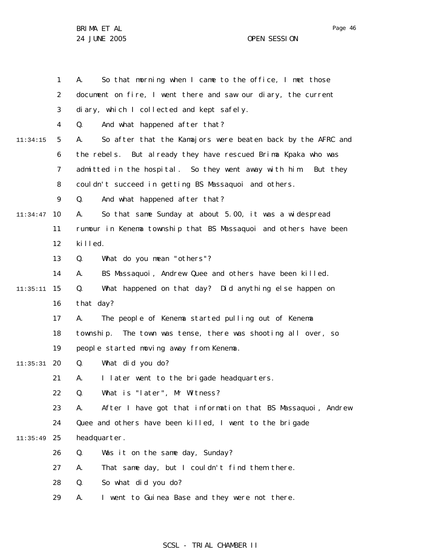Page 46

|          | 1  | So that morning when I came to the office, I met those<br>А.      |
|----------|----|-------------------------------------------------------------------|
|          | 2  | document on fire, I went there and saw our diary, the current     |
|          | 3  | diary, which I collected and kept safely.                         |
|          | 4  | And what happened after that?<br>Q.                               |
| 11:34:15 | 5  | So after that the Kamajors were beaten back by the AFRC and<br>А. |
|          | 6  | the rebels. But already they have rescued Brima Kpaka who was     |
|          | 7  | admitted in the hospital. So they went away with him. But they    |
|          | 8  | couldn't succeed in getting BS Massaquoi and others.              |
|          | 9  | And what happened after that?<br>Q.                               |
| 11:34:47 | 10 | So that same Sunday at about 5.00, it was a widespread<br>А.      |
|          | 11 | rumour in Kenema township that BS Massaquoi and others have been  |
|          | 12 | killed.                                                           |
|          | 13 | What do you mean "others"?<br>Q.                                  |
|          | 14 | BS Massaquoi, Andrew Quee and others have been killed.<br>А.      |
| 11:35:11 | 15 | What happened on that day? Did anything else happen on<br>Q.      |
|          | 16 | that day?                                                         |
|          | 17 | The people of Kenema started pulling out of Kenema<br>А.          |
|          | 18 | The town was tense, there was shooting all over, so<br>township.  |
|          | 19 | people started moving away from Kenema.                           |
| 11:35:31 | 20 | What did you do?<br>Q.                                            |
|          | 21 | I later went to the brigade headquarters.<br>А.                   |
|          | 22 | Q.<br>What is "later", Mr Witness?                                |
|          | 23 | After I have got that information that BS Massaquoi, Andrew<br>А. |
|          | 24 | Quee and others have been killed, I went to the brigade           |
| 11:35:49 | 25 | headquarter.                                                      |
|          | 26 | Was it on the same day, Sunday?<br>Q.                             |
|          | 27 | That same day, but I couldn't find them there.<br>А.              |
|          | 28 | So what did you do?<br>Q.                                         |
|          | 29 | I went to Guinea Base and they were not there.<br>Α.              |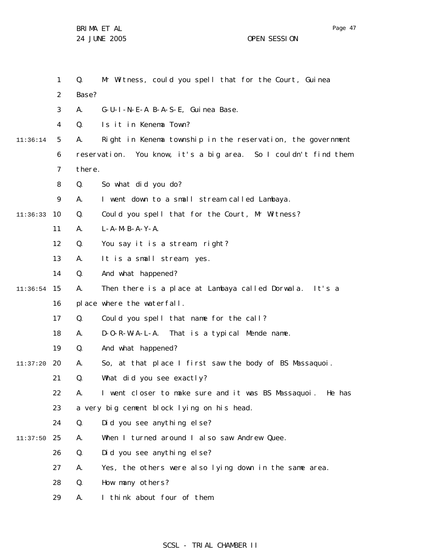|          | $\mathbf{1}$   | Q.          | Mr Witness, could you spell that for the Court, Guinea          |
|----------|----------------|-------------|-----------------------------------------------------------------|
|          | $\overline{2}$ | Base?       |                                                                 |
|          | 3              | А.          | G-U-I-N-E-A B-A-S-E, Guinea Base.                               |
|          | 4              | Q.          | Is it in Kenema Town?                                           |
| 11:36:14 | 5              | А.          | Right in Kenema township in the reservation, the government     |
|          | 6              |             | reservation. You know, it's a big area. So I couldn't find them |
|          | 7              | there.      |                                                                 |
|          | 8              | Q.          | So what did you do?                                             |
|          | 9              | А.          | I went down to a small stream called Lambaya.                   |
| 11:36:33 | 10             | Q.          | Could you spell that for the Court, Mr Witness?                 |
|          | 11             | А.          | $L - A - M - B - A - Y - A$ .                                   |
|          | 12             | Q.          | You say it is a stream, right?                                  |
|          | 13             | Α.          | It is a small stream, yes.                                      |
|          | 14             | Q.          | And what happened?                                              |
| 11:36:54 | 15             | Α.          | Then there is a place at Lambaya called Dorwala. It's a         |
|          | 16             |             | place where the waterfall.                                      |
|          | 17             | Q.          | Could you spell that name for the call?                         |
|          | 18             | Α.          | D-O-R-W-A-L-A. That is a typical Mende name.                    |
|          | 19             | Q.          | And what happened?                                              |
| 11:37:20 | 20             | Α.          | So, at that place I first saw the body of BS Massaquoi.         |
|          | 21             | Q.          | What did you see exactly?                                       |
|          | 22.            | $A_{\cdot}$ | I went closer to make sure and it was BS Massaquoi. He has      |
|          | 23             |             | a very big cement block lying on his head.                      |
|          | 24             | Q.          | Did you see anything else?                                      |
| 11:37:50 | 25             | Α.          | When I turned around I also saw Andrew Quee.                    |
|          | 26             | Q.          | Did you see anything else?                                      |
|          | 27             | Α.          | Yes, the others were also lying down in the same area.          |
|          | 28             | Q.          | How many others?                                                |
|          | 29             | Α.          | I think about four of them.                                     |

# SCSL - TRIAL CHAMBER II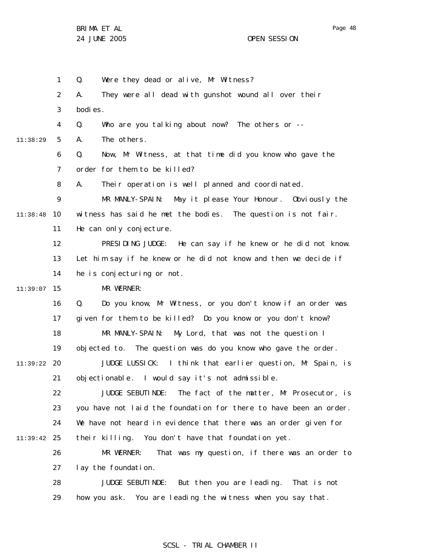1 2 3 4 5 6 7 8 9 10 11:38:48 11 12 13 14 15 11:39:07 16 17 18 19 20 11:39:22 21 22 23 24 25 11:39:42 26 27 28 29 11:38:29 Q. Were they dead or alive, Mr Witness? A. They were all dead with gunshot wound all over their bodies. Q. Who are you talking about now? The others or -- A. The others. Q. Now, Mr Witness, at that time did you know who gave the order for them to be killed? A. Their operation is well planned and coordinated. MR MANLY-SPAIN: May it please Your Honour. Obviously the witness has said he met the bodies. The question is not fair. He can only conjecture. PRESIDING JUDGE: He can say if he knew or he did not know. Let him say if he knew or he did not know and then we decide if he is conjecturing or not. MR WERNER: Q. Do you know, Mr Witness, or you don't know if an order was given for them to be killed? Do you know or you don't know? MR MANLY-SPAIN: My Lord, that was not the question I objected to. The question was do you know who gave the order. JUDGE LUSSICK: I think that earlier question, Mr Spain, is objectionable. I would say it's not admissible. JUDGE SEBUTINDE: The fact of the matter, Mr Prosecutor, is you have not laid the foundation for there to have been an order. We have not heard in evidence that there was an order given for their killing. You don't have that foundation yet. MR WERNER: That was my question, if there was an order to lay the foundation. JUDGE SEBUTINDE: But then you are leading. That is not

#### SCSL - TRIAL CHAMBER II

how you ask. You are leading the witness when you say that.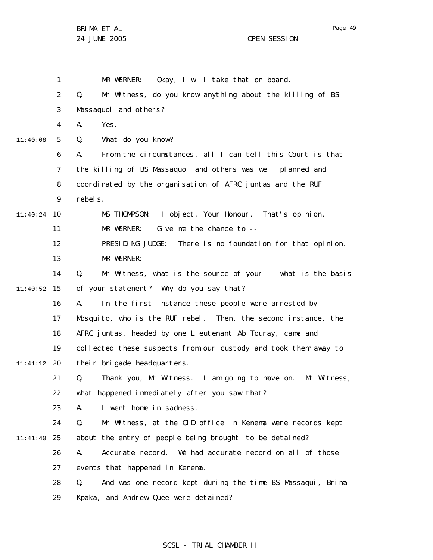1 2 3 4 5 6 7 8 9 10 11:40:24 11 12 13 14 15 11:40:52 16 17 18 19 20 11:41:12 21 22 23 24 25 11:41:40 26 27 28 29 11:40:08 MR WERNER: Okay, I will take that on board. Q. Mr Witness, do you know anything about the killing of BS Massaquoi and others? A. Yes. Q. What do you know? A. From the circumstances, all I can tell this Court is that the killing of BS Massaquoi and others was well planned and coordinated by the organisation of AFRC juntas and the RUF rebels. MS THOMPSON: I object, Your Honour. That's opinion. MR WERNER: Give me the chance to --PRESIDING JUDGE: There is no foundation for that opinion. MR WERNER: Q. Mr Witness, what is the source of your -- what is the basis of your statement? Why do you say that? A. In the first instance these people were arrested by Mosquito, who is the RUF rebel. Then, the second instance, the AFRC juntas, headed by one Lieutenant Ab Touray, came and collected these suspects from our custody and took them away to their brigade headquarters. Q. Thank you, Mr Witness. I am going to move on. Mr Witness, what happened immediately after you saw that? A. I went home in sadness. Q. Mr Witness, at the CID office in Kenema were records kept about the entry of people being brought to be detained? A. Accurate record. We had accurate record on all of those events that happened in Kenema. Q. And was one record kept during the time BS Massaqui, Brima Kpaka, and Andrew Quee were detained?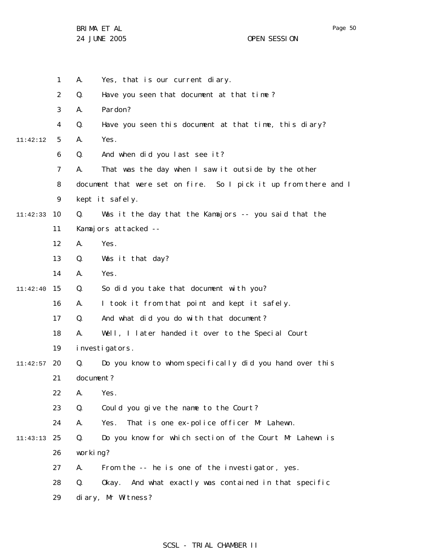Page 50

|          | 1              | А.        | Yes, that is our current diary.                                  |
|----------|----------------|-----------|------------------------------------------------------------------|
|          | $\overline{2}$ | Q.        | Have you seen that document at that time?                        |
|          | 3              | А.        | Pardon?                                                          |
|          | 4              | Q.        | Have you seen this document at that time, this diary?            |
| 11:42:12 | 5              | А.        | Yes.                                                             |
|          | 6              | Q.        | And when did you last see it?                                    |
|          | $\overline{7}$ | А.        | That was the day when I saw it outside by the other              |
|          | 8              |           | document that were set on fire. So I pick it up from there and I |
|          | 9              |           | kept it safely.                                                  |
| 11:42:33 | 10             | Q.        | Was it the day that the Kamajors -- you said that the            |
|          | 11             |           | Kamajors attacked --                                             |
|          | 12             | А.        | Yes.                                                             |
|          | 13             | Q.        | Was it that day?                                                 |
|          | 14             | А.        | Yes.                                                             |
| 11:42:40 | 15             | Q.        | So did you take that document with you?                          |
|          | 16             | Α.        | I took it from that point and kept it safely.                    |
|          | 17             | Q.        | And what did you do with that document?                          |
|          | 18             | А.        | Well, I later handed it over to the Special Court                |
|          | 19             |           | investigators.                                                   |
| 11:42:57 | 20             | Q.        | Do you know to whom specifically did you hand over this          |
|          | 21             | document? |                                                                  |
|          | 22             | Α.        | Yes.                                                             |
|          | 23             | Q.        | Could you give the name to the Court?                            |
|          | 24             | А.        | That is one ex-police officer Mr Lahewn.<br>Yes.                 |
| 11:43:13 | 25             | Q.        | Do you know for which section of the Court Mr Lahewn is          |
|          | 26             | working?  |                                                                  |
|          | 27             | А.        | From the -- he is one of the investigator, yes.                  |
|          | 28             | Q.        | And what exactly was contained in that specific<br>0kay.         |
|          | 29             |           | diary, Mr Witness?                                               |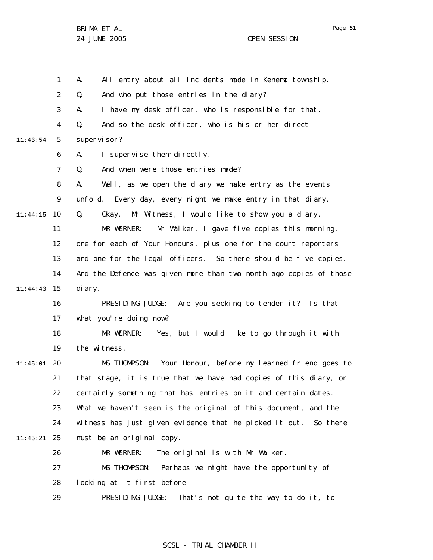|          | 1              | All entry about all incidents made in Kenema township.<br>А.       |
|----------|----------------|--------------------------------------------------------------------|
|          | $\overline{2}$ | Q.<br>And who put those entries in the diary?                      |
|          | 3              | I have my desk officer, who is responsible for that.<br>А.         |
|          | 4              | And so the desk officer, who is his or her direct<br>Q.            |
| 11:43:54 | 5              | supervi sor?                                                       |
|          | 6              | I supervise them directly.<br>А.                                   |
|          | $\overline{7}$ | And when were those entries made?<br>Q.                            |
|          | 8              | Well, as we open the diary we make entry as the events<br>А.       |
|          | 9              | unfold. Every day, every night we make entry in that diary.        |
| 11:44:15 | 10             | Q.<br>Mr Witness, I would like to show you a diary.<br>Okay.       |
|          | 11             | MR WERNER:<br>Mr Walker, I gave five copies this morning,          |
|          | 12             | one for each of Your Honours, plus one for the court reporters     |
|          | 13             | and one for the legal officers. So there should be five copies.    |
|          | 14             | And the Defence was given more than two month ago copies of those  |
| 11:44:43 | 15             | di ary.                                                            |
|          | 16             | PRESIDING JUDGE: Are you seeking to tender it? Is that             |
|          | 17             | what you're doing now?                                             |
|          | 18             | MR WERNER: Yes, but I would like to go through it with             |
|          | 19             | the witness.                                                       |
| 11:45:01 | 20             | MS THOMPSON: Your Honour, before my learned friend goes to         |
|          | 21             | that stage, it is true that we have had copies of this diary, or   |
|          | 22             | certainly something that has entries on it and certain dates.      |
|          | 23             | What we haven't seen is the original of this document, and the     |
|          | 24             | witness has just given evidence that he picked it out.<br>So there |
| 11:45:21 | 25             | must be an original copy.                                          |
|          | 26             | MR WERNER:<br>The original is with Mr Walker.                      |
|          | 27             | MS THOMPSON:<br>Perhaps we might have the opportunity of           |
|          | 28             | looking at it first before --                                      |
|          | 29             | PRESIDING JUDGE:<br>That's not quite the way to do it, to          |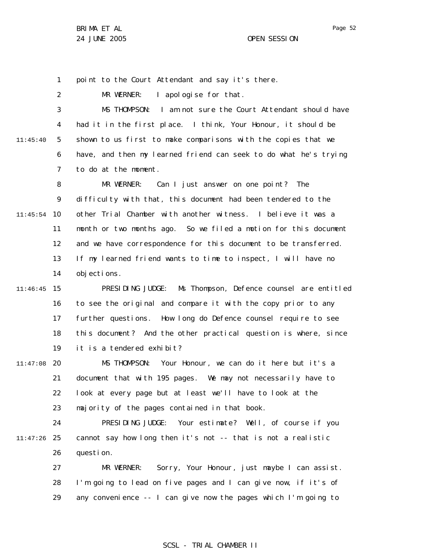1 point to the Court Attendant and say it's there.

2 MR WERNER: I apologise for that.

3 4 5 6 7 11:45:40 MS THOMPSON: I am not sure the Court Attendant should have had it in the first place. I think, Your Honour, it should be shown to us first to make comparisons with the copies that we have, and then my learned friend can seek to do what he's trying to do at the moment.

8 9 10 11:45:54 11 12 13 14 MR WERNER: Can I just answer on one point? The difficulty with that, this document had been tendered to the other Trial Chamber with another witness. I believe it was a month or two months ago. So we filed a motion for this document and we have correspondence for this document to be transferred. If my learned friend wants to time to inspect, I will have no objections.

15 11:46:45 16 17 18 19 PRESIDING JUDGE: Ms Thompson, Defence counsel are entitled to see the original and compare it with the copy prior to any further questions. How long do Defence counsel require to see this document? And the other practical question is where, since it is a tendered exhibit?

20 11:47:08 21 22 23 MS THOMPSON: Your Honour, we can do it here but it's a document that with 195 pages. We may not necessarily have to look at every page but at least we'll have to look at the majority of the pages contained in that book.

24 25 11:47:26 26 PRESIDING JUDGE: Your estimate? Well, of course if you cannot say how long then it's not -- that is not a realistic question.

27 28 29 MR WERNER: Sorry, Your Honour, just maybe I can assist. I'm going to lead on five pages and I can give now, if it's of any convenience -- I can give now the pages which I'm going to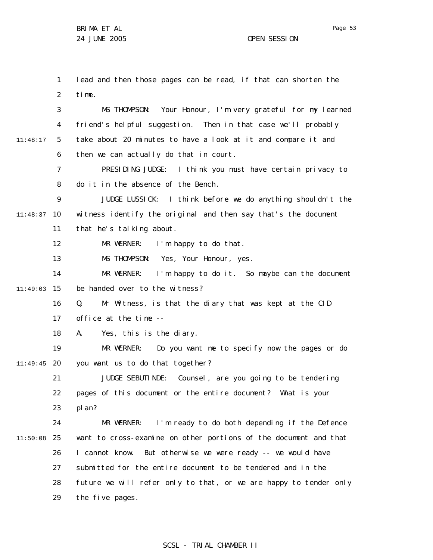1 2 3 4 5 6 7 8 9 10 11:48:37 11 12 13 14 15 11:49:03 16 17 18 19 20 11:49:45 21 22 23 24 25 11:50:08 26 27 28 29 11:48:17 lead and then those pages can be read, if that can shorten the time. MS THOMPSON: Your Honour, I'm very grateful for my learned friend's helpful suggestion. Then in that case we'll probably take about 20 minutes to have a look at it and compare it and then we can actually do that in court. PRESIDING JUDGE: I think you must have certain privacy to do it in the absence of the Bench. JUDGE LUSSICK: I think before we do anything shouldn't the witness identify the original and then say that's the document that he's talking about. MR WERNER: I'm happy to do that. MS THOMPSON: Yes, Your Honour, yes. MR WERNER: I'm happy to do it. So maybe can the document be handed over to the witness? Q. Mr Witness, is that the diary that was kept at the CID office at the time -- A. Yes, this is the diary. MR WERNER: Do you want me to specify now the pages or do you want us to do that together? JUDGE SEBUTINDE: Counsel, are you going to be tendering pages of this document or the entire document? What is your pl an? MR WERNER: I'm ready to do both depending if the Defence want to cross-examine on other portions of the document and that I cannot know. But otherwise we were ready -- we would have submitted for the entire document to be tendered and in the future we will refer only to that, or we are happy to tender only the five pages.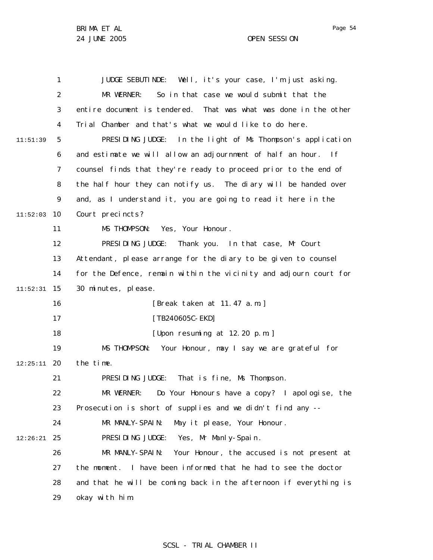|          | $\mathbf{1}$   | JUDGE SEBUTINDE: Well, it's your case, I'm just asking.           |
|----------|----------------|-------------------------------------------------------------------|
|          | $\overline{2}$ | So in that case we would submit that the<br>MR WERNER:            |
|          | 3              | entire document is tendered. That was what was done in the other  |
|          | 4              | Trial Chamber and that's what we would like to do here.           |
| 11:51:39 | 5              | PRESIDING JUDGE: In the light of Ms Thompson's application        |
|          | 6              | and estimate we will allow an adjournment of half an hour. If     |
|          | $\overline{7}$ | counsel finds that they're ready to proceed prior to the end of   |
|          | 8              | the half hour they can notify us. The diary will be handed over   |
|          | 9              | and, as I understand it, you are going to read it here in the     |
| 11:52:03 | 10             | Court precincts?                                                  |
|          | 11             | MS THOMPSON: Yes, Your Honour.                                    |
|          | 12             | PRESIDING JUDGE:<br>Thank you. In that case, Mr Court             |
|          | 13             | Attendant, please arrange for the diary to be given to counsel    |
|          | 14             | for the Defence, remain within the vicinity and adjourn court for |
| 11:52:31 | 15             | 30 minutes, please.                                               |
|          | 16             | [Break taken at 11.47 a.m.]                                       |
|          | 17             | [TB240605C-EKD]                                                   |
|          | 18             | [Upon resuming at 12.20 p.m.]                                     |
|          | 19             | MS THOMPSON: Your Honour, may I say we are grateful for           |
| 12:25:11 | 20             | the time.                                                         |
|          | 21             | PRESIDING JUDGE:<br>That is fine, Ms Thompson.                    |
|          | 22             | Do Your Honours have a copy? I apologise, the<br>MR WERNER:       |
|          | 23             | Prosecution is short of supplies and we didn't find any --        |
|          | 24             | MR MANLY-SPAIN:<br>May it please, Your Honour.                    |
| 12:26:21 | 25             | PRESIDING JUDGE: Yes, Mr Manly-Spain.                             |
|          | 26             | MR MANLY-SPAIN:<br>Your Honour, the accused is not present at     |
|          | 27             | the moment. I have been informed that he had to see the doctor    |
|          | 28             | and that he will be coming back in the afternoon if everything is |
|          | 29             | okay with him.                                                    |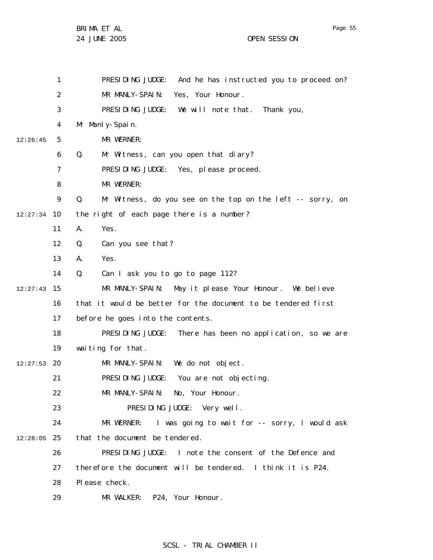|          | 1  | PRESIDING JUDGE: And he has instructed you to proceed on?        |
|----------|----|------------------------------------------------------------------|
|          | 2  | MR MANLY-SPAIN: Yes, Your Honour.                                |
|          | 3  | PRESIDING JUDGE: We will note that. Thank you,                   |
|          | 4  | Mr Manly-Spain.                                                  |
| 12:26:45 | 5  | MR WERNER:                                                       |
|          | 6  | Mr Witness, can you open that diary?<br>Q.                       |
|          | 7  | PRESIDING JUDGE: Yes, please proceed.                            |
|          | 8  | MR WERNER:                                                       |
|          | 9  | Q.<br>Mr Witness, do you see on the top on the left -- sorry, on |
| 12:27:34 | 10 | the right of each page there is a number?                        |
|          | 11 | Yes.<br>Α.                                                       |
|          | 12 | Q.<br>Can you see that?                                          |
|          | 13 | А.<br>Yes.                                                       |
|          | 14 | Q.<br>Can I ask you to go to page 112?                           |
| 12:27:43 | 15 | MR MANLY-SPAIN: May it please Your Honour. We believe            |
|          | 16 | that it would be better for the document to be tendered first    |
|          | 17 | before he goes into the contents.                                |
|          | 18 | PRESIDING JUDGE: There has been no application, so we are        |
|          | 19 | waiting for that.                                                |
| 12:27:53 | 20 | MR MANLY-SPAIN: We do not object.                                |
|          | 21 | PRESIDING JUDGE: You are not objecting.                          |
|          | 22 | MR MANLY-SPAIN: No, Your Honour.                                 |
|          | 23 | PRESIDING JUDGE: Very well.                                      |
|          | 24 | MR WERNER: I was going to wait for -- sorry, I would ask         |
| 12:28:05 | 25 | that the document be tendered.                                   |
|          | 26 | PRESIDING JUDGE: I note the consent of the Defence and           |
|          | 27 | therefore the document will be tendered. I think it is P24.      |
|          | 28 | PI ease check.                                                   |
|          | 29 | MR WALKER: P24, Your Honour.                                     |

## SCSL - TRIAL CHAMBER II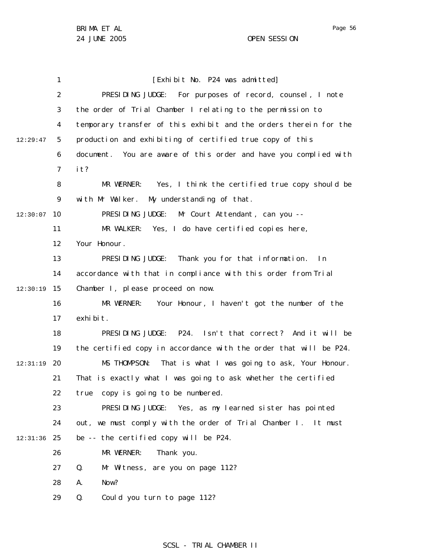|          | 1              | [Exhibit No. P24 was admitted]                                    |
|----------|----------------|-------------------------------------------------------------------|
|          | $\overline{2}$ | PRESIDING JUDGE: For purposes of record, counsel, I note          |
|          | 3              | the order of Trial Chamber I relating to the permission to        |
|          | 4              | temporary transfer of this exhibit and the orders therein for the |
| 12:29:47 | 5              | production and exhibiting of certified true copy of this          |
|          | 6              | document. You are aware of this order and have you complied with  |
|          | $\overline{7}$ | it?                                                               |
|          | 8              | MR WERNER: Yes, I think the certified true copy should be         |
|          | 9              | with Mr Walker. My understanding of that.                         |
| 12:30:07 | 10             | PRESIDING JUDGE: Mr Court Attendant, can you --                   |
|          | 11             | MR WALKER: Yes, I do have certified copies here,                  |
|          | 12             | Your Honour.                                                      |
|          | 13             | PRESIDING JUDGE:<br>Thank you for that information.<br>l n        |
|          | 14             | accordance with that in compliance with this order from Trial     |
| 12:30:19 | 15             | Chamber I, please proceed on now.                                 |
|          | 16             | MR WERNER: Your Honour, I haven't got the number of the           |
|          | 17             | exhi bi t.                                                        |
|          | 18             | PRESIDING JUDGE: P24. Isn't that correct? And it will be          |
|          | 19             | the certified copy in accordance with the order that will be P24. |
| 12:31:19 | 20             | MS THOMPSON: That is what I was going to ask, Your Honour.        |
|          | 21             | That is exactly what I was going to ask whether the certified     |
|          | 22             | copy is going to be numbered.<br>true                             |
|          | 23             | PRESIDING JUDGE: Yes, as my learned sister has pointed            |
|          | 24             | out, we must comply with the order of Trial Chamber I. It must    |
| 12:31:36 | 25             | be -- the certified copy will be P24.                             |
|          | 26             | MR WERNER:<br>Thank you.                                          |
|          | 27             | Mr Witness, are you on page 112?<br>Q.                            |
|          | 28             | Now?<br>А.                                                        |
|          | 29             | Q.<br>Could you turn to page 112?                                 |
|          |                |                                                                   |

## SCSL - TRIAL CHAMBER II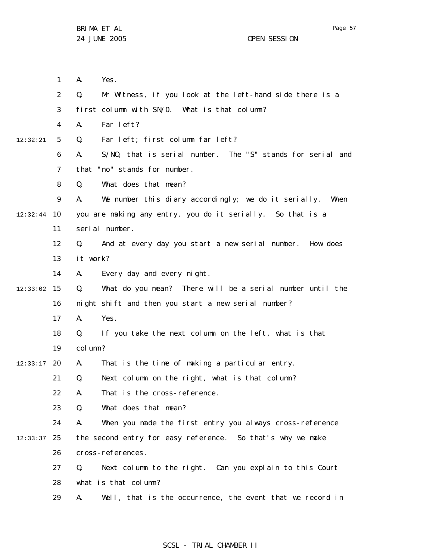|          | $\mathbf{1}$   | А.       | Yes.                                                       |
|----------|----------------|----------|------------------------------------------------------------|
|          | $\overline{2}$ | Q.       | Mr Witness, if you look at the left-hand side there is a   |
|          | 3              |          | first column with SN/0. What is that column?               |
|          | 4              | А.       | Far left?                                                  |
| 12:32:21 | 5              | Q.       | Far left; first column far left?                           |
|          | 6              | А.       | S/NO, that is serial number. The "S" stands for serial and |
|          | 7              |          | that "no" stands for number.                               |
|          | 8              | Q.       | What does that mean?                                       |
|          | 9              | А.       | We number this diary accordingly; we do it serially. When  |
| 12:32:44 | 10             |          | you are making any entry, you do it serially. So that is a |
|          | 11             |          | serial number.                                             |
|          | 12             | Q.       | And at every day you start a new serial number. How does   |
|          | 13             | it work? |                                                            |
|          | 14             | А.       | Every day and every night.                                 |
| 12:33:02 | 15             | Q.       | What do you mean? There will be a serial number until the  |
|          | 16             |          | night shift and then you start a new serial number?        |
|          | 17             | А.       | Yes.                                                       |
|          | 18             | Q.       | If you take the next column on the left, what is that      |
|          | 19             | col umn? |                                                            |
| 12:33:17 | 20             | А.       | That is the time of making a particular entry.             |
|          | 21             | Q.       | Next column on the right, what is that column?             |
|          | 22             | Α.       | That is the cross-reference.                               |
|          | 23             | Q.       | What does that mean?                                       |
|          | 24             | А.       | When you made the first entry you always cross-reference   |
| 12:33:37 | 25             |          | the second entry for easy reference. So that's why we make |
|          | 26             |          | cross-references.                                          |
|          | 27             | Q.       | Next column to the right. Can you explain to this Court    |
|          | 28             |          | what is that column?                                       |
|          | 29             | А.       | Well, that is the occurrence, the event that we record in  |

## SCSL - TRIAL CHAMBER II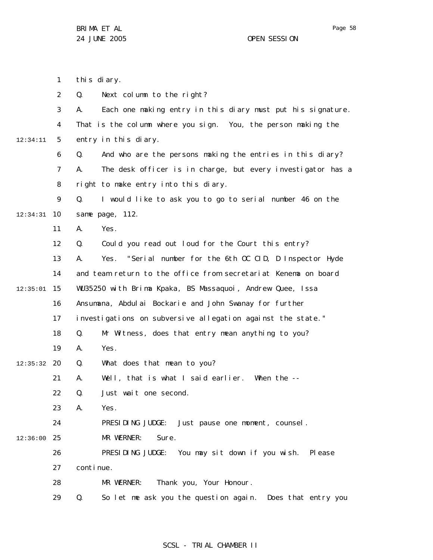1 2 3 4 5 6 7 8 9 10 12:34:31 11 12 13 14 15 12:35:01 16 17 18 19 20 12:35:32 21 22 23 24 25 12:36:00 26 27 28 29 12:34:11 this diary. Q. Next column to the right? A. Each one making entry in this diary must put his signature. That is the column where you sign. You, the person making the entry in this diary. Q. And who are the persons making the entries in this diary? A. The desk officer is in charge, but every investigator has a right to make entry into this diary. Q. I would like to ask you to go to serial number 46 on the same page, 112. A. Yes. Q. Could you read out loud for the Court this entry? A. Yes. "Serial number for the 6th OC CID, D Inspector Hyde and team return to the office from secretariat Kenema on board WU35250 with Brima Kpaka, BS Massaquoi, Andrew Quee, Issa Ansumana, Abdulai Bockarie and John Swanay for further investigations on subversive allegation against the state." Q. Mr Witness, does that entry mean anything to you? A. Yes. Q. What does that mean to you? A. Well, that is what I said earlier. When the -- Q. Just wait one second. A. Yes. PRESIDING JUDGE: Just pause one moment, counsel. MR WERNER: Sure. PRESIDING JUDGE: You may sit down if you wish. Please continue. MR WERNER: Thank you, Your Honour. Q. So let me ask you the question again. Does that entry you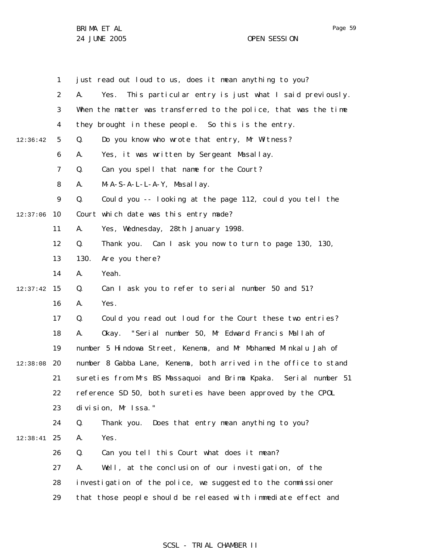|          | $\mathbf{1}$ | just read out loud to us, does it mean anything to you?             |  |  |
|----------|--------------|---------------------------------------------------------------------|--|--|
|          | 2            | This particular entry is just what I said previously.<br>А.<br>Yes. |  |  |
|          | 3            | When the matter was transferred to the police, that was the time    |  |  |
|          | 4            | they brought in these people. So this is the entry.                 |  |  |
| 12:36:42 | 5            | Do you know who wrote that entry, Mr Witness?<br>Q.                 |  |  |
|          | 6            | Yes, it was written by Sergeant Masallay.<br>А.                     |  |  |
|          | 7            | Can you spell that name for the Court?<br>Q.                        |  |  |
|          | 8            | $M-A-S-A-L-L-A-Y$ , Masallay.<br>А.                                 |  |  |
|          | 9            | Q.<br>Could you -- looking at the page 112, could you tell the      |  |  |
| 12:37:06 | 10           | Court which date was this entry made?                               |  |  |
|          | 11           | Yes, Wednesday, 28th January 1998.<br>А.                            |  |  |
|          | 12           | Q.<br>Thank you. Can I ask you now to turn to page 130, 130,        |  |  |
|          | 13           | 130.<br>Are you there?                                              |  |  |
|          | 14           | Yeah.<br>А.                                                         |  |  |
| 12:37:42 | 15           | Can I ask you to refer to serial number 50 and 51?<br>Q.            |  |  |
|          | 16           | Yes.<br>А.                                                          |  |  |
|          | 17           | Could you read out loud for the Court these two entries?<br>Q.      |  |  |
|          | 18           | Okay. "Serial number 50, Mr Edward Francis Mallah of<br>А.          |  |  |
|          | 19           | number 5 Hindowa Street, Kenema, and Mr Mohamed Minkalu Jah of      |  |  |
| 12:38:08 | 20           | number 8 Gabba Lane, Kenema, both arrived in the office to stand    |  |  |
|          | 21           | sureties from Mrs BS Massaquoi and Brima Kpaka. Serial number 51    |  |  |
|          | 22           | reference SD 50, both sureties have been approved by the CPOL       |  |  |
|          | 23           | division, Mr Issa."                                                 |  |  |
|          | 24           | Q.<br>Thank you. Does that entry mean anything to you?              |  |  |
| 12:38:41 | 25           | Yes.<br>Α.                                                          |  |  |
|          | 26           | Can you tell this Court what does it mean?<br>Q.                    |  |  |
|          | 27           | Well, at the conclusion of our investigation, of the<br>А.          |  |  |
|          | 28           | investigation of the police, we suggested to the commissioner       |  |  |
|          | 29           | that those people should be released with immediate effect and      |  |  |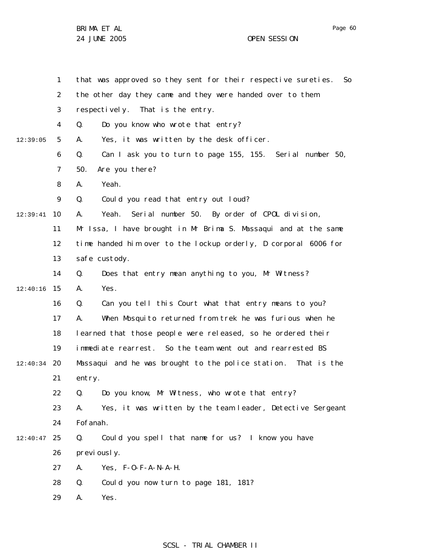Page 60

1 2 3 4 5 6 7 8 9 10 12:39:41 11 12 13 14 15 12:40:16 16 17 18 19 12:40:34 20 21 22 23 24 25 12:40:47 26 27 28 29 12:39:05 that was approved so they sent for their respective sureties. So the other day they came and they were handed over to them respectively. That is the entry. Q. Do you know who wrote that entry? A. Yes, it was written by the desk officer. Q. Can I ask you to turn to page 155, 155. Serial number 50, 50. Are you there? A. Yeah. Q. Could you read that entry out loud? A. Yeah. Serial number 50. By order of CPOL division, Mr Issa, I have brought in Mr Brima S. Massaqui and at the same time handed him over to the lockup orderly, D corporal 6006 for safe custody. Q. Does that entry mean anything to you, Mr Witness? A. Yes. Q. Can you tell this Court what that entry means to you? A. When Mosquito returned from trek he was furious when he learned that those people were released, so he ordered their immediate rearrest. So the team went out and rearrested BS Massaqui and he was brought to the police station . That is the entry. Q. Do you know, Mr Witness, who wrote that entry? A. Yes, it was written by the team leader, Detective Sergeant Fofanah. Q. Could you spell that name for us? I know you have previously. A. Yes, F-O-F-A-N-A-H. Q. Could you now turn to page 181, 181? A. Yes.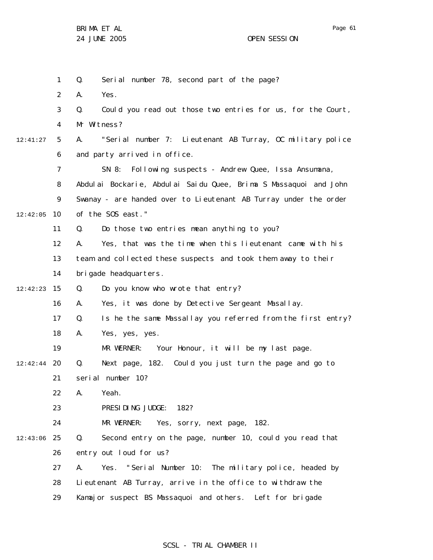Page 61

1 2 3 4 5 6 7 8 9 10 12:42:05 11 12 13 14 15 12:42:23 16 17 18 19 12:42:44 20 21 22 23 24 25 12:43:06 26 27 28 29 12:41:27 Q. Serial number 78, second part of the page? A. Yes. Q. Could you read out those two entries for us, for the Court, Mr Witness? A. "Serial number 7: Lieutenant AB Turray, OC military police and party arrived in office. SN 8: Following suspects - Andrew Quee, Issa Ansumana, Abdulai Bockarie, Abdulai Saidu Quee, Brima S Massaquoi and John Swanay - are handed over to Lieutenant AB Turray under the order of the SOS east." Q. Do those two entries mean anything to you? A. Yes, that was the time when this lieutenant came with his team and collected these suspects and took them away to their brigade headquarters. Q. Do you know who wrote that entry? A. Yes, it was done by Detective Sergeant Masallay. Q. Is he the same Massallay you referred from the first entry? A. Yes, yes, yes. MR WERNER: Your Honour, it will be my last page. Q. Next page, 182. Could you just turn the page and go to serial number 10? A. Yeah. PRESIDING JUDGE: 182? MR WERNER: Yes, sorry, next page, 182. Q. Second entry on the page, number 10, could you read that entry out loud for us? A. Yes. "Serial Number 10: The military police, headed by Lieutenant AB Turray, arrive in the office to withdraw the Kamajor suspect BS Massaquoi and others. Left for brigade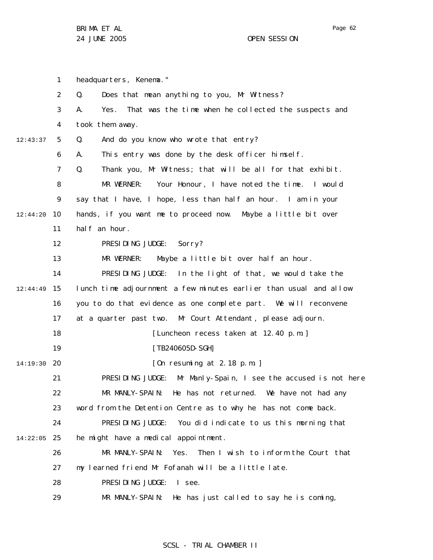1 2 3 4 5 6 7 8 9 10 11 12 13 14 15 16 17 18 19 20 14:19:30 21 22 23 24 25 14:22:05 26 27 28 29 12:43:37 12:44:20 12:44:49 headquarters, Kenema." Q. Does that mean anything to you, Mr Witness? A. Yes. That was the time when he collected the suspects and took them away. Q. And do you know who wrote that entry? A. This entry was done by the desk officer himself. Q. Thank you, Mr Witness; that will be all for that exhibit. MR WERNER: Your Honour, I have noted the time. I would say that I have, I hope, less than half an hour. I am in your hands, if you want me to proceed now. Maybe a little bit over half an hour. PRESIDING JUDGE: Sorry? MR WERNER: Maybe a little bit over half an hour. PRESIDING JUDGE: In the light of that, we would take the lunch time adjournment a few minutes earlier than usual and allow you to do that evidence as one complete part. We will reconvene at a quarter past two. Mr Court Attendant, please adjourn. [Luncheon recess taken at 12.40 p.m.] [TB240605D-SGH] [On resuming at 2.18 p.m. ] PRESIDING JUDGE: Mr Manly-Spain, I see the accused is not here MR MANLY-SPAIN: He has not returned. We have not had any word from the Detention Centre as to why he has not come back. PRESIDING JUDGE: You did indicate to us this morning that he might have a medical appointment. MR MANLY-SPAIN: Yes. Then I wish to inform the Court that my learned friend Mr Fofanah will be a little late. PRESIDING JUDGE: I see. MR MANLY-SPAIN: He has just called to say he is coming,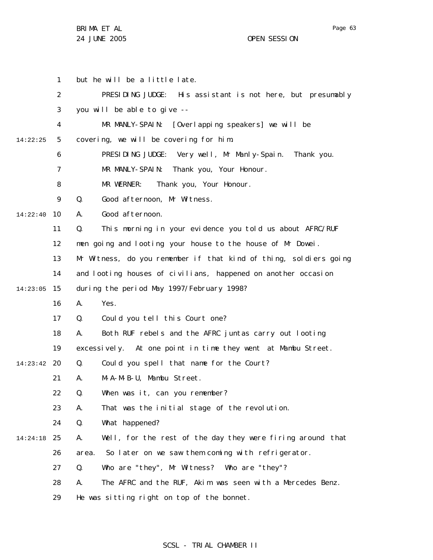1 2 3 4 5 6 7 8 9 10 14:22:40 11 12 13 14 15 14:23:05 16 17 18 19 20 14:23:42 21 22 23 24 25 14:24:18 26 27 28 29 14:22:25 but he will be a little late. PRESIDING JUDGE: His assistant is not here, but presumably you will be able to give -- MR MANLY-SPAIN: [Overlapping speakers] we will be covering, we will be covering for him. PRESIDING JUDGE: Very well, Mr Manly-Spain. Thank you. MR MANLY-SPAIN: Thank you, Your Honour. MR WERNER: Thank you, Your Honour. Q. Good afternoon, Mr Witness. A. Good afternoon. Q. This morning in your evidence you told us about AFRC/RUF men going and looting your house to the house of Mr Dowei. Mr Witness, do you remember if that kind of thing, soldiers going and looting houses of civilians, happened on another occasion during the period May 1997/February 1998? A. Yes. Q. Could you tell this Court one? A. Both RUF rebels and the AFRC juntas carry out looting excessively. At one point in time they went at Mambu Street. Q. Could you spell that name for the Court? A. M-A-M-B-U, Mambu Street. Q. When was it, can you remember? A. That was the initial stage of the revolution. Q. What happened? A. Well, for the rest of the day they were firing around that area. So later on we saw them coming with refrigerator. Q. Who are "they", Mr Witness? Who are "they"? A. The AFRC and the RUF, Akim was seen with a Mercedes Benz. He was sitting right on top of the bonnet.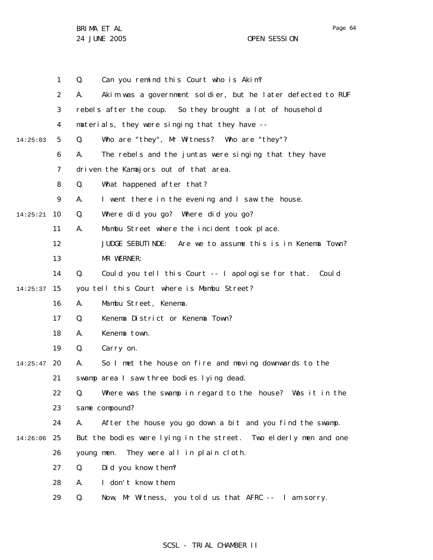1 2 3 4 5 6 7 8 9 10 14:25:21 11 12 13 14 15 14:25:37 16 17 18 19 20 14:25:47 21 22 23 24 25 14:26:06 26 27 28 29 14:25:03 Q. Can you remind this Court who is Akim? A. Akim was a government soldier, but he later defected to RUF rebels after the coup. So they brought a lot of household materials, they were singing that they have -- Q. Who are "they", Mr Witness? Who are "they"? A. The rebels and the juntas were singing that they have driven the Kamajors out of that area. Q. What happened after that? A. I went there in the evening and I saw the house. Q. Where did you go? Where did you go? A. Mambu Street where the incident took place. JUDGE SEBUTINDE: Are we to assume this is in Kenema Town? MR WERNER: Q. Could you tell this Court -- I apologise for that. Could you tell this Court where is Mambu Street? A. Mambu Street, Kenema. Q. Kenema District or Kenema Town? A. Kenema town. Q. Carry on. A. So I met the house on fire and moving downwards to the swamp area I saw three bodies lying dead. Q. Where was the swamp in regard to the house? Was it in the same compound? A. After the house you go down a bit and you find the swamp. But the bodies were lying in the street. Two elderly men and one young men. They were all in plain cloth. Q. Did you know them? A. I don't know them. Q. Now, Mr Witness, you told us that AFRC -- I am sorry.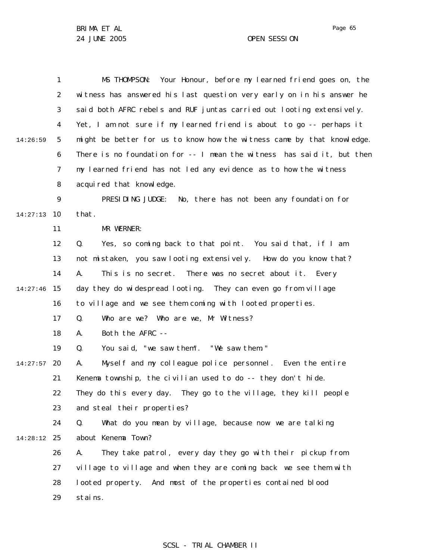1 2 3 4 5 6 7 8 9 10 14:27:13 11 12 13 14 15 14:27:46 16 17 18 19 20 14:27:57 21 22 23 24 25 14:28:12 26 27 28 29 14:26:59 MS THOMPSON: Your Honour, before my learned friend goes on, the witness has answered his last question very early on in his answer he said both AFRC rebels and RUF juntas carried out looting extensively. Yet, I am not sure if my learned friend is about to go -- perhaps it might be better for us to know how the witness came by that knowledge. There is no foundation for -- I mean the witness has said it, but then my learned friend has not led any evidence as to how the witness acquired that knowledge. PRESIDING JUDGE: No, there has not been any foundation for that. MR WERNER: Q. Yes, so coming back to that point. You said that, if I am not mistaken, you saw looting extensively. How do you know that? A. This is no secret. There was no secret about it. Every day they do widespread looting. They can even go from village to village and we see them coming with looted properties. Q. Who are we? Who are we, Mr Witness? A. Both the AFRC -- Q. You said, "we saw them". "We saw them." A. Myself and my colleague police personnel. Even the entire Kenema township, the civilian used to do -- they don't hide. They do this every day. They go to the village, they kill people and steal their properties? Q. What do you mean by village, because now we are talking about Kenema Town? A. They take patrol, every day they go with their pickup from village to village and when they are coming back we see them with looted property. And most of the properties contained blood stains.

#### SCSL - TRIAL CHAMBER II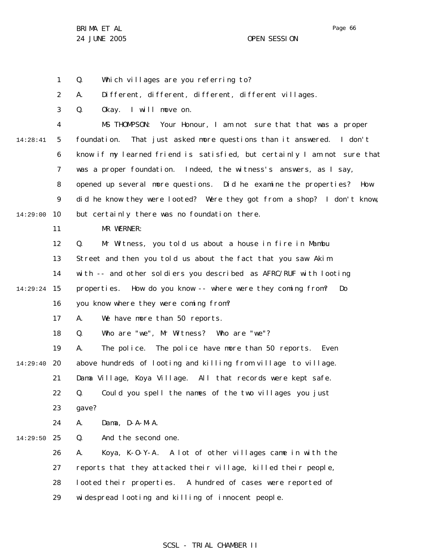1 Q. Which villages are you referring to?

2 A. Different, different, different, different villages.

3 Q. Okay. I will move on.

4 5 6 7 8 9 10 14:28:41 14:29:00 MS THOMPSON: Your Honour, I am not sure that that was a proper foundation. That just asked more questions than it answered. I don't know if my learned friend is satisfied, but certainly I am not sure that was a proper foundation. Indeed, the witness's answers, as I say, opened up several more questions. Did he examine the properties? How did he know they were looted? Were they got from a shop? I don't know, but certainly there was no foundation there.

11 MR WERNER:

12 Q. Mr Witness, you told us about a house in fire in Mambu

13 Street and then you told us about the fact that you saw Akim

14 with -- and other soldiers you described as AFRC/RUF with looting

15 14:29:24 properties. How do you know -- where were they coming from? Do

> 16 you know where they were coming from?

17 A. We have more than 50 reports.

18 Q. Who are "we", Mr Witness? Who are "we"?

19 A. The police. The police have more than 50 reports. Even

20 14:29:40 above hundreds of looting and killing from village to village.

21 Dama Village, Koya Village. All that records were kept safe.

22 Q. Could you spell the names of the two villages you just

23 gave?

24 A. Dama, D-A-M-A.

25 14:29:50 Q. And the second one.

> 26 27 28 29 A. Koya, K-O-Y-A. A lot of other villages came in with the reports that they attacked their village, killed their people, looted their properties. A hundred of cases were reported of widespread looting and killing of innocent people.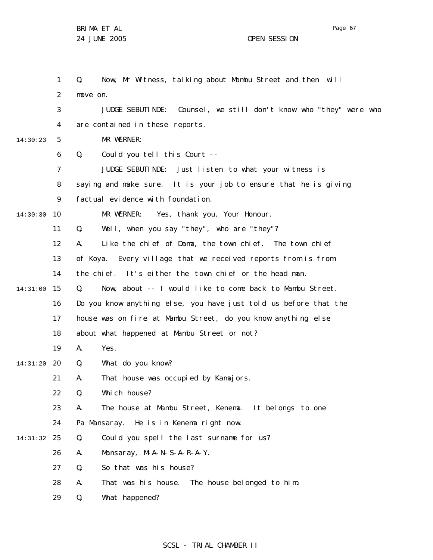1 2 3 4 5 6 7 8 9 10 14:30:30 11 12 13 14 15 14:31:00 16 17 18 19 20 14:31:20 21 22 23 24 25 14:31:32 26 27 28 29 14:30:23 Q. Now, Mr Witness, talking about Mambu Street and then will move on. JUDGE SEBUTINDE: Counsel, we still don't know who "they" were who are contained in these reports. MR WERNER: Q. Could you tell this Court -- JUDGE SEBUTINDE: Just listen to what your witness is saying and make sure. It is your job to ensure that he is giving factual evidence with foundation. MR WERNER: Yes, thank you, Your Honour. Q. Well, when you say "they", who are "they"? A. Like the chief of Dama, the town chief. The town chief of Koya. Every village that we received reports from is from the chief. It's either the town chief or the head man. Q. Now, about -- I would like to come back to Mambu Street. Do you know anything else, you have just told us before that the house was on fire at Mambu Street, do you know anything else about what happened at Mambu Street or not? A. Yes. Q. What do you know? A. That house was occupied by Kamajors. Q. Which house? A. The house at Mambu Street, Kenema. It belongs to one Pa Mansaray. He is in Kenema right now. Q. Could you spell the last surname for us? A. Mansaray, M-A-N- S-A-R-A-Y. Q. So that was his house? A. That was his house. The house belonged to him. Q. What happened?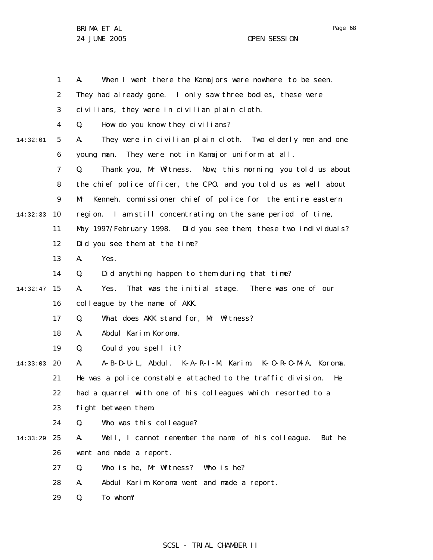Page 68

|          | $\mathbf{1}$   | When I went there the Kamajors were nowhere to be seen.<br>А.     |  |  |  |
|----------|----------------|-------------------------------------------------------------------|--|--|--|
|          | 2              | They had al ready gone. I only saw three bodies, these were       |  |  |  |
|          | 3              | civilians, they were in civilian plain cloth.                     |  |  |  |
|          | $\overline{4}$ | How do you know they civilians?<br>Q.                             |  |  |  |
| 14:32:01 | 5              | They were in civilian plain cloth. Two elderly men and one<br>А.  |  |  |  |
|          | 6              | They were not in Kamajor uniform at all.<br>young man.            |  |  |  |
|          | $\overline{7}$ | Thank you, Mr Witness. Now, this morning you told us about<br>Q.  |  |  |  |
|          | 8              | the chief police officer, the CPO, and you told us as well about  |  |  |  |
|          | 9              | Kenneh, commissioner chief of police for the entire eastern<br>Mr |  |  |  |
| 14:32:33 | 10             | region. I am still concentrating on the same period of time,      |  |  |  |
|          | 11             | May 1997/February 1998.  Did you see them, these two individuals? |  |  |  |
|          | 12             | Did you see them at the time?                                     |  |  |  |
|          | 13             | Yes.<br>А.                                                        |  |  |  |
|          | 14             | Did anything happen to them during that time?<br>Q.               |  |  |  |
| 14:32:47 | 15             | That was the initial stage. There was one of our<br>А.<br>Yes.    |  |  |  |
|          | 16             | colleague by the name of AKK.                                     |  |  |  |
|          | 17             | Q.<br>What does AKK stand for, Mr Witness?                        |  |  |  |
|          | 18             | Abdul Karim Koroma.<br>А.                                         |  |  |  |
|          | 19             | Could you spell it?<br>Q.                                         |  |  |  |
| 14:33:03 | 20             | A-B-D-U-L, Abdul. K-A-R-I-M, Karim. K-O-R-O-M-A, Koroma.<br>А.    |  |  |  |
|          | 21             | He was a police constable attached to the traffic division.<br>He |  |  |  |
|          | 22             | had a quarrel with one of his colleagues which resorted to a      |  |  |  |
|          | 23             | fight between them.                                               |  |  |  |
|          | 24             | Who was this colleague?<br>Q.                                     |  |  |  |
| 14:33:29 | 25             | Well, I cannot remember the name of his colleague. But he<br>А.   |  |  |  |
|          | 26             | went and made a report.                                           |  |  |  |
|          | 27             | Who is he, Mr Witness? Who is he?<br>Q.                           |  |  |  |
|          | 28             | Abdul Karim Koroma went and made a report.<br>А.                  |  |  |  |
|          | 29             | To whom?<br>Q.                                                    |  |  |  |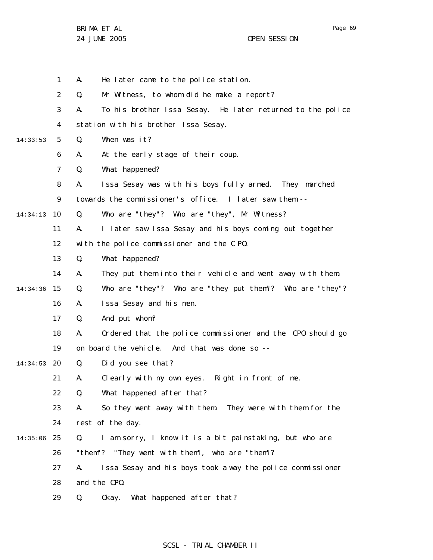|          | 1  | А.                                                     | He later came to the police station.                       |  |  |
|----------|----|--------------------------------------------------------|------------------------------------------------------------|--|--|
|          | 2  | Q.                                                     | Mr Witness, to whom did he make a report?                  |  |  |
|          | 3  | А.                                                     | To his brother Issa Sesay. He later returned to the police |  |  |
|          | 4  | station with his brother Issa Sesay.                   |                                                            |  |  |
| 14:33:53 | 5  | Q.                                                     | When was it?                                               |  |  |
|          | 6  | А.                                                     | At the early stage of their coup.                          |  |  |
|          | 7  | Q.                                                     | What happened?                                             |  |  |
|          | 8  | Α.                                                     | Issa Sesay was with his boys fully armed. They marched     |  |  |
|          | 9  | towards the commissioner's office. I later saw them -- |                                                            |  |  |
| 14:34:13 | 10 | Q.                                                     | Who are "they"? Who are "they", Mr Witness?                |  |  |
|          | 11 | А.                                                     | I later saw Issa Sesay and his boys coming out together    |  |  |
|          | 12 |                                                        | with the police commissioner and the CPO.                  |  |  |
|          | 13 | Q.                                                     | What happened?                                             |  |  |
|          | 14 | А.                                                     | They put them into their vehicle and went away with them.  |  |  |
| 14:34:36 | 15 | Q.                                                     | Who are "they"? Who are "they put them"? Who are "they"?   |  |  |
|          | 16 | А.                                                     | Issa Sesay and his men.                                    |  |  |
|          | 17 | Q.                                                     | And put whom?                                              |  |  |
|          | 18 | А.                                                     | Ordered that the police commissioner and the CPO should go |  |  |
|          | 19 |                                                        | on board the vehicle. And that was done so --              |  |  |
| 14:34:53 | 20 | Q.                                                     | Did you see that?                                          |  |  |
|          | 21 | А.                                                     | Clearly with my own eyes. Right in front of me.            |  |  |
|          | 22 | Q.                                                     | What happened after that?                                  |  |  |
|          | 23 | А.                                                     | So they went away with them. They were with them for the   |  |  |
|          | 24 |                                                        | rest of the day.                                           |  |  |
| 14:35:06 | 25 | Q.                                                     | I am sorry, I know it is a bit painstaking, but who are    |  |  |
|          | 26 |                                                        | "them"? "They went with them", who are "them"?             |  |  |
|          | 27 | А.                                                     | Issa Sesay and his boys took a way the police commissioner |  |  |
|          | 28 |                                                        | and the CPO.                                               |  |  |
|          | 29 | Q.                                                     | What happened after that?<br>0kay.                         |  |  |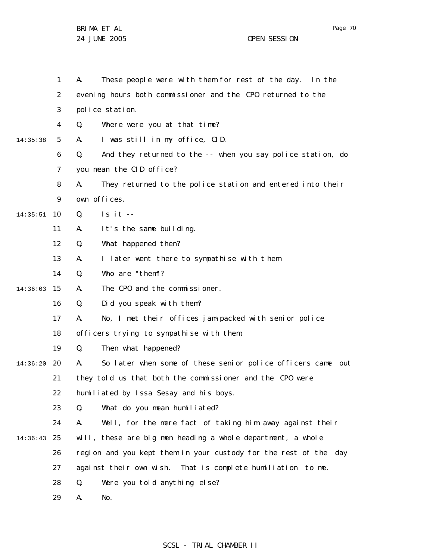|          | 1              | Α.                                                               | These people were with them for rest of the day. In the     |  |
|----------|----------------|------------------------------------------------------------------|-------------------------------------------------------------|--|
|          | 2              | evening hours both commissioner and the CPO returned to the      |                                                             |  |
|          | 3              | police station.                                                  |                                                             |  |
|          | 4              | Q.                                                               | Where were you at that time?                                |  |
| 14:35:38 | 5              | А.                                                               | I was still in my office, CID.                              |  |
|          | 6              | Q.                                                               | And they returned to the -- when you say police station, do |  |
|          | $\overline{7}$ | you mean the CID office?                                         |                                                             |  |
|          | 8              | А.                                                               | They returned to the police station and entered into their  |  |
|          | 9              | own offices.                                                     |                                                             |  |
| 14:35:51 | 10             | Q.<br>$Is it --$                                                 |                                                             |  |
|          | 11             | It's the same building.<br>Α.                                    |                                                             |  |
|          | 12             | What happened then?<br>Q.                                        |                                                             |  |
|          | 13             | А.                                                               | I later went there to sympathise with them.                 |  |
|          | 14             | Who are "them"?<br>Q.                                            |                                                             |  |
| 14:36:03 | 15             | А.                                                               | The CPO and the commissioner.                               |  |
|          | 16             | Q.                                                               | Did you speak with them?                                    |  |
|          | 17             | Α.                                                               | No, I met their offices jam-packed with senior police       |  |
|          | 18             |                                                                  | officers trying to sympathise with them.                    |  |
|          | 19             | Then what happened?<br>Q.                                        |                                                             |  |
| 14:36:20 | 20             | А.                                                               | So later when some of these senior police officers came out |  |
|          | 21             | they told us that both the commissioner and the CPO were         |                                                             |  |
|          | 22             |                                                                  | humiliated by Issa Sesay and his boys.                      |  |
|          | 23             | Q.                                                               | What do you mean humiliated?                                |  |
|          | 24             | А.                                                               | Well, for the mere fact of taking him away against their    |  |
| 14:36:43 | 25             |                                                                  | will, these are big men heading a whole department, a whole |  |
|          | 26             | region and you kept them in your custody for the rest of the day |                                                             |  |
|          | 27             | against their own wish. That is complete humiliation to me.      |                                                             |  |
|          | 28             | Q.                                                               | Were you told anything else?                                |  |
|          | 29             | А.<br>No.                                                        |                                                             |  |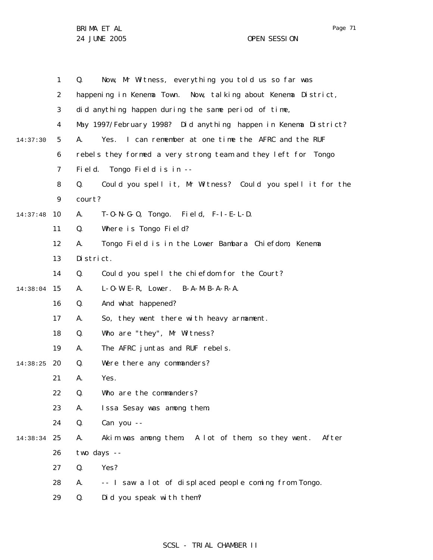Page 71

|                | $\mathbf{1}$ | Now, Mr Witness, everything you told us so far was<br>Q.         |  |  |
|----------------|--------------|------------------------------------------------------------------|--|--|
| $\overline{2}$ |              | happening in Kenema Town. Now, talking about Kenema District,    |  |  |
|                | 3            | did anything happen during the same period of time,              |  |  |
|                | 4            | May 1997/February 1998? Did anything happen in Kenema District?  |  |  |
| 14:37:30       | 5            | I can remember at one time the AFRC and the RUF<br>А.<br>Yes.    |  |  |
|                | 6            | rebels they formed a very strong team and they left for Tongo    |  |  |
|                | 7            | Field.<br>Tongo Field is in --                                   |  |  |
|                | 8            | Could you spell it, Mr Witness? Could you spell it for the<br>Q. |  |  |
| 9              |              | court?                                                           |  |  |
| 14:37:48       | 10           | $T-O-N-G-O$ , $Tongo$ . Field, $F-I-E-L-D$ .<br>А.               |  |  |
|                | 11           | Where is Tongo Field?<br>Q.                                      |  |  |
|                | 12           | Tongo Field is in the Lower Bambara Chiefdom, Kenema<br>А.       |  |  |
|                | 13           | District.                                                        |  |  |
|                | 14           | Could you spell the chiefdom for the Court?<br>Q.                |  |  |
| 14:38:04       | 15           | L-O-W-E-R, Lower. B-A-M-B-A-R-A.<br>А.                           |  |  |
|                | 16           | Q.<br>And what happened?                                         |  |  |
|                | 17           | So, they went there with heavy armament.<br>А.                   |  |  |
|                | 18           | Who are "they", Mr Witness?<br>Q.                                |  |  |
|                | 19           | А.<br>The AFRC juntas and RUF rebels.                            |  |  |
| 14:38:25       | 20           | Were there any commanders?<br>Q.                                 |  |  |
|                | 21           | Yes.<br>А.                                                       |  |  |
|                | 22           | Q.<br>Who are the commanders?                                    |  |  |
|                | 23           | Issa Sesay was among them.<br>А.                                 |  |  |
|                | 24           | Q.<br>Can you --                                                 |  |  |
| 14:38:34       | 25           | Akim was among them. A lot of them, so they went. After<br>А.    |  |  |
|                | 26           | two days --                                                      |  |  |
|                | 27           | Yes?<br>Q.                                                       |  |  |
|                | 28           | -- I saw a lot of displaced people coming from Tongo.<br>А.      |  |  |
|                | 29           | Did you speak with them?<br>Q.                                   |  |  |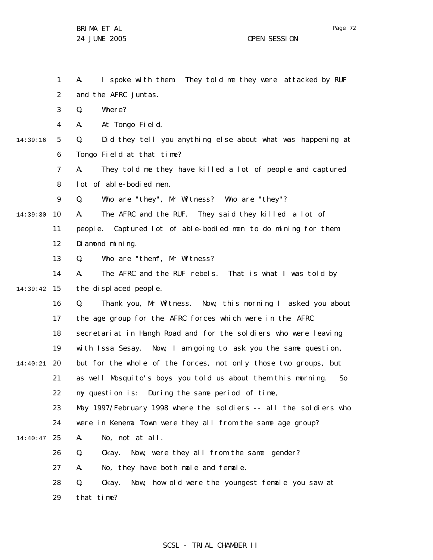1 2 3 4 5 6 7 8 9 10 14:39:30 11 12 13 14 15 14:39:42 16 17 18 19 20 14:40:21 21 22 23 24 25 14:40:47 26 27 28 29 14:39:16 A. I spoke with them. They told me they were attacked by RUF and the AFRC juntas. Q. Where? A. At Tongo Field. Q. Did they tell you anything else about what was happening at Tongo Field at that time? A. They told me they have killed a lot of people and captured lot of able-bodied men. Q. Who are "they", Mr Witness? Who are "they"? A. The AFRC and the RUF. They said they killed a lot of people. Captured lot of able-bodied men to do mining for them. Diamond mining. Q. Who are "them", Mr Witness? A. The AFRC and the RUF rebels. That is what I was told by the displaced people. Q. Thank you, Mr Witness. Now, this morning I asked you about the age group for the AFRC forces which were in the AFRC secretariat in Hangh Road and for the soldiers who were leaving with Issa Sesay. Now, I am going to ask you the same question, but for the whole of the forces, not only those two groups, but as well Mosquito's boys you told us about them this morning. So my question is: During the same period of time, May 1997/February 1998 where the soldiers -- all the soldiers who were in Kenema Town were they all from the same age group? A. No, not at all. Q. Okay. Now, were they all from the same gender? A. No, they have both male and female. Q. Okay. Now, how old were the youngest female you saw at that time?

## SCSL - TRIAL CHAMBER II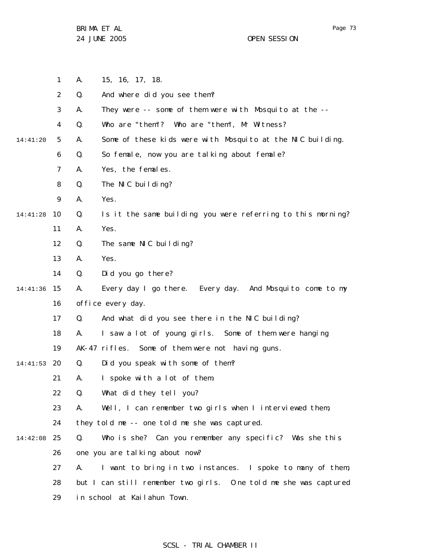Page 73

|          | 1              | Α. | 15, 16, 17, 18.                                                  |
|----------|----------------|----|------------------------------------------------------------------|
|          | $\overline{2}$ | Q. | And where did you see them?                                      |
|          | 3              | А. | They were -- some of them were with Mosquito at the --           |
|          | 4              | Q. | Who are "them"? Who are "them", Mr Witness?                      |
| 14:41:20 | 5              | А. | Some of these kids were with Mosquito at the NIC building.       |
|          | 6              | Q. | So female, now you are talking about female?                     |
|          | 7              | А. | Yes, the females.                                                |
|          | 8              | Q. | The NIC building?                                                |
|          | 9              | А. | Yes.                                                             |
| 14:41:28 | 10             | Q. | Is it the same building you were referring to this morning?      |
|          | 11             | А. | Yes.                                                             |
|          | 12             | Q. | The same NIC building?                                           |
|          | 13             | Α. | Yes.                                                             |
|          | 14             | Q. | Did you go there?                                                |
| 14:41:36 | 15             | А. | Every day I go there. Every day. And Mosquito come to my         |
|          | 16             |    | office every day.                                                |
|          | 17             | Q. | And what did you see there in the NIC building?                  |
|          | 18             | А. | I saw a lot of young girls. Some of them were hanging            |
|          | 19             |    | AK-47 rifles. Some of them were not having guns.                 |
| 14:41:53 | 20             | Q. | Did you speak with some of them?                                 |
|          | 21             | А. | I spoke with a lot of them.                                      |
|          | 22             | Q. | What did they tell you?                                          |
|          | 23             | А. | Well, I can remember two girls when I interviewed them,          |
|          | 24             |    | they told me -- one told me she was captured.                    |
| 14:42:08 | 25             | Q. | Who is she? Can you remember any specific? Was she this          |
|          | 26             |    | one you are talking about now?                                   |
|          | 27             | А. | I want to bring in two instances. I spoke to many of them,       |
|          | 28             |    | but I can still remember two girls. One told me she was captured |
|          | 29             |    | in school at Kailahun Town.                                      |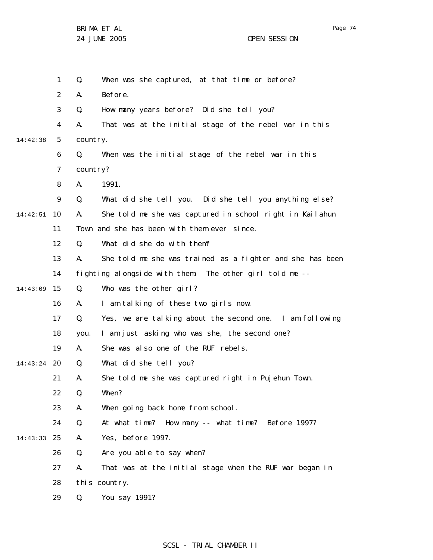Page 74

|               | 1              | Q.       | When was she captured, at that time or before?            |
|---------------|----------------|----------|-----------------------------------------------------------|
|               | 2              | Α.       | Before.                                                   |
|               | 3              | Q.       | How many years before? Did she tell you?                  |
|               | 4              | А.       | That was at the initial stage of the rebel war in this    |
| 14:42:38      | 5              | country. |                                                           |
|               | 6              | Q.       | When was the initial stage of the rebel war in this       |
|               | $\overline{7}$ | country? |                                                           |
|               | 8              | А.       | 1991.                                                     |
|               | 9              | Q.       | What did she tell you. Did she tell you anything else?    |
| 14:42:51      | 10             | А.       | She told me she was captured in school right in Kailahun  |
|               | 11             |          | Town and she has been with them ever since.               |
|               | 12             | Q.       | What did she do with them?                                |
|               | 13             | А.       | She told me she was trained as a fighter and she has been |
|               | 14             |          | fighting alongside with them. The other girl told me --   |
| 14:43:09      | 15             | Q.       | Who was the other girl?                                   |
|               | 16             | А.       | I am talking of these two girls now.                      |
|               | 17             | Q.       | Yes, we are talking about the second one. I am following  |
|               | 18             | you.     | I am just asking who was she, the second one?             |
|               | 19             | А.       | She was also one of the RUF rebels.                       |
| $14:43:24$ 20 |                | Q.       | What did she tell you?                                    |
|               | 21             | А.       | She told me she was captured right in Pujehun Town.       |
|               | 22             | Q.       | When?                                                     |
|               | 23             | А.       | When going back home from school.                         |
|               | 24             | Q.       | At what time? How many -- what time? Before 1997?         |
| 14:43:33      | 25             | А.       | Yes, before 1997.                                         |
|               | 26             | Q.       | Are you able to say when?                                 |
|               | 27             | Α.       | That was at the initial stage when the RUF war began in   |
|               | 28             |          | this country.                                             |
|               | 29             | Q.       | You say 1991?                                             |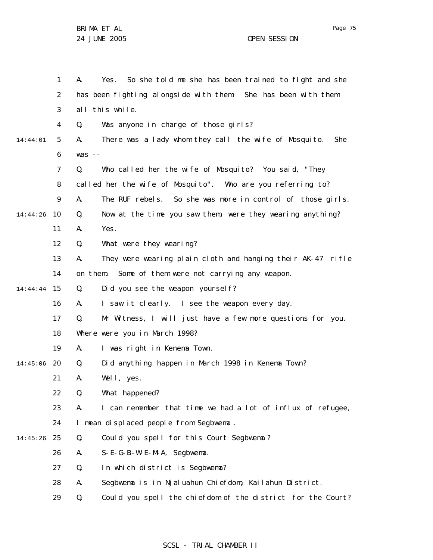|          | 1  | So she told me she has been trained to fight and she<br>Α.<br>Yes. |
|----------|----|--------------------------------------------------------------------|
|          | 2  | has been fighting alongside with them. She has been with them      |
|          | 3  | all this while.                                                    |
|          | 4  | Was anyone in charge of those girls?<br>Q.                         |
| 14:44:01 | 5  | There was a lady whom they call the wife of Mosquito.<br>А.<br>She |
|          | 6  | $was - -$                                                          |
|          | 7  | Who called her the wife of Mosquito? You said, "They<br>Q.         |
|          | 8  | called her the wife of Mosquito". Who are you referring to?        |
|          | 9  | А.<br>The RUF rebels. So she was more in control of those girls.   |
| 14:44:26 | 10 | Now at the time you saw them, were they wearing anything?<br>Q.    |
|          | 11 | Yes.<br>А.                                                         |
|          | 12 | What were they wearing?<br>Q.                                      |
|          | 13 | They were wearing plain cloth and hanging their AK-47 rifle<br>А.  |
|          | 14 | Some of them were not carrying any weapon.<br>on them.             |
| 14:44:44 | 15 | Did you see the weapon yoursel f?<br>Q.                            |
|          | 16 | I saw it clearly. I see the weapon every day.<br>А.                |
|          | 17 | Mr Witness, I will just have a few more questions for you.<br>Q.   |
|          | 18 | Where were you in March 1998?                                      |
|          | 19 | А.<br>I was right in Kenema Town.                                  |
| 14:45:06 | 20 | Did anything happen in March 1998 in Kenema Town?<br>Q.            |
|          | 21 | А.<br>Well, yes.                                                   |
|          | 22 | What happened?<br>Q.                                               |
|          | 23 | I can remember that time we had a lot of influx of refugee,<br>А.  |
|          | 24 | I mean displaced people from Segbwema.                             |
| 14:45:26 | 25 | Q.<br>Could you spell for this Court Segbwema?                     |
|          | 26 | S-E-G-B-W-E-M-A, Segbwema.<br>А.                                   |
|          | 27 | Q.<br>In which district is Segbwema?                               |
|          | 28 | А.<br>Segbwema is in Njaluahun Chiefdom, Kailahun District.        |
|          | 29 | Could you spell the chiefdom of the district for the Court?<br>Q.  |

# SCSL - TRIAL CHAMBER II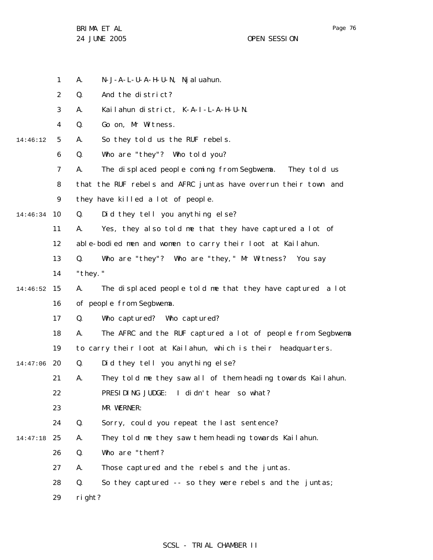- 1 A. N-J-A-L-U-A-H-U-N, Njaluahun.
- 2 Q. And the district?
- 3 A. Kailahun district, K-A-I-L-A-H-U-N.
- 4 Q. Go on, Mr Witness.
- 5 14:46:12 A. So they told us the RUF rebels.
	- 6 Q. Who are "they"? Who told you?
		- 7 A. The displaced people coming from Segbwema. They told us
	- 8 that the RUF rebels and AFRC juntas have overrun their town and
	- 9 they have killed a lot of people.
- 10 14:46:34 Q. Did they tell you anything else?
	- 11 A. Yes, they also told me that they have captured a lot of
	- 12 able-bodied men and women to carry their loot at Kailahun.
	- 13 Q. Who are "they"? Who are "they," Mr Witness? You say
	- 14 "they."

#### 15 14:46:52 16 A. The displaced people told me that they have captured a lot of people from Segbwema.

- 17 Q. Who captured? Who captured?
- 18 A. The AFRC and the RUF captured a lot of people from Segbwema
- 19 to carry their loot at Kailahun, which is their headquarters.
- 20 14:47:06 Q. Did they tell you anything else?
	- 21 A. They told me they saw all of them heading towards Kailahun.
	- 22 PRESIDING JUDGE: I didn't hear so what?
	- 23 MR WERNER:
	- 24 Q. Sorry, could you repeat the last sentence?
- 25 14:47:18 A. They told me they saw t hem heading towards Kailahun.
	- 26 Q. Who are "them"?
		- 27 A. Those captured and the rebels and the juntas.
		- 28 Q. So they captured -- so they were rebels and the juntas;
		- 29 right?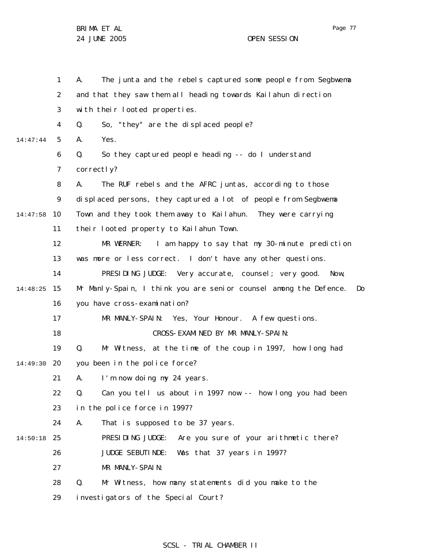1 2 3 4 5 6 7 8 9 10 14:47:58 11 12 13 14 15 14:48:25 16 17 18 19 20 14:49:30 21 22 23 24 25 14:50:18 26 27 28 29 14:47:44 A. The junta and the rebels captured some people from Segbwema and that they saw them all heading towards Kailahun direction with their looted properties. Q. So, "they" are the displaced people? A. Yes. Q. So they captured people heading -- do I understand correctly? A. The RUF rebels and the AFRC juntas, according to those displaced persons, they captured a lot of people from Segbwema Town and they took them away to Kailahun. They were carrying their looted property to Kailahun Town. MR WERNER: I am happy to say that my 30-minute prediction was more or less correct. I don't have any other questions. PRESIDING JUDGE: Very accurate, counsel; very good. Now, Mr Manly-Spain, I think you are senior counsel among the Defence. Do you have cross-examination? MR MANLY-SPAIN: Yes, Your Honour. A few questions. CROSS-EXAMINED BY MR MANLY-SPAIN: Q. Mr Witness, at the time of the coup in 1997, how long had you been in the police force? A. I'm now doing my 24 years. Q. Can you tell us about in 1997 now -- how long you had been in the police force in 1997? A. That is supposed to be 37 years. PRESIDING JUDGE: Are you sure of your arithmetic there? JUDGE SEBUTINDE: Was that 37 years in 1997? MR MANLY-SPAIN: Q. Mr Witness, how many statements did you make to the investigators of the Special Court?

# SCSL - TRIAL CHAMBER II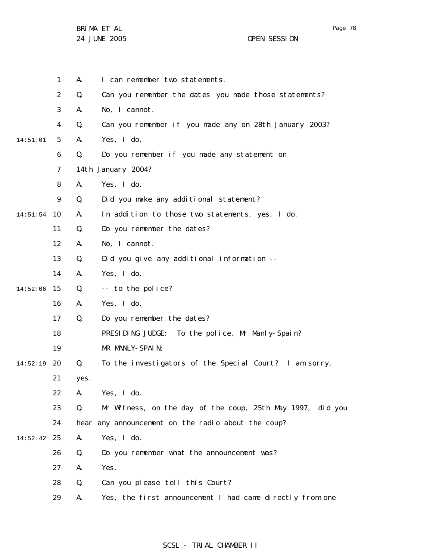| 1              | Α.   | I can remember two statements.                             |
|----------------|------|------------------------------------------------------------|
| $\overline{2}$ | Q.   | Can you remember the dates you made those statements?      |
| 3              | А.   | No, I cannot.                                              |
| 4              | Q.   | Can you remember if you made any on 28th January 2003?     |
| 5              | А.   | Yes, I do.                                                 |
| 6              | Q.   | Do you remember if you made any statement on               |
| 7              |      | 14th January 2004?                                         |
| 8              | А.   | Yes, I do.                                                 |
| 9              | Q.   | Did you make any additional statement?                     |
| 10             | А.   | In addition to those two statements, yes, I do.            |
| 11             | Q.   | Do you remember the dates?                                 |
| 12             | А.   | No, I cannot.                                              |
| 13             | Q.   | Did you give any additional information --                 |
| 14             | А.   | Yes, I do.                                                 |
| 15             | Q.   | -- to the police?                                          |
| 16             | А.   | Yes, I do.                                                 |
| 17             | Q.   | Do you remember the dates?                                 |
| 18             |      | PRESIDING JUDGE: To the police, Mr Manly-Spain?            |
| 19             |      | MR MANLY-SPAIN:                                            |
| 20             | Q.   | To the investigators of the Special Court? I am sorry,     |
| 21             | yes. |                                                            |
| 22             | A.   | Yes, I do.                                                 |
| 23             | Q.   | Mr Witness, on the day of the coup, 25th May 1997, did you |
| 24             |      | hear any announcement on the radio about the coup?         |
| 25             | Α.   | Yes, I do.                                                 |
| 26             | Q.   | Do you remember what the announcement was?                 |
| 27             | А.   | Yes.                                                       |
| 28             | Q.   | Can you please tell this Court?                            |
| 29             | А.   | Yes, the first announcement I had came directly from one   |
|                |      |                                                            |

SCSL - TRIAL CHAMBER II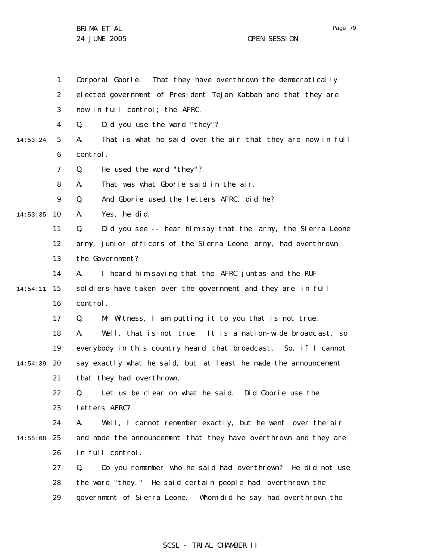BRIMA ET AL

24 JUNE 2005 OPEN SESSION

1 2 3 4 5 6 7 8 9 10 14:53:35 11 12 13 14 15 14:54:11 16 17 18 19 20 14:54:39 21 22 23 24 25 14:55:08 26 27 28 29 14:53:24 Corporal Gborie. That they have overthrown the democratically elected government of President Tejan Kabbah and that they are now in full control; the AFRC. Q. Did you use the word "they"? A. That is what he said over the air that they are now in full control. Q. He used the word "they"? A. That was what Gborie said in the air. Q. And Gborie used the letters AFRC, did he? A. Yes, he did. Q. Did you see -- hear him say that the army, the Sierra Leone army, junior officers of the Sierra Leone army, had overthrown the Government? A. I heard him saying that the AFRC juntas and the RUF soldiers have taken over the government and they are in full control. Q. Mr Witness, I am putting it to you that is not true. A. Well, that is not true. It is a nation-wide broadc ast, so everybody in this country heard that broadcast. So, if I cannot say exactly what he said, but at least he made the announcement that they had overthrown. Q. Let us be clear on what he said. Did Gborie use the letters AFRC? A. Well, I cannot remember exactly, but he went over the air and made the announcement that they have overthrown and they are in full control. Q. Do you remember who he said had overthrown? He did not use the word "they." He said certain people had overthrown the government of Sierra Leone. Whom did he say had overthrown the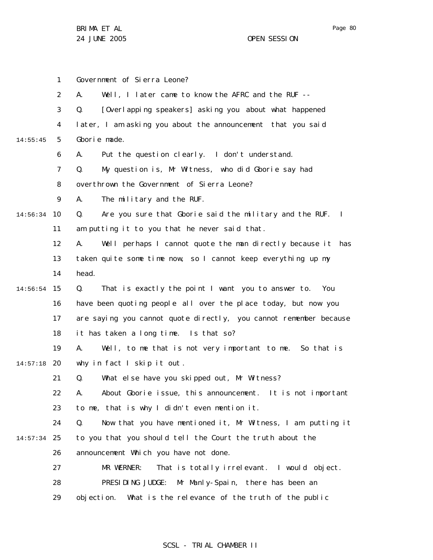Page 80

1 2 3 4 5 6 7 8 9 10 14:56:34 11 12 13 14 15 14:56:54 16 17 18 19 20 14:57:18 21 22 23 24 25 14:57:34 26 27 28 29 14:55:45 Government of Sierra Leone? A. Well, I later came to know the AFRC and the RUF -- Q. [Overlapping speakers] asking you about what happened later, I am asking you about the announcement that you said Gborie made. A. Put the question clearly. I don't understand. Q. My question is, Mr Witness, who did Gborie say had overthrown the Government of Sierra Leone? A. The military and the RUF. Q. Are you sure that Gborie said the military and the RUF. I am putting it to you that he never said that. A. Well perhaps I cannot quote the man directly because it has taken quite some time now, so I cannot keep everything up my head. Q. That is exactly the point I want you to answer to. You have been quoting people all over the place today, but now you are saying you cannot quote directly, you cannot remember because it has taken a long time. Is that so? A. Well, to me that is not very important to me. So that is why in fact I skip it out . Q. What else have you skipped out, Mr Witness? A. About Gborie issue, this announcement. It is not important to me, that is why I didn't even mention it. Q. Now that you have mentioned it, Mr Witness, I am putting it to you that you should tell the Court the truth about the announcement Which you have not done. MR WERNER: That is totally irrelevant. I would object. PRESIDING JUDGE: Mr Manly-Spain, there has been an objection. What is the relevance of the truth of the public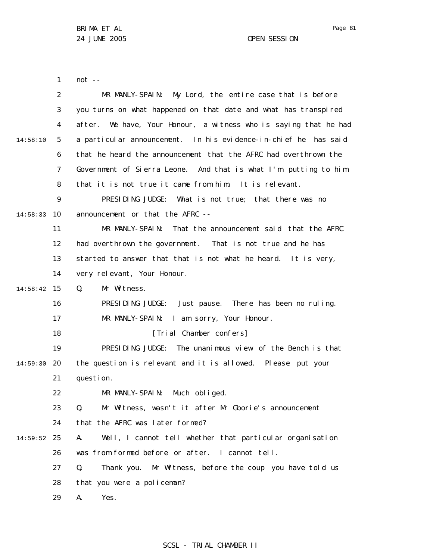Page 81

1 not --

|          | $\overline{2}$ | MR MANLY-SPAIN: My Lord, the entire case that is before             |
|----------|----------------|---------------------------------------------------------------------|
|          | 3              | you turns on what happened on that date and what has transpired     |
|          | $\overline{4}$ | We have, Your Honour, a witness who is saying that he had<br>after. |
| 14:58:10 | 5              | a particular announcement. In his evidence-in-chief he has said     |
|          | 6              | that he heard the announcement that the AFRC had overthrown the     |
|          | $\overline{7}$ | Government of Sierra Leone. And that is what I'm putting to him     |
|          | 8              | that it is not true it came from him. It is relevant.               |
|          | 9              | PRESIDING JUDGE: What is not true; that there was no                |
| 14:58:33 | 10             | announcement or that the AFRC --                                    |
|          | 11             | MR MANLY-SPAIN:<br>That the announcement said that the AFRC         |
|          | 12             | had overthrown the government. That is not true and he has          |
|          | 13             | started to answer that that is not what he heard. It is very,       |
|          | 14             | very relevant, Your Honour.                                         |
| 14:58:42 | 15             | Mr Witness.<br>Q.                                                   |
|          | 16             | PRESIDING JUDGE: Just pause. There has been no ruling.              |
|          | 17             | MR MANLY-SPAIN: I am sorry, Your Honour.                            |
|          | 18             | [Trial Chamber confers]                                             |
|          | 19             | PRESIDING JUDGE:<br>The unanimous view of the Bench is that         |
| 14:59:30 | 20             | the question is relevant and it is allowed. Please put your         |
|          | 21             | question.                                                           |
|          | 22             | MR MANLY-SPAIN:<br>Much obliged.                                    |
|          | 23             | Q.<br>Mr Witness, wasn't it after Mr Gborie's announcement          |
|          | 24             | that the AFRC was later formed?                                     |
| 14:59:52 | 25             | Well, I cannot tell whether that particular organisation<br>А.      |
|          | 26             | was from formed before or after. I cannot tell.                     |
|          | 27             | Thank you. Mr Witness, before the coup you have told us<br>Q.       |
|          | 28             | that you were a policeman?                                          |
|          | 29             | Yes.<br>А.                                                          |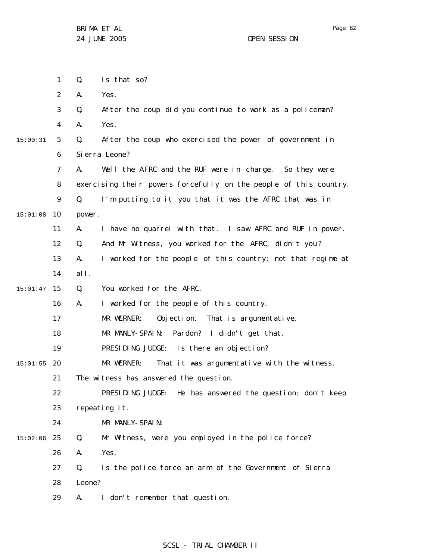|          | 1              | Q.     | Is that so?                                                       |
|----------|----------------|--------|-------------------------------------------------------------------|
|          | 2              | А.     | Yes.                                                              |
|          | 3              | Q.     | After the coup did you continue to work as a policeman?           |
|          | 4              | А.     | Yes.                                                              |
| 15:00:31 | 5              | Q.     | After the coup who exercised the power of government in           |
|          | 6              |        | Si erra Leone?                                                    |
|          | $\overline{7}$ | А.     | Well the AFRC and the RUF were in charge. So they were            |
|          | 8              |        | exercising their powers forcefully on the people of this country. |
|          | 9              | Q.     | I'm putting to it you that it was the AFRC that was in            |
| 15:01:08 | 10             | power. |                                                                   |
|          | 11             | А.     | I have no quarrel with that. I saw AFRC and RUF in power.         |
|          | 12             | Q.     | And Mr Witness, you worked for the AFRC; didn't you?              |
|          | 13             | А.     | I worked for the people of this country; not that regime at       |
|          | 14             | all.   |                                                                   |
| 15:01:47 | 15             | Q.     | You worked for the AFRC.                                          |
|          | 16             | А.     | I worked for the people of this country.                          |
|          | 17             |        | MR WERNER:<br>Objection. That is argumentative.                   |
|          | 18             |        | MR MANLY-SPAIN: Pardon? I didn't get that.                        |
|          | 19             |        | PRESIDING JUDGE: Is there an objection?                           |
| 15:01:55 | 20             |        | MR WERNER:<br>That it was argumentative with the witness.         |
|          | 21             |        | The witness has answered the question.                            |
|          | 22             |        | PRESIDING JUDGE: He has answered the question; don't keep         |
|          | 23             |        | repeating it.                                                     |
|          | 24             |        | MR MANLY-SPAIN:                                                   |
| 15:02:06 | 25             | Q.     | Mr Witness, were you employed in the police force?                |
|          | 26             | Α.     | Yes.                                                              |
|          | 27             | Q.     | Is the police force an arm of the Government of Sierra            |
|          | 28             | Leone? |                                                                   |
|          | 29             | А.     | I don't remember that question.                                   |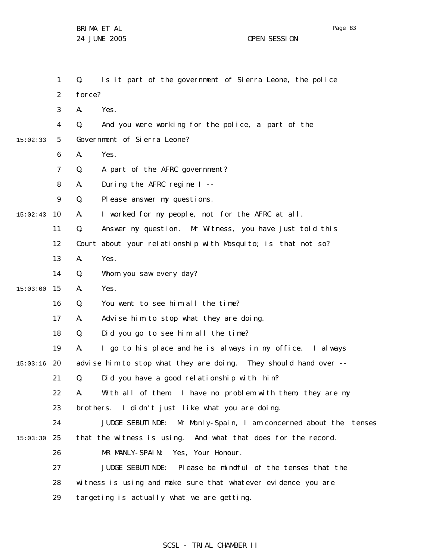|          | $\mathbf{1}$   | Is it part of the government of Sierra Leone, the police<br>Q.      |
|----------|----------------|---------------------------------------------------------------------|
|          | 2              | force?                                                              |
|          | 3              | Yes.<br>А.                                                          |
|          | 4              | And you were working for the police, a part of the<br>Q.            |
| 15:02:33 | 5              | Government of Sierra Leone?                                         |
|          | 6              | Yes.<br>А.                                                          |
|          | $\overline{7}$ | A part of the AFRC government?<br>Q.                                |
|          | 8              | During the AFRC regime I --<br>Α.                                   |
|          | 9              | Q.<br>Please answer my questions.                                   |
| 15:02:43 | 10             | I worked for my people, not for the AFRC at all.<br>А.              |
|          | 11             | Q.<br>Answer my question. Mr Witness, you have just told this       |
|          | 12             | Court about your relationship with Mosquito; is that not so?        |
|          | 13             | Yes.<br>А.                                                          |
|          | 14             | Whom you saw every day?<br>Q.                                       |
| 15:03:00 | 15             | Yes.<br>Α.                                                          |
|          | 16             | You went to see him all the time?<br>Q.                             |
|          | 17             | Advise him to stop what they are doing.<br>Α.                       |
|          | 18             | Did you go to see him all the time?<br>Q.                           |
|          | 19             | I go to his place and he is always in my office. I always<br>А.     |
| 15:03:16 | 20             | advise him to stop what they are doing. They should hand over --    |
|          | 21             | Q.<br>Did you have a good relationship with him?                    |
|          | 22             | With all of them. I have no problem with them, they are my<br>Α.    |
|          | 23             | brothers. I didn't just like what you are doing.                    |
|          | 24             | Mr Manly-Spain, I am concerned about the tenses<br>JUDGE SEBUTINDE: |
| 15:03:30 | 25             | that the witness is using. And what that does for the record.       |
|          | 26             | MR MANLY-SPAIN:<br>Yes, Your Honour.                                |
|          | 27             | JUDGE SEBUTINDE: Please be mindful of the tenses that the           |
|          | 28             | witness is using and make sure that whatever evidence you are       |
|          | 29             | targeting is actually what we are getting.                          |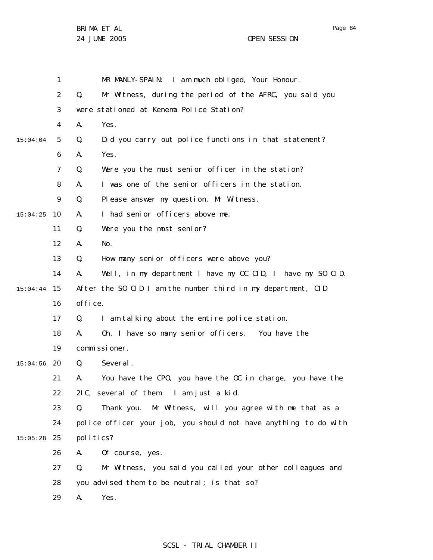Page 84

|          | 1              | MR MANLY-SPAIN: I am much obliged, Your Honour.                  |
|----------|----------------|------------------------------------------------------------------|
|          | $\overline{2}$ | Mr Witness, during the period of the AFRC, you said you<br>Q.    |
|          | 3              | were stationed at Kenema Police Station?                         |
|          | 4              | Yes.<br>А.                                                       |
| 15:04:04 | 5              | Did you carry out police functions in that statement?<br>Q.      |
|          | 6              | А.<br>Yes.                                                       |
|          | 7              | Q.<br>Were you the must senior officer in the station?           |
|          | 8              | I was one of the senior officers in the station.<br>А.           |
|          | 9              | Please answer my question, Mr Witness.<br>Q.                     |
| 15:04:25 | 10             | I had senior officers above me.<br>А.                            |
|          | 11             | Q.<br>Were you the most senior?                                  |
|          | 12             | Α.<br>No.                                                        |
|          | 13             | How many senior officers were above you?<br>Q.                   |
|          | 14             | Well, in my department I have my OC CID, I have my SO CID.<br>А. |
| 15:04:44 | 15             | After the SO CID I am the number third in my department, CID     |
|          | 16             | office.                                                          |
|          | 17             | I am talking about the entire police station.<br>Q.              |
|          | 18             | Oh, I have so many senior officers. You have the<br>А.           |
|          | 19             | commissioner.                                                    |
| 15:04:56 | 20             | Several.<br>Q.                                                   |
|          | 21             | You have the CPO, you have the OC in charge, you have the<br>А.  |
|          | 22             | 2IC, several of them. I am just a kid.                           |
|          | 23             | Thank you. Mr Witness, will you agree with me that as a<br>Q.    |
|          | 24             | police officer your job, you should not have anything to do with |
| 15:05:28 | 25             | politics?                                                        |
|          | 26             | Of course, yes.<br>А.                                            |
|          | 27             | Mr Witness, you said you called your other colleagues and<br>Q.  |
|          | 28             | you advised them to be neutral; is that so?                      |
|          | 29             | Yes.<br>А.                                                       |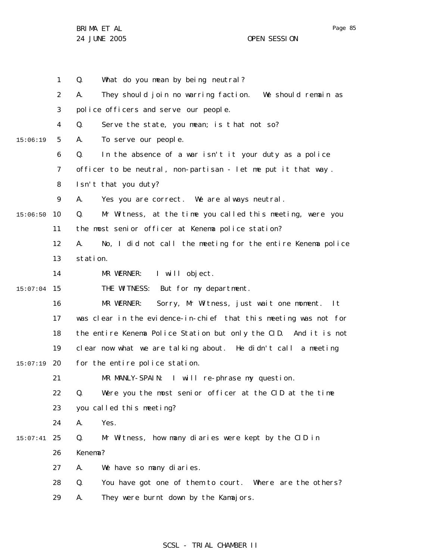Page 85

1 2 3 4 5 6 7 8 9 10 15:06:50 11 12 13 14 15 16 17 18 19 20 15:07:19 21 22 23 24 25 15:07:41 26 27 28 29 15:06:19 15:07:04 Q. What do you mean by being neutral? A. They should join no warring faction. We should remain as police officers and serve our people. Q. Serve the state, you mean; is t hat not so? A. To serve our people. Q. In the absence of a war isn't it your duty as a police officer to be neutral, non-partisan - let me put it that way . Isn't that you duty? A. Yes you are correct. We are always neutral. Q. Mr Witness, at the time you called this meeting, were you the most senior officer at Kenema police station? A. No, I did not call the meeting for the entire Kenema police station. MR WERNER: I will object. THE WITNESS: But for my department. MR WERNER: Sorry, Mr Witness, just wait one moment. It was clear in the evidence-in-chief that this meeting was not for the entire Kenema Police Station but only the CID. And it is not clear now what we are talking about. He didn't call a meeting for the entire police station. MR MANLY-SPAIN: I will re-phrase my question. Q. Were you the most senior officer at the CID at the time you called this meeting? A. Yes. Q. Mr Witness, how many diaries were kept by the CID in Kenema? A. We have so many diaries. Q. You have got one of them to court. Where are the others? A. They were burnt down by the Kamajors.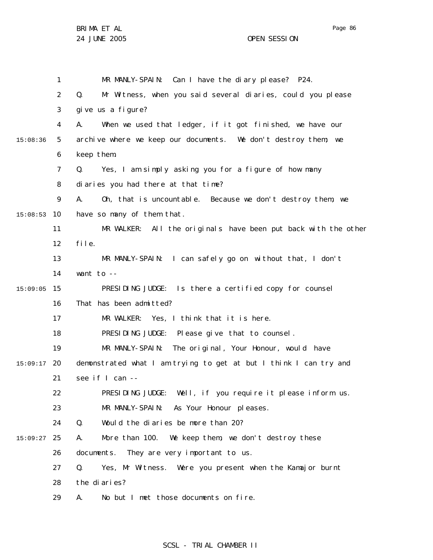Page 86

1 2 3 4 5 6 7 8 9 10 15:08:53 11 12 13 14 15 15:09:05 16 17 18 19 20 15:09:17 21 22 23 24 25 15:09:27 26 27 28 29 15:08:36 MR MANLY-SPAIN: Can I have the diary please? P24. Q. Mr Witness, when you said several diaries, could you please give us a figure? A. When we used that ledger, if it got finished, we have our archive where we keep our documents. We don't destroy them; we keep them. Q. Yes, I am simply asking you for a figure of how many diaries you had there at that time? A. Oh, that is uncountable. Because we don't destroy them, we have so many of them that. MR WALKER: All the originals have been put back with the other file. MR MANLY-SPAIN: I can safely go on without that, I don't want to -- PRESIDING JUDGE: Is there a certified copy for counsel That has been admitted? MR WALKER: Yes, I think that it is here. PRESIDING JUDGE: Please give that to counsel. MR MANLY-SPAIN: The original, Your Honour, would have demonstrated what I am trying to get at but I think I can try and see if I can -- PRESIDING JUDGE: Well, if you require it please inform us. MR MANLY-SPAIN: As Your Honour pleases. Q. Would the diaries be more than 20? A. More than 100. We keep them, we don't destroy these documents. They are very important to us. Q. Yes, Mr Witness. Were you present when the Kamajor burnt the diaries? A. No but I met those documents on fire.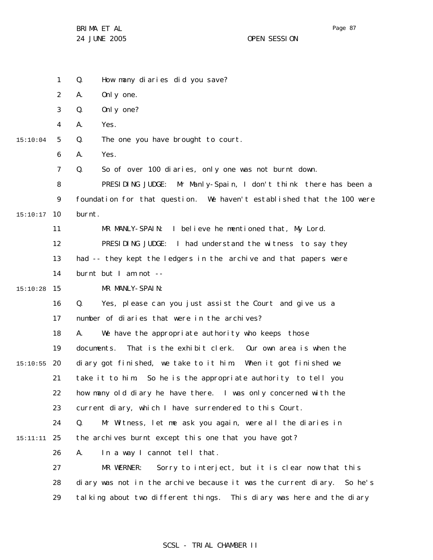1 Q. How many diaries did you save?

2 A. Only one.

3 Q. Only one?

4 A. Yes.

5 15:10:04 Q. The one you have brought to court.

> 6 A. Yes.

7 Q. So of over 100 diaries, only one was not burnt down.

8 9 10 15:10:17 PRESIDING JUDGE: Mr Manly-Spain, I don't think there has been a foundation for that question. We haven't established that the 100 were burnt.

11 MR MANLY-SPAIN: I believe he mentioned that, My Lord.

12 PRESIDING JUDGE: I had understand the witness to say they

13 had -- they kept the ledgers in the archive and that papers were

14 burnt but I am not --

15 15:10:28 MR MANLY-SPAIN:

> 16 17 Q. Yes, please can you just assist the Court and give us a number of diaries that were in the archives?

18 19 20 15:10:55 21 A. We have the appropriate authority who keeps those documents. That is the exhibit clerk. Our own area is when the diary got finished, we take to it him. When it got finished we take it to him. So he is the appropriate authority to tell you

22 23 how many old diary he have there. I was only concerned with the current diary, which I have surrendered to this Court.

24 25 15:11:11 Q. Mr Witness, let me ask you again, were all the diaries in the archives burnt except this one that you have got?

26 A. In a way I cannot tell that.

27 28 29 MR WERNER: Sorry to interject, but it is clear now that this diary was not in the archive because it was the current diary. So he's tal king about two different things. This diary was here and the diary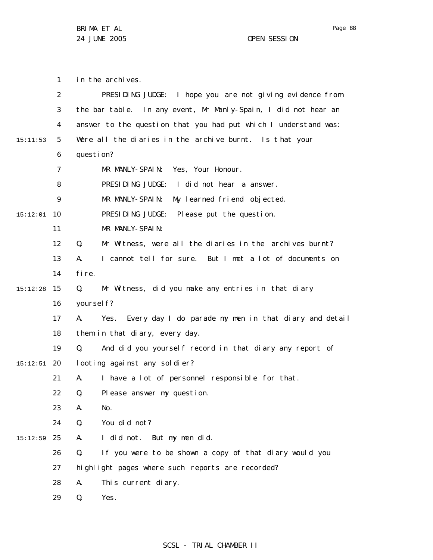1 2 3 4 5 6 7 8 9 10 15:12:01 11 12 13 14 15 15:12:28 16 17 18 19 20 15:12:51 21 22 23 24 25 15:12:59 26 27 28 29 15:11:53 in the archives. PRESIDING JUDGE: I hope you are not giving evidence from the bar table. In any event, Mr Manly-Spain, I did not hear an answer to the question that you had put which I understand was: Were all the diaries in the archive burnt. Is that your question? MR MANLY-SPAIN: Yes, Your Honour. PRESIDING JUDGE: I did not hear a answer. MR MANLY-SPAIN: My learned friend objected. PRESIDING JUDGE: Please put the question. MR MANLY-SPAIN: Q. Mr Witness, were all the diaries in the archives burnt? A. I cannot tell for sure. But I met a lot of documents on fire. Q. Mr Witness, did you make any entries in that diary yoursel f? A. Yes. Every day I do parade my men in that diary and detail them in that diary, every day. Q. And did you yourself record in that diary any report of looting against any soldier? A. I have a lot of personnel responsible for that. Q. Please answer my question. A. No. Q. You did not? A. I did not. But my men did. Q. If you were to be shown a copy of that diary would you highlight pages where such reports are recorded? A. This current diary. Q. Yes.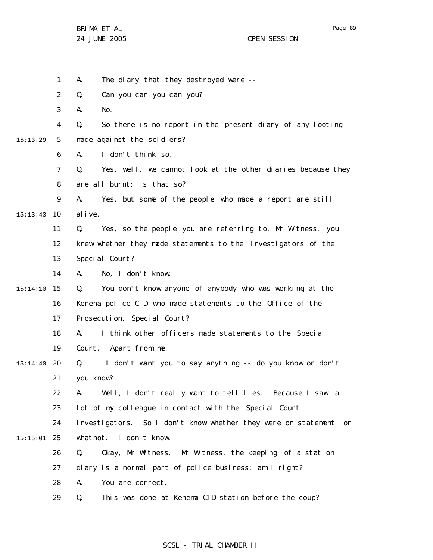|          | 1              | The diary that they destroyed were --<br>А.                       |
|----------|----------------|-------------------------------------------------------------------|
|          | $\overline{2}$ | Can you can you can you?<br>Q.                                    |
|          | 3              | А.<br>No.                                                         |
|          | 4              | Q.<br>So there is no report in the present diary of any looting   |
| 15:13:29 | 5              | made against the soldiers?                                        |
|          | 6              | I don't think so.<br>А.                                           |
|          | 7              | Q.<br>Yes, well, we cannot look at the other diaries because they |
|          | 8              | are all burnt; is that so?                                        |
|          | 9              | Yes, but some of the people who made a report are still<br>А.     |
| 15:13:43 | 10             | al i ve.                                                          |
|          | 11             | Yes, so the people you are referring to, Mr Witness, you<br>Q.    |
|          | 12             | knew whether they made statements to the investigators of the     |
|          | 13             | Special Court?                                                    |
|          | 14             | No, I don't know.<br>А.                                           |
| 15:14:10 | 15             | You don't know anyone of anybody who was working at the<br>Q.     |
|          | 16             | Kenema police CID who made statements to the Office of the        |
|          | 17             | Prosecution, Special Court?                                       |
|          | 18             | I think other officers made statements to the Special<br>А.       |
|          | 19             | Court. Apart from me.                                             |
| 15:14:40 | 20             | I don't want you to say anything -- do you know or don't<br>Q.    |
|          | 21             | you know?                                                         |
|          | 22             | Well, I don't really want to tell lies. Because I saw a<br>Α.     |
|          | 23             | lot of my colleague in contact with the Special Court             |
|          | 24             | investigators. So I don't know whether they were on statement or  |
| 15:15:01 | 25             | whatnot. I don't know.                                            |
|          | 26             | Okay, Mr Witness. Mr Witness, the keeping of a station<br>Q.      |
|          | 27             | diary is a normal part of police business; am I right?            |
|          | 28             | А.<br>You are correct.                                            |
|          | 29             | This was done at Kenema CID station before the coup?<br>Q.        |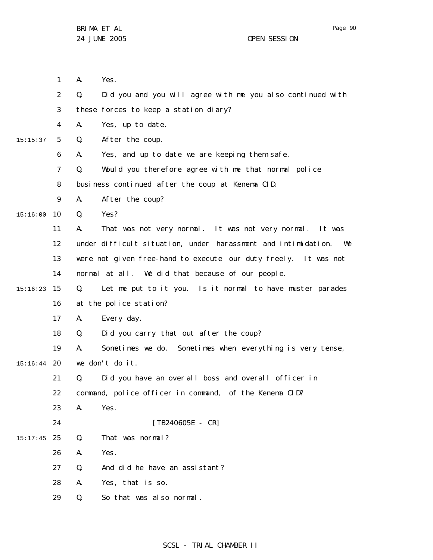|          | $\mathbf{1}$   | А. | Yes.                                                                |
|----------|----------------|----|---------------------------------------------------------------------|
|          | 2              | Q. | Did you and you will agree with me you also continued with          |
|          | 3              |    | these forces to keep a station diary?                               |
|          | 4              | А. | Yes, up to date.                                                    |
| 15:15:37 | 5              | Q. | After the coup.                                                     |
|          | 6              | А. | Yes, and up to date we are keeping them safe.                       |
|          | $\overline{7}$ | Q. | Would you therefore agree with me that normal police                |
|          | 8              |    | business continued after the coup at Kenema CID.                    |
|          | 9              | А. | After the coup?                                                     |
| 15:16:00 | 10             | Q. | Yes?                                                                |
|          | 11             | А. | That was not very normal. It was not very normal. It was            |
|          | 12             |    | under difficult situation, under harassment and intimidation.<br>We |
|          | 13             |    | were not given free-hand to execute our duty freely. It was not     |
|          | 14             |    | normal at all. We did that because of our people.                   |
| 15:16:23 | 15             | Q. | Let me put to it you. Is it normal to have muster parades           |
|          | 16             |    | at the police station?                                              |
|          | 17             | А. | Every day.                                                          |
|          | 18             | Q. | Did you carry that out after the coup?                              |
|          | 19             | А. | Sometimes we do. Sometimes when everything is very tense,           |
| 15:16:44 | 20             |    | we don't do it.                                                     |
|          | 21             | Q. | Did you have an overall boss and overall officer in                 |
|          | 22             |    | command, police officer in command, of the Kenema CID?              |
|          | 23             | А. | Yes.                                                                |
|          | 24             |    | $[TB240605E - CR]$                                                  |
| 15:17:45 | 25             | Q. | That was normal?                                                    |
|          | 26             | Α. | Yes.                                                                |
|          | 27             | Q. | And did he have an assistant?                                       |
|          | 28             | А. | Yes, that is so.                                                    |
|          | 29             | Q. | So that was also normal.                                            |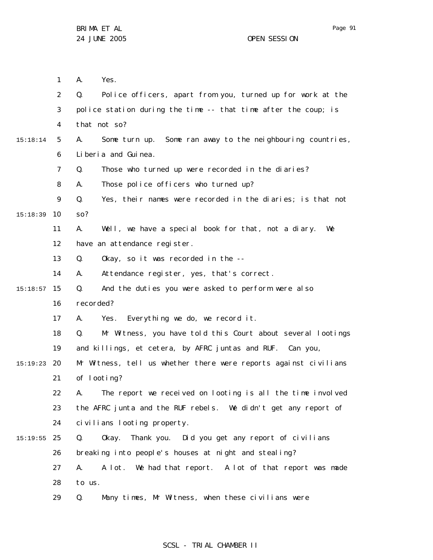1 2 3 4 5 6 7 8 9 10 15:18:39 11 12 13 14 15 15:18:57 16 17 18 19 20 15:19:23 21 22 23 24 25 15:19:55 26 27 28 29 15:18:14 A. Yes. Q. Police officers, apart from you, turned up for work at the police station during the time -- that time after the coup; is that not so? A. Some turn up. Some ran away to the neighbouring countries, Liberia and Guinea. Q. Those who turned up were recorded in the diaries? A. Those police officers who turned up? Q. Yes, their names were recorded in the diaries; is that not so? A. Well, we have a special book for that, not a diary. We have an attendance register. Q. Okay, so it was recorded in the -- A. Attendance register, yes, that's correct. Q. And the duties you were asked to perform were also recorded? A. Yes. Everything we do, we record it. Q. Mr Witness, you have told this Court about several lootings and killings, et cetera, by AFRC juntas and RUF. Can you, Mr Witness, tell us whether there were reports against civilians of looting? A. The report we received on looting is all the time involved the AFRC junta and the RUF rebels. We didn't get any report of civilians looting property. Q. Okay. Thank you. Did you get any report of civilians breaking into people's houses at night and stealing? A. A lot. We had that report. A lot of that report was made to us. Q. Many times, Mr Witness, when these civilians were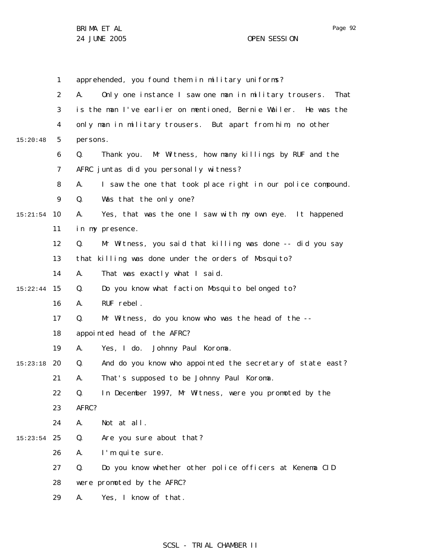Page 92

1 2 3 4 5 6 7 8 9 10 15:21:54 11 12 13 14 15 15:22:44 16 17 18 19 20 15:23:18 21 22 23 24 25 15:23:54 26 27 28 29 15:20:48 apprehended, you found them in military uniforms? A. Only one instance I saw one man in military trousers. That is the man I've earlier on mentioned, Bernie Wailer. He was the only man in military trousers. But apart from him, no other persons. Q. Thank you. Mr Witness, how many killings by RUF and the AFRC juntas did you personally witness? A. I saw the one that took place right in our police compound. Q. Was that the only one? A. Yes, that was the one I saw with my own eye. It happened in my presence. Q. Mr Witness, you said that killing was done -- did you say that killing was done under the orders of Mosquito? A. That was exactly what I said. Q. Do you know what faction Mosquito belonged to? A. RUF rebel. Q. Mr Witness, do you know who was the head of the - appointed head of the AFRC? A. Yes, I do. Johnny Paul Koroma. Q. And do you know who appointed the secretary of state east? A. That's supposed to be Johnny Paul Koroma. Q. In December 1997, Mr Witness, were you promoted by the AFRC? A. Not at all. Q. Are you sure about that? A. I'm quite sure. Q. Do you know whether other police officers at Kenema CID were promoted by the AFRC? A. Yes, I know of that.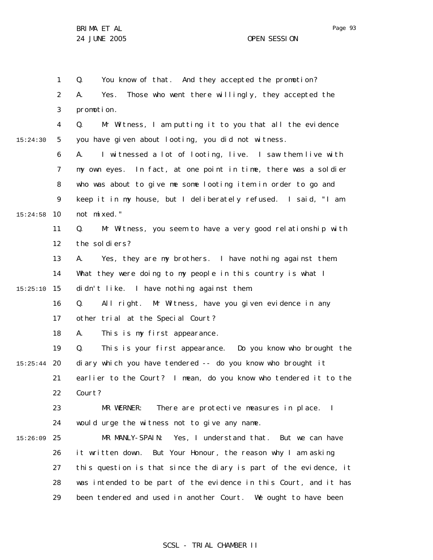1 2 3 4 5 6 7 8 9 10 15:24:58 11 12 13 14 15 15:25:10 16 17 18 19 20 15:25:44 21 22 23 24 25 15:26:09 26 27 28 29 15:24:30 Q. You know of that. And they accepted the promotion? A. Yes. Those who went there willingly, they accepted the promotion. Q. Mr Witness, I am putting it to you that all the evidence you have given about looting, you did not witness. A. I witnessed a lot of looting, live. I saw them live with my own eyes. In fact, at one point in time, there was a soldier who was about to give me some looting item in order to go and keep it in my house, but I deliberately refused. I said, "I am not mixed." Q. Mr Witness, you seem to have a very good relationship with the soldiers? A. Yes, they are my brothers. I have nothing against them. What they were doing to my people in this country is what I didn't like. I have nothing against them. Q. All right. Mr Witness, have you given evidence in any other trial at the Special Court? A. This is my first appearance. Q. This is your first appearance. Do you know who brought the diary which you have tendered -- do you know who brought it earlier to the Court? I mean, do you know who tendered it to the Court? MR WERNER: There are protective measures in place. I would urge the witness not to give any name. MR MANLY-SPAIN: Yes, I understand that. But we can have it written down. But Your Honour, the reason why I am asking this question is that since the diary is part of the evidence, it was intended to be part of the evidence in this Court, and it has been tendered and used in another Court. We ought to have been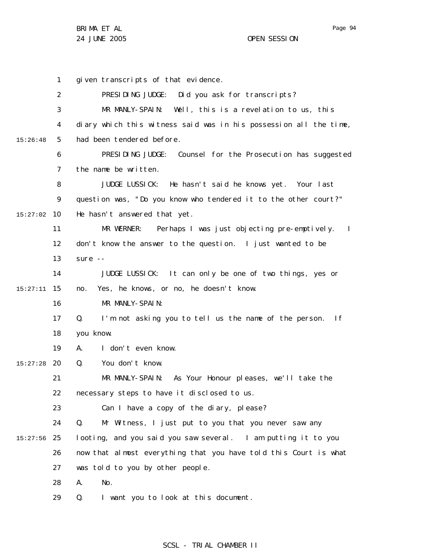Page 94

1 2 3 4 5 6 7 8 9 10 15:27:02 11 12 13 14 15 15:27:11 16 17 18 19 20 15:27:28 21 22 23 24 25 15:27:56 26 27 28 29 15:26:48 given transcripts of that evidence. PRESIDING JUDGE: Did you ask for transcripts? MR MANLY-SPAIN: Well, this is a revelation to us, this diary which this witness said was in his possession all the time, had been tendered before. PRESIDING JUDGE: Counsel for the Prosecution has suggested the name be written. JUDGE LUSSICK: He hasn't said he knows yet. Your last question was, "Do you know who tendered it to the other court?" He hasn't answered that yet. MR WERNER: Perhaps I was just objecting pre-emptively. I don't know the answer to the question. I just wanted to be sure -- JUDGE LUSSICK: It can only be one of two things, yes or no. Yes, he knows, or no, he doesn't know. MR MANLY-SPAIN: Q. I'm not asking you to tell us the name of the person. If you know. A. I don't even know. Q. You don't know. MR MANLY-SPAIN: As Your Honour pleases, we'll take the necessary steps to have it disclosed to us. Can I have a copy of the diary, please? Q. Mr Witness, I just put to you that you never saw any looting, and you said you saw several. I am putting it to you now that almost everything that you have told this Court is what was told to you by other people. A. No. Q. I want you to look at this document.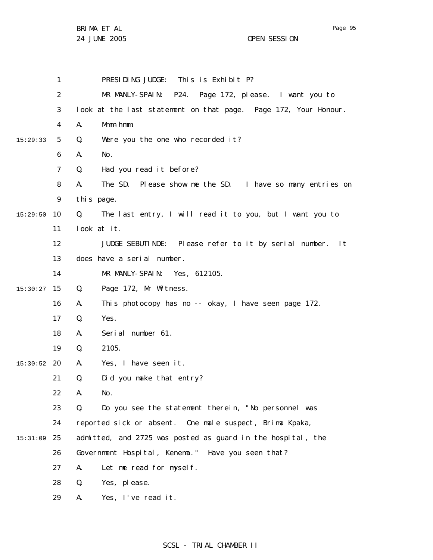Page 95

1 2 3 4 5 6 7 8 9 10 15:29:50 11 12 13 14 15 15:30:27 16 17 18 19 20 15:30:52 21 22 23 24 25 15:31:09 26 27 28 29 15:29:33 PRESIDING JUDGE: This is Exhibit P? MR MANLY-SPAIN: P24. Page 172, please. I want you to look at the last statement on that page. Page 172, Your Honour. A. Mmm-hmm. Q. Were you the one who recorded it? A. No. Q. Had you read it before? A. The SD. Please show me the SD. I have so many entries on this page. Q. The last entry, I will read it to you, but I want you to look at it. JUDGE SEBUTINDE: Please refer to it by serial number. It does have a serial number. MR MANLY-SPAIN: Yes, 612105. Q. Page 172, Mr Witness. A. This photocopy has no -- okay, I have seen page 172. Q. Yes. A. Serial number 61. Q. 2105. A. Yes, I have seen it. Q. Did you make that entry? A. No. Q. Do you see the statement therein, "No personnel was reported sick or absent. One male suspect, Brima Kpaka, admitted, and 2725 was posted as guard in the hospital, the Government Hospital, Kenema." Have you seen that? A. Let me read for myself. Q. Yes, please. A. Yes, I've read it.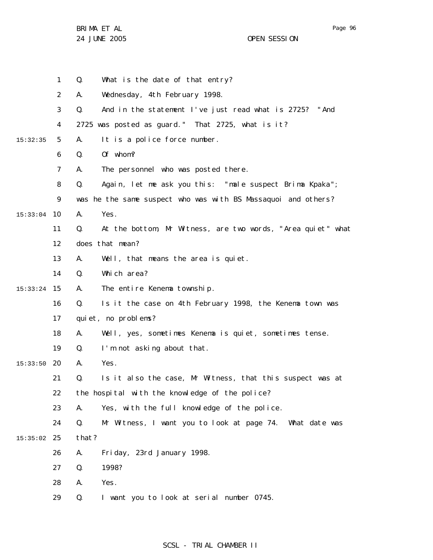Page 96

|          | $\mathbf{1}$ | Q.    | What is the date of that entry?                               |
|----------|--------------|-------|---------------------------------------------------------------|
|          | 2            | А.    | Wednesday, 4th February 1998.                                 |
|          | 3            | Q.    | And in the statement I've just read what is 2725? "And        |
|          | 4            |       | 2725 was posted as guard." That 2725, what is it?             |
| 15:32:35 | 5            | А.    | It is a police force number.                                  |
|          | 6            | Q.    | Of whom?                                                      |
|          | 7            | А.    | The personnel who was posted there.                           |
|          | 8            | Q.    | Again, let me ask you this: "male suspect Brima Kpaka";       |
|          | 9            |       | was he the same suspect who was with BS Massaquoi and others? |
| 15:33:04 | 10           | А.    | Yes.                                                          |
|          | 11           | Q.    | At the bottom, Mr Witness, are two words, "Area quiet" what   |
|          | 12           |       | does that mean?                                               |
|          | 13           | А.    | Well, that means the area is quiet.                           |
|          | 14           | Q.    | Which area?                                                   |
| 15:33:24 | 15           | А.    | The entire Kenema township.                                   |
|          | 16           | Q.    | Is it the case on 4th February 1998, the Kenema town was      |
|          | 17           |       | quiet, no problems?                                           |
|          | 18           | А.    | Well, yes, sometimes Kenema is quiet, sometimes tense.        |
|          | 19           | Q.    | I'm not asking about that.                                    |
| 15:33:50 | 20           | А.    | Yes.                                                          |
|          | 21           | Q.    | Is it also the case, Mr Witness, that this suspect was at     |
|          | 22           |       | the hospital with the knowledge of the police?                |
|          | 23           | А.    | Yes, with the full knowledge of the police.                   |
|          | 24           | Q.    | Mr Witness, I want you to look at page 74. What date was      |
| 15:35:02 | 25           | that? |                                                               |
|          | 26           | А.    | Friday, 23rd January 1998.                                    |
|          | 27           | Q.    | 1998?                                                         |
|          | 28           | А.    | Yes.                                                          |
|          | 29           | Q.    | I want you to look at serial number 0745.                     |
|          |              |       |                                                               |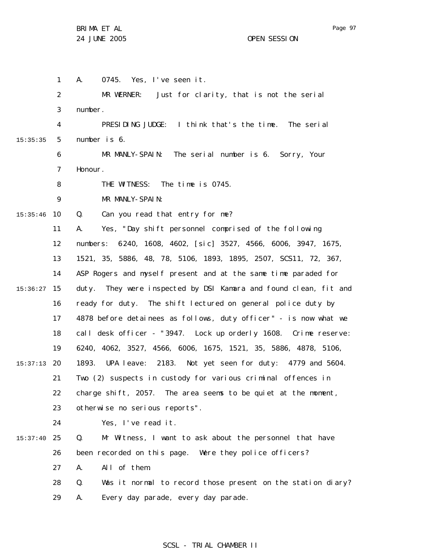1 2 3 4 5 6 7 8 9 10 15:35:46 11 12 13 14 15 15:36:27 16 17 18 19 20 15:37:13 21 22 23 24 25 15:37:40 26 27 28 29 15:35:35 A. 0745. Yes, I've seen it. MR WERNER: Just for clarity, that is not the serial number. PRESIDING JUDGE: I think that's the time. The serial number is 6. MR MANLY-SPAIN: The serial number is 6. Sorry, Your Honour. THE WITNESS: The time is 0745. MR MANLY-SPAIN: Q. Can you read that entry for me? A. Yes, "Day shift personnel comprised of the following numbers: 6240, 1608, 4602, [sic] 3527, 4566, 6006, 3947, 1675, 1521, 35, 5886, 48, 78, 5106, 1893, 1895, 2507, SCS11, 72, 367, ASP Rogers and myself present and at the same time paraded for duty. They were inspected by DSI Kamara and found clean, fit and ready for duty. The shift lectured on general police duty by 4878 before detainees as follows, duty officer" - is now what we call desk officer - "3947. Lock up orderly 1608. Crime reserve: 6240, 4062, 3527, 4566, 6006, 1675, 1521, 35, 5886, 4878, 5106, 1893. UPA leave: 2183. Not yet seen for duty: 4779 and 5604. Two (2) suspects in custody for various criminal offences in charge shift, 2057. The area seems to be quiet at the moment, otherwise no serious reports". Yes, I've read it. Q. Mr Witness, I want to ask about the personnel that have been recorded on this page. Were they police officers? A. All of them. Q. Was it normal to record those present on the station diary? A. Every day parade, every day parade.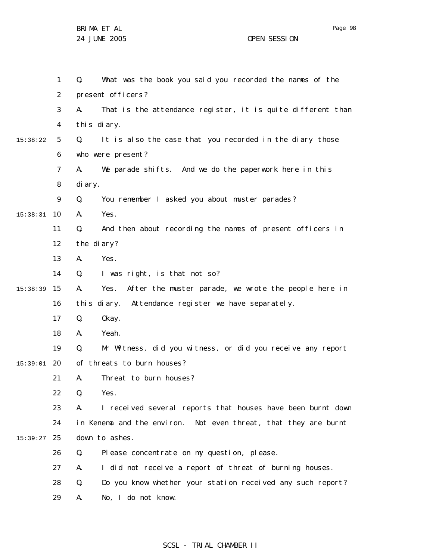|          | $\mathbf{1}$   | Q.          | What was the book you said you recorded the names of the        |
|----------|----------------|-------------|-----------------------------------------------------------------|
|          | 2              |             | present officers?                                               |
|          | 3              | А.          | That is the attendance register, it is quite different than     |
|          | 4              | this diary. |                                                                 |
| 15:38:22 | 5              | Q.          | It is also the case that you recorded in the diary those        |
|          | 6              |             | who were present?                                               |
|          | $\overline{7}$ | А.          | We parade shifts. And we do the paperwork here in this          |
|          | 8              | di ary.     |                                                                 |
|          | 9              | Q.          | You remember I asked you about muster parades?                  |
| 15:38:31 | 10             | А.          | Yes.                                                            |
|          | 11             | Q.          | And then about recording the names of present officers in       |
|          | 12             | the diary?  |                                                                 |
|          | 13             | А.          | Yes.                                                            |
|          | 14             | Q.          | I was right, is that not so?                                    |
| 15:38:39 | 15             | А.          | Yes.<br>After the muster parade, we wrote the people here in    |
|          | 16             |             | this diary. Attendance register we have separately.             |
|          | 17             | Q.          | 0kay.                                                           |
|          | 18             | Α.          | Yeah.                                                           |
|          | 19             | Q.          | Mr Witness, did you witness, or did you receive any report      |
| 15:39:01 | 20             |             | of threats to burn houses?                                      |
|          | 21             | А.          | Threat to burn houses?                                          |
|          | 22             | Q.          | Yes.                                                            |
|          | 23             | А.          | I received several reports that houses have been burnt down     |
|          | 24             |             | in Kenema and the environ. Not even threat, that they are burnt |
| 15:39:27 | 25             |             | down to ashes.                                                  |
|          | 26             | Q.          | Please concentrate on my question, please.                      |
|          | 27             | А.          | I did not receive a report of threat of burning houses.         |
|          | 28             | Q.          | Do you know whether your station received any such report?      |
|          | 29             | Α.          | No, I do not know.                                              |

SCSL - TRIAL CHAMBER II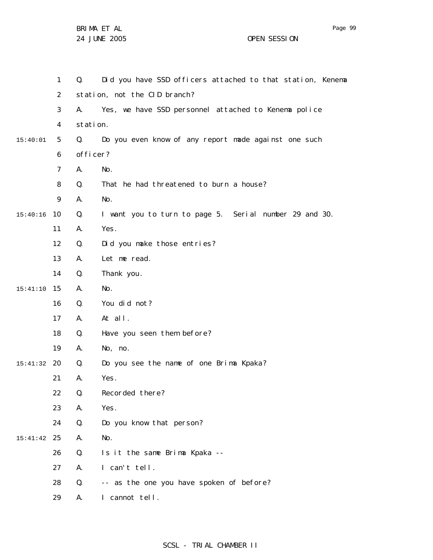|          | $\mathbf{1}$   | Q.       | Did you have SSD officers attached to that station, Kenema |
|----------|----------------|----------|------------------------------------------------------------|
|          | $\overline{2}$ |          | station, not the CID branch?                               |
|          | 3              | А.       | Yes, we have SSD personnel attached to Kenema police       |
|          | 4              | station. |                                                            |
| 15:40:01 | 5              | Q.       | Do you even know of any report made against one such       |
|          | 6              | officer? |                                                            |
|          | $\overline{7}$ | А.       | No.                                                        |
|          | 8              | Q.       | That he had threatened to burn a house?                    |
|          | 9              | Α.       | No.                                                        |
| 15:40:16 | 10             | Q.       | I want you to turn to page 5. Serial number 29 and 30.     |
|          | 11             | А.       | Yes.                                                       |
|          | 12             | Q.       | Did you make those entries?                                |
|          | 13             | А.       | Let me read.                                               |
|          | 14             | Q.       | Thank you.                                                 |
| 15:41:10 | 15             | Α.       | No.                                                        |
|          | 16             | Q.       | You did not?                                               |
|          | 17             | А.       | At all.                                                    |
|          | 18             | Q.       | Have you seen them before?                                 |
|          | 19             | Α.       | No, no.                                                    |
| 15:41:32 | 20             | Q.       | Do you see the name of one Brima Kpaka?                    |
|          | 21             | Α.       | Yes.                                                       |
|          | 22             | Q.       | Recorded there?                                            |
|          | 23             | А.       | Yes.                                                       |
|          | 24             | Q.       | Do you know that person?                                   |
| 15:41:42 | 25             | А.       | No.                                                        |
|          | 26             | Q.       | Is it the same Brima Kpaka --                              |
|          | 27             | Α.       | I can't tell.                                              |
|          | 28             | Q.       | -- as the one you have spoken of before?                   |
|          | 29             | А.       | I cannot tell.                                             |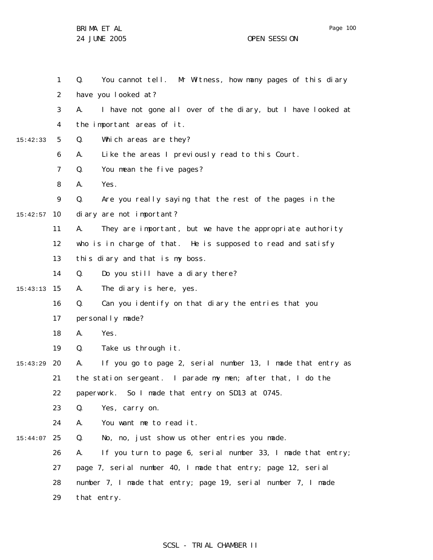1 2 3 4 5 6 7 8 9 10 15:42:57 11 12 13 14 15 15:43:13 16 17 18 19 20 15:43:29 21 22 23 24 25 15:44:07 26 27 28 29 15:42:33 Q. You cannot tell. Mr Witness, how many pages of this diary have you looked at? A. I have not gone all over of the diary, but I have looked at the important areas of it. Q. Which areas are they? A. Like the areas I previously read to this Court. Q. You mean the five pages? A. Yes. Q. Are you really saying that the rest of the pages in the diary are not important? A. They are important, but we have the appropriate authority who is in charge of that. He is supposed to read and satisfy this diary and that is my boss. Q. Do you still have a diary there? A. The diary is here, yes. Q. Can you identify on that diary the entries that you personally made? A. Yes. Q. Take us through it. A. If you go to page 2, serial number 13, I made that entry as the station sergeant. I parade my men; after that, I do the paperwork. So I made that entry on SD13 at 0745. Q. Yes, carry on. A. You want me to read it. Q. No, no, just show us other entries you made. A. If you turn to page 6, serial number 33, I made that entry; page 7, serial number 40, I made that entry; page 12, serial number 7, I made that entry; page 19, serial number 7, I made that entry.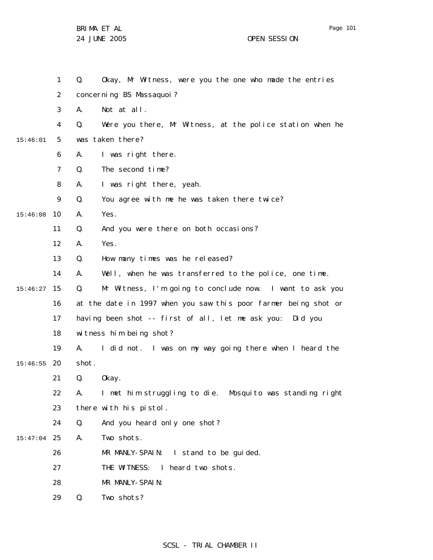Page 101

1 2 3 4 5 6 7 8 9 10 15:46:08 11 12 13 14 15 15:46:27 16 17 18 19 20 15:46:55 21 22 23 24 25 15:47:04 26 27 28 29 15:46:01 Q. Okay, Mr Witness, were you the one who made the entries concerning BS Massaquoi? A. Not at all. Q. Were you there, Mr Witness, at the police station when he was taken there? A. I was right there. Q. The second time? A. I was right there, yeah. Q. You agree with me he was taken there twice? A. Yes. Q. And you were there on both occasions? A. Yes. Q. How many times was he released? A. Well, when he was transferred to the police, one time. Q. Mr Witness, I'm going to conclude now. I want to ask you at the date in 1997 when you saw this poor farmer being shot or having been shot -- first of all, let me ask you: Did you witness him being shot? A. I did not. I was on my way going there when I heard the shot. Q. Okay. A. I met him struggling to die. Mosquito was standing right there with his pistol. Q. And you heard only one shot? A. Two shots. MR MANLY-SPAIN: I stand to be quided. THE WITNESS: I heard two shots. MR MANLY-SPAIN: Q. Two shots?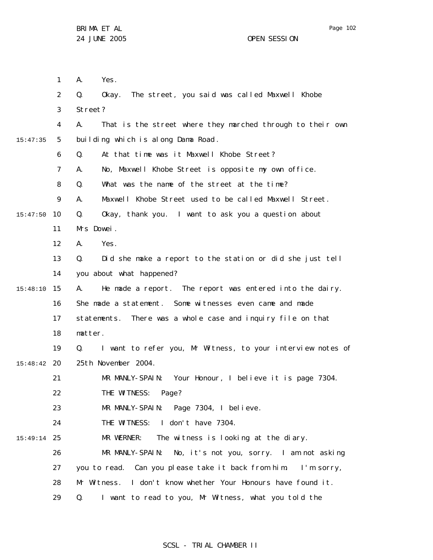1 2 3 4 5 6 7 8 9 10 15:47:50 11 12 13 14 15 15:48:10 16 17 18 19 20 15:48:42 21 22 23 24 25 15:49:14 26 27 28 29 15:47:35 A. Yes. Q. Okay. The street, you said was called Maxwell Khobe Street? A. That is the street where they marched through to their own building which is along Dama Road . Q. At that time was it Maxwell Khobe Street? A. No, Maxwell Khobe Street is opposite my own office. Q. What was the name of the street at the time? A. Maxwell Khobe Street used to be called Maxwell Street. Q. Okay, thank you. I want to ask you a question about Mrs Dowei. A. Yes. Q. Did she make a report to the station or did she just tell you about what happened? A. He made a report. The report was entered into the dairy. She made a statement. Some witnesses even came and made statements. There was a whole case and inquiry file on that matter. Q. I want to refer you, Mr Witness, to your interview notes of 25th November 2004. MR MANLY-SPAIN: Your Honour, I believe it is page 7304. THE WITNESS: Page? MR MANLY-SPAIN: Page 7304, I believe. THE WITNESS: I don't have 7304. MR WERNER: The witness is looking at the diary. MR MANLY-SPAIN: No, it's not you, sorry. I am not asking you to read. Can you please take it back from him. I'm sorry, Mr Witness. I don't know whether Your Honours have found it. Q. I want to read to you, Mr Witness, what you told the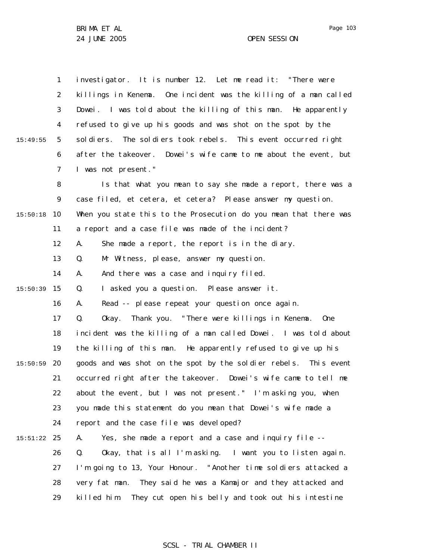1 2 3 4 5 6 7 8 9 10 15:50:18 11 12 13 14 15 15:50:39 16 17 18 19 20 15:50:59 21 22 23 24 25 15:51:22 26 27 28 29 15:49:55 investigator. It is number 12. Let me read it: "There were killings in Kenema. One incident was the killing of a man called Dowei. I was told about the killing of this man. He apparently refused to give up his goods and was shot on the spot by the soldiers. The soldiers took rebels. This event occurred right after the takeover. Dowei's wife came to me about the event, but I was not present." Is that what you mean to say she made a report, there was a case filed, et cetera, et cetera? Please answer my question. When you state this to the Prosecution do you mean that there was a report and a case file was made of the incident? A. She made a report, the report is in the diary. Q. Mr Witness, please, answer my question. A. And there was a case and inquiry filed. Q. I asked you a question. Please answer it. A. Read -- please repeat your question once again. Q. Okay. Thank you. "There were killings in Kenema. One incident was the killing of a man called Dowei. I was told about the killing of this man. He apparently refused to give up his goods and was shot on the spot by the soldier rebels. This event occurred right after the takeover. Dowei's wife came to tell me about the event, but I was not present." I'm asking you, when you made this statement do you mean that Dowei's wife made a report and the case file was developed? A. Yes, she made a report and a case and inquiry file -- Q. Okay, that is all I'm asking. I want you to listen again. I'm going to 13, Your Honour. "Another time soldiers attacked a very fat man. They said he was a Kamajor and they attacked and killed him. They cut open his belly and took out his intestine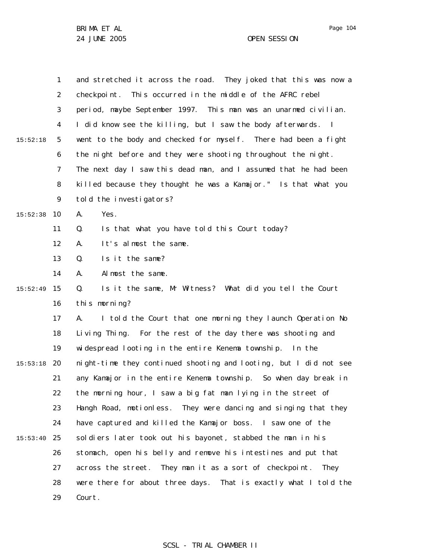|          | $\mathbf{1}$   | and stretched it across the road. They joked that this was now a  |  |  |
|----------|----------------|-------------------------------------------------------------------|--|--|
|          | $\overline{2}$ | checkpoint. This occurred in the middle of the AFRC rebel         |  |  |
|          | 3              | period, maybe September 1997. This man was an unarmed civilian.   |  |  |
|          | 4              | I did know see the killing, but I saw the body afterwards. I      |  |  |
| 15:52:18 | 5              | went to the body and checked for myself. There had been a fight   |  |  |
|          | 6              | the night before and they were shooting throughout the night.     |  |  |
|          | 7              | The next day I saw this dead man, and I assumed that he had been  |  |  |
|          | 8              | killed because they thought he was a Kamajor." Is that what you   |  |  |
|          | 9              | told the investigators?                                           |  |  |
| 15:52:38 | 10             | Yes.<br>А.                                                        |  |  |
|          | 11             | Is that what you have told this Court today?<br>Q.                |  |  |
|          | 12             | It's almost the same.<br>А.                                       |  |  |
|          | 13             | Is it the same?<br>Q.                                             |  |  |
|          | 14             | Almost the same.<br>А.                                            |  |  |
| 15:52:49 | 15             | Is it the same, Mr Witness? What did you tell the Court<br>Q.     |  |  |
|          | 16             | this morning?                                                     |  |  |
|          | 17             | I told the Court that one morning they launch Operation No<br>А.  |  |  |
|          | 18             | Living Thing. For the rest of the day there was shooting and      |  |  |
|          | 19             | widespread looting in the entire Kenema township. In the          |  |  |
| 15:53:18 | 20             | night-time they continued shooting and looting, but I did not see |  |  |
|          | 21             | any Kamajor in the entire Kenema township. So when day break in   |  |  |
|          | 22             | the morning hour, I saw a big fat man lying in the street of      |  |  |
|          | 23             | Hangh Road, motionless. They were dancing and singing that they   |  |  |
|          | 24             | have captured and killed the Kamajor boss. I saw one of the       |  |  |
| 15:53:40 | 25             | soldiers later took out his bayonet, stabbed the man in his       |  |  |
|          | 26             | stomach, open his belly and remove his intestines and put that    |  |  |
|          | 27             | across the street. They man it as a sort of checkpoint.<br>They   |  |  |
|          | 28             | were there for about three days. That is exactly what I told the  |  |  |
|          | 29             | Court.                                                            |  |  |

# SCSL - TRIAL CHAMBER II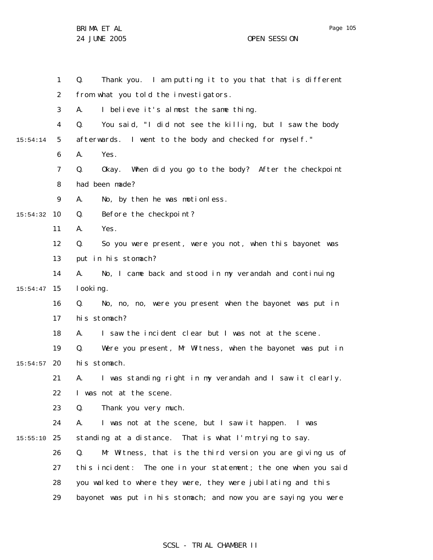Page 105

|          | 1              | Thank you. I am putting it to you that that is different<br>Q.     |
|----------|----------------|--------------------------------------------------------------------|
|          | 2              | from what you told the investigators.                              |
|          | 3              | I believe it's almost the same thing.<br>А.                        |
|          | 4              | You said, "I did not see the killing, but I saw the body<br>Q.     |
| 15:54:14 | 5              | afterwards. I went to the body and checked for myself."            |
|          | 6              | Α.<br>Yes.                                                         |
|          | $\overline{7}$ | Q.<br>Okay. When did you go to the body? After the checkpoint      |
|          | 8              | had been made?                                                     |
|          | 9              | No, by then he was motionless.<br>А.                               |
| 15:54:32 | 10             | Q.<br>Before the checkpoint?                                       |
|          | 11             | Α.<br>Yes.                                                         |
|          | 12             | Q.<br>So you were present, were you not, when this bayonet was     |
|          | 13             | put in his stomach?                                                |
|          | 14             | No, I came back and stood in my verandah and continuing<br>А.      |
| 15:54:47 | 15             | I ooki ng.                                                         |
|          | 16             | No, no, no, were you present when the bayonet was put in<br>Q.     |
|          | 17             | his stomach?                                                       |
|          | 18             | I saw the incident clear but I was not at the scene.<br>А.         |
|          | 19             | Q.<br>Were you present, Mr Witness, when the bayonet was put in    |
| 15:54:57 | 20             | his stomach.                                                       |
|          | 21             | I was standing right in my verandah and I saw it clearly.<br>А.    |
|          | 22             | I was not at the scene.                                            |
|          | 23             | Thank you very much.<br>Q.                                         |
|          | 24             | I was not at the scene, but I saw it happen. I was<br>А.           |
| 15:55:10 | 25             | standing at a distance. That is what I'm trying to say.            |
|          | 26             | Mr Witness, that is the third version you are giving us of<br>Q.   |
|          | 27             | The one in your statement; the one when you said<br>this incident: |
|          | 28             | you walked to where they were, they were jubilating and this       |
|          | 29             | bayonet was put in his stomach; and now you are saying you were    |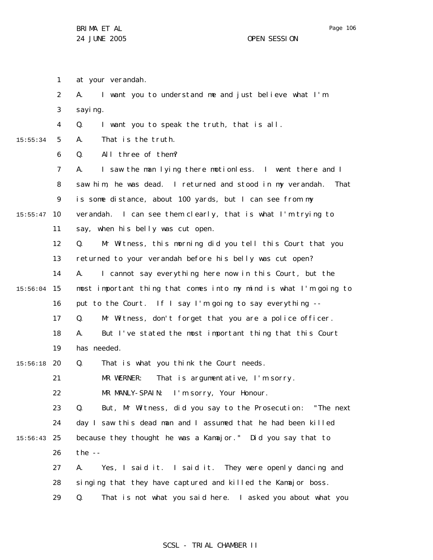1 at your verandah.

|          | 2              | I want you to understand me and just believe what I'm<br>А.        |
|----------|----------------|--------------------------------------------------------------------|
|          | 3              | sayi ng.                                                           |
|          | $\overline{4}$ | I want you to speak the truth, that is all.<br>Q.                  |
| 15:55:34 | 5              | That is the truth.<br>А.                                           |
|          | 6              | All three of them?<br>Q.                                           |
|          | $\overline{7}$ | I saw the man I ying there motionless. I went there and I<br>А.    |
|          | 8              | saw him, he was dead. I returned and stood in my verandah.<br>That |
|          | 9              | is some distance, about 100 yards, but I can see from my           |
| 15:55:47 | 10             | verandah. I can see them clearly, that is what I'm trying to       |
|          | 11             | say, when his belly was cut open.                                  |
|          | 12             | Mr Witness, this morning did you tell this Court that you<br>Q.    |
|          | 13             | returned to your verandah before his belly was cut open?           |
|          | 14             | I cannot say everything here now in this Court, but the<br>А.      |
| 15:56:04 | 15             | most important thing that comes into my mind is what I'm going to  |
|          | 16             | put to the Court. If I say I'm going to say everything --          |
|          | 17             | Mr Witness, don't forget that you are a police officer.<br>Q.      |
|          | 18             | But I've stated the most important thing that this Court<br>А.     |
|          | 19             | has needed.                                                        |
| 15:56:18 | 20             | That is what you think the Court needs.<br>Q.                      |
|          | 21             | That is argumentative, I'm sorry.<br>MR WERNER:                    |
|          | 22             | MR MANLY-SPAIN:<br>I'm sorry, Your Honour.                         |
|          | 23             | Q.<br>But, Mr Witness, did you say to the Prosecution: "The next   |
|          | 24             | day I saw this dead man and I assumed that he had been killed      |
| 15:56:43 | 25             | because they thought he was a Kamajor." Did you say that to        |
|          | 26             | the $-$                                                            |
|          | 27             | Yes, I said it. I said it. They were openly dancing and<br>А.      |
|          | 28             | singing that they have captured and killed the Kamajor boss.       |
|          | 29             | That is not what you said here. I asked you about what you<br>Q.   |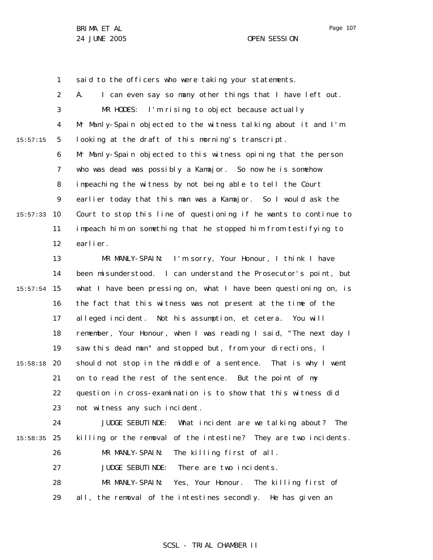1 said to the officers who were taking your statements.

2 3 4 5 6 7 8 9 10 15:57:33 11 12 13 14 15 15:57:54 16 17 18 19 20 15:58:18 21 22 23 24 25 15:58:35 26 27 28 29 15:57:15 A. I can even say so many other things that I have left out. MR HODES: I'm rising to object because actually Mr Manly-Spain objected to the witness talking about it and I'm looking at the draft of this morning's transcript. Mr Manly-Spain objected to this witness opining that the person who was dead was possibly a Kamajor. So now he is somehow impeaching the witness by not being able to tell the Court earlier today that this man was a Kamajor. So I would ask the Court to stop this line of questioning if he wants to continue to impeach him on something that he stopped him from testifying to earlier. MR MANLY-SPAIN: I'm sorry, Your Honour, I think I have been misunderstood. I can understand the Prosecutor's point, but what I have been pressing on, what I have been questioning on, is the fact that this witness was not present at the time of the alleged incident. Not his assumption, et cetera. You will remember, Your Honour, when I was reading I said, "The next day I saw this dead man" and stopped but, from your directions, I should not stop in the middle of a sentence. That is why I went on to read the rest of the sentence. But the point of my question in cross-examination is to show that this witness did not witness any such incident. JUDGE SEBUTINDE: What incident are we talking about? The killing or the removal of the intestine? They are two incidents. MR MANLY-SPAIN: The killing first of all. JUDGE SEBUTINDE: There are two incidents. MR MANLY-SPAIN: Yes, Your Honour. The killing first of all, the removal of the intestines secondly. He has given an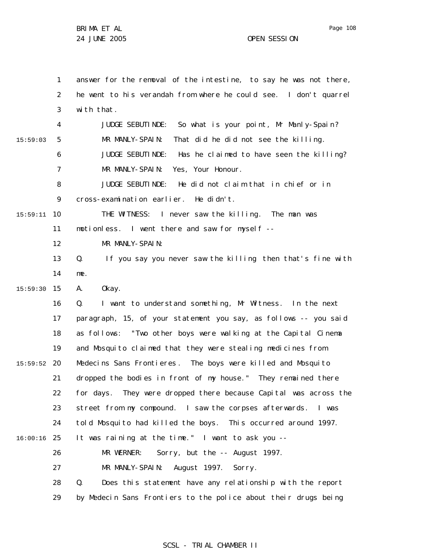Page 108

1 2 3 4 5 6 7 8 9 10 15:59:11 11 12 13 14 15 15:59:30 16 17 18 19 20 15:59:52 21 22 23 24 25 16:00:16 26 27 28 29 15:59:03 answer for the removal of the intestine, to say he was not there, he went to his verandah from where he could see. I don't quarrel with that. JUDGE SEBUTINDE: So what is your point, Mr Manly-Spain? MR MANLY-SPAIN: That did he did not see the killing. JUDGE SEBUTINDE: Has he claimed to have seen the killing? MR MANLY-SPAIN: Yes, Your Honour. JUDGE SEBUTINDE: He did not claim that in chief or in cross-examination earlier. He didn't. THE WITNESS: I never saw the killing. The man was motionless. I went there and saw for myself -- MR MANLY-SPAIN: Q. If you say you never saw the killing then that's fine with me. A. Okay. Q. I want to understand something, Mr Witness. In the next paragraph, 15, of your statement you say, as follows -- you said as follows: "Two other boys were walking at the Capital Cinema and Mosquito claimed that they were stealing medicines from Medecins Sans Frontieres. The boys were killed and Mosquito dropped the bodies in front of my house." They remained there for days. They were dropped there because Capital was across the street from my compound. I saw the corpses afterwards. I was told Mosquito had killed the boys. This occurred around 1997. It was raining at the time." I want to ask you -- MR WERNER: Sorry, but the -- August 1997. MR MANLY-SPAIN: August 1997. Sorry. Q. Does this statement have any relationship with the report by Medecin Sans Frontiers to the police about their drugs being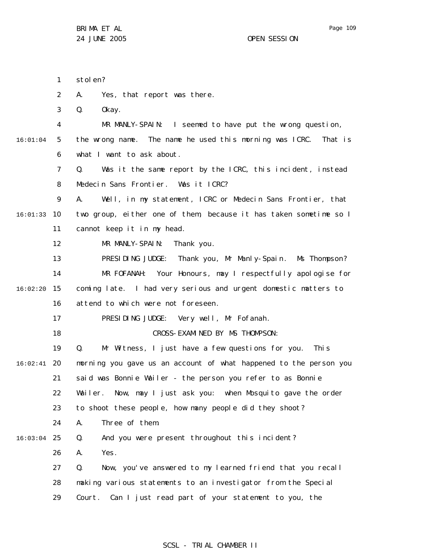1 2 3 4 5 6 7 8 9 10 16:01:33 11 12 13 14 15 16:02:20 16 17 18 19 20 16:02:41 21 22 23 24 25 16:03:04 26 27 28 29 16:01:04 stolen? A. Yes, that report was there. Q. Okay. MR MANLY-SPAIN: I seemed to have put the wrong question, the wrong name. The name he used this morning was ICRC. That is what I want to ask about. Q. Was it the same report by the ICRC, this incident, instead Medecin Sans Frontier. Was it ICRC? A. Well, in my statement, ICRC or Medecin Sans Frontier, that two group, either one of them, because it has taken sometime so I cannot keep it in my head. MR MANLY-SPAIN: Thank you. PRESIDING JUDGE: Thank you, Mr Manly-Spain. Ms Thompson? MR FOFANAH: Your Honours, may I respectfully apologise for coming late. I had very serious and urgent domestic matters to attend to which were not foreseen. PRESIDING JUDGE: Very well, Mr Fofanah. CROSS-EXAMINED BY MS THOMPSON: Q. Mr Witness, I just have a few questions for you. This morning you gave us an account of what happened to the person you said was Bonnie Wailer - the person you refer to as Bonnie Wailer. Now, may I just ask you: when Mosquito gave the order to shoot these people, how many people did they shoot? A. Three of them. Q. And you were present throughout this incident? A. Yes. Q. Now, you've answered to my learned friend that you recall making various statements to an investigator from the Special Court. Can I just read part of your statement to you, the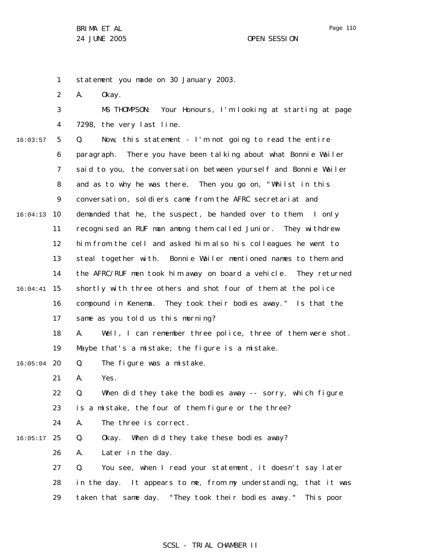1 statement you made on 30 January 2003.

2 A. Okay.

3 4 MS THOMPSON: Your Honours, I'm looking at starting at page 7298, the very last line.

5 6 7 8 9 10 16:04:13 11 12 13 14 15 16:04:41 16 17 18 19 20 16:05:04 21 22 23 24 25 16:05:17 26 27 28 29 16:03:57 Q. Now, this statement - I'm not going to read the entire paragraph. There you have been talking about what Bonnie Wailer said to you, the conversation between yourself and Bonnie Wailer and as to why he was there. Then you go on, "Whilst in this conversation, soldiers came from the AFRC secretariat and demanded that he, the suspect, be handed over to them. I only recognised an RUF man among them called Junior. They withdrew him from the cell and asked him also his colleagues he went to steal together with. Bonnie Wailer mentioned names to them and the AFRC/RUF men took him away on board a vehicle. They returned shortly with three others and shot four of them at the police compound in Kenema. They took their bodies away." Is that the same as you told us this morning? A. Well, I can remember three police, three of them were shot. Maybe that's a mistake; the figure is a mistake. Q. The figure was a mistake. A. Yes. Q. When did they take the bodies away -- sorry, which figure is a mistake, the four of them figure or the three? A. The three is correct. Q. Okay. When did they take these bodies away? A. Later in the day. Q. You see, when I read your statement, it doesn't say later in the day. It appears to me, from my understanding, that it was taken that same day. "They took their bodies away." This poor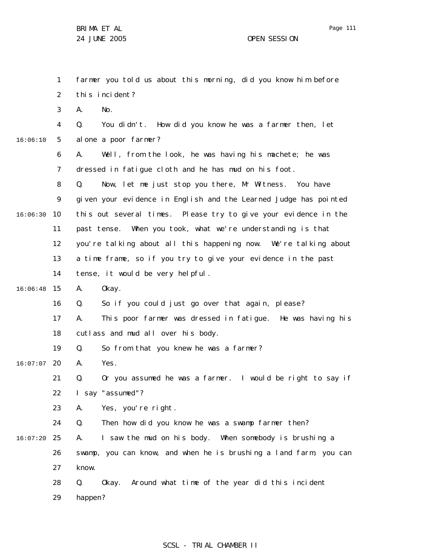|          | $\mathbf{1}$   | farmer you told us about this morning, did you know him before    |  |  |
|----------|----------------|-------------------------------------------------------------------|--|--|
|          | $\overline{2}$ | this incident?                                                    |  |  |
|          | 3              | No.<br>А.                                                         |  |  |
|          | 4              | You didn't. How did you know he was a farmer then, let<br>Q.      |  |  |
| 16:06:10 | 5              | al one a poor farmer?                                             |  |  |
|          | 6              | Well, from the look, he was having his machete; he was<br>А.      |  |  |
|          | $\overline{7}$ | dressed in fatigue cloth and he has mud on his foot.              |  |  |
|          | 8              | Now, let me just stop you there, Mr Witness. You have<br>Q.       |  |  |
|          | 9              | given your evidence in English and the Learned Judge has pointed  |  |  |
| 16:06:30 | 10             | this out several times. Please try to give your evidence in the   |  |  |
|          | 11             | past tense. When you took, what we're understanding is that       |  |  |
|          | 12             | you're talking about all this happening now. We're talking about  |  |  |
|          | 13             | a time frame, so if you try to give your evidence in the past     |  |  |
|          | 14             | tense, it would be very helpful.                                  |  |  |
| 16:06:48 | 15             | А.<br>0kay.                                                       |  |  |
|          | 16             | So if you could just go over that again, please?<br>Q.            |  |  |
|          | 17             | This poor farmer was dressed in fatigue. He was having his<br>А.  |  |  |
|          | 18             | cutlass and mud all over his body.                                |  |  |
|          | 19             | So from that you knew he was a farmer?<br>Q.                      |  |  |
| 16:07:07 | 20             | Yes.<br>А.                                                        |  |  |
|          | 21             | Or you assumed he was a farmer. I would be right to say if<br>Q.  |  |  |
|          | 22             | I say "assumed"?                                                  |  |  |
|          | 23             | Yes, you're right.<br>Α.                                          |  |  |
|          | 24             | Then how did you know he was a swamp farmer then?<br>Q.           |  |  |
| 16:07:20 | 25             | I saw the mud on his body. When somebody is brushing a<br>А.      |  |  |
|          | 26             | swamp, you can know, and when he is brushing a land farm, you can |  |  |
|          | 27             | know.                                                             |  |  |
|          | 28             | Okay. Around what time of the year did this incident<br>Q.        |  |  |
|          | 29             | happen?                                                           |  |  |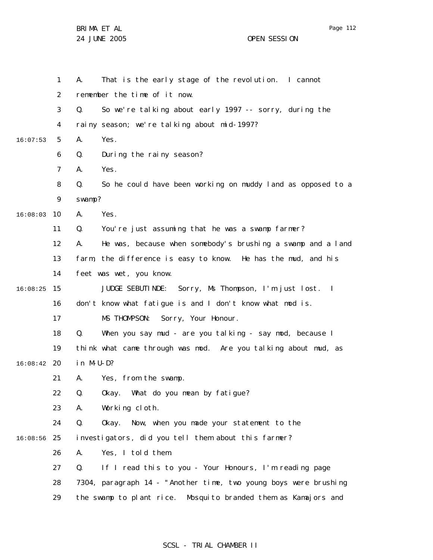Page 112

|          | 1  | А.           | That is the early stage of the revolution. I cannot               |
|----------|----|--------------|-------------------------------------------------------------------|
|          | 2  |              | remember the time of it now.                                      |
|          | 3  | Q.           | So we're talking about early 1997 -- sorry, during the            |
|          | 4  |              | rainy season; we're talking about mid-1997?                       |
| 16:07:53 | 5  | А.           | Yes.                                                              |
|          | 6  | Q.           | During the rainy season?                                          |
|          | 7  | А.           | Yes.                                                              |
|          | 8  | Q.           | So he could have been working on muddy land as opposed to a       |
|          | 9  | swamp?       |                                                                   |
| 16:08:03 | 10 | А.           | Yes.                                                              |
|          | 11 | Q.           | You're just assuming that he was a swamp farmer?                  |
|          | 12 | А.           | He was, because when somebody's brushing a swamp and a land       |
|          | 13 |              | farm, the difference is easy to know. He has the mud, and his     |
|          | 14 |              | feet was wet, you know.                                           |
| 16:08:25 | 15 |              | JUDGE SEBUTINDE: Sorry, Ms Thompson, I'm just lost. I             |
|          | 16 |              | don't know what fatigue is and I don't know what mod is.          |
|          | 17 |              | MS THOMPSON: Sorry, Your Honour.                                  |
|          | 18 | Q.           | When you say mud - are you talking - say mod, because I           |
|          | 19 |              | think what came through was mod. Are you talking about mud, as    |
| 16:08:42 | 20 | $i n$ M-U-D? |                                                                   |
|          | 21 | А.           | Yes, from the swamp.                                              |
|          | 22 | Q.           | Okay. What do you mean by fatigue?                                |
|          | 23 | А.           | Working cloth.                                                    |
|          | 24 | Q.           | Now, when you made your statement to the<br>0kay.                 |
| 16:08:56 | 25 |              | investigators, did you tell them about this farmer?               |
|          | 26 | А.           | Yes, I told them.                                                 |
|          | 27 | Q.           | If I read this to you - Your Honours, I'm reading page            |
|          | 28 |              | 7304, paragraph 14 - "Another time, two young boys were brushing  |
|          | 29 |              | the swamp to plant rice.<br>Mosquito branded them as Kamajors and |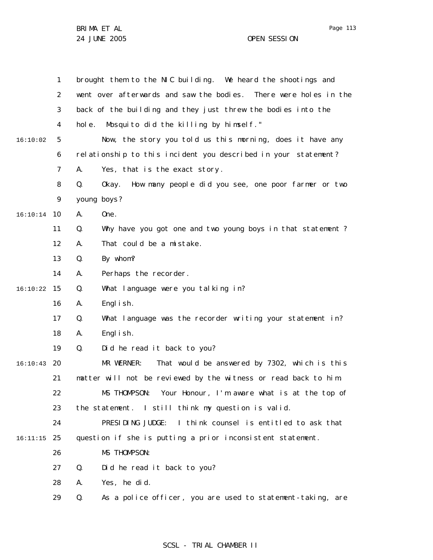|          | $\mathbf{1}$   | brought them to the NIC building. We heard the shootings and       |
|----------|----------------|--------------------------------------------------------------------|
|          | $\overline{2}$ | went over afterwards and saw the bodies. There were holes in the   |
|          | 3              | back of the building and they just threw the bodies into the       |
|          | 4              | hole.<br>Mosquito did the killing by himself."                     |
| 16:10:02 | 5              | Now, the story you told us this morning, does it have any          |
|          | 6              | relationship to this incident you described in your statement?     |
|          | 7              | Yes, that is the exact story.<br>А.                                |
|          | 8              | How many people did you see, one poor farmer or two<br>Q.<br>0kay. |
|          | 9              | young boys?                                                        |
| 16:10:14 | 10             | One.<br>А.                                                         |
|          | 11             | Q.<br>Why have you got one and two young boys in that statement?   |
|          | 12             | That could be a mistake.<br>А.                                     |
|          | 13             | Q.<br>By whom?                                                     |
|          | 14             | Perhaps the recorder.<br>А.                                        |
| 16:10:22 | 15             | What language were you talking in?<br>Q.                           |
|          | 16             | Engl i sh.<br>А.                                                   |
|          | 17             | What language was the recorder writing your statement in?<br>Q.    |
|          | 18             | Engl i sh.<br>А.                                                   |
|          | 19             | Q.<br>Did he read it back to you?                                  |
| 16:10:43 | 20             | MR WERNER:<br>That would be answered by 7302, which is this        |
|          | 21             | matter will not be reviewed by the witness or read back to him.    |
|          | 22             | MS THOMPSON: Your Honour, I'm aware what is at the top of          |
|          | 23             | the statement. I still think my question is valid.                 |
|          | 24             | PRESIDING JUDGE:<br>I think counsel is entitled to ask that        |
| 16:11:15 | 25             | question if she is putting a prior inconsistent statement.         |
|          | 26             | MS THOMPSON:                                                       |
|          | 27             | Did he read it back to you?<br>Q.                                  |
|          | 28             | Yes, he did.<br>А.                                                 |
|          | 29             | As a police officer, you are used to statement-taking, are<br>Q.   |

## SCSL - TRIAL CHAMBER II

Page 113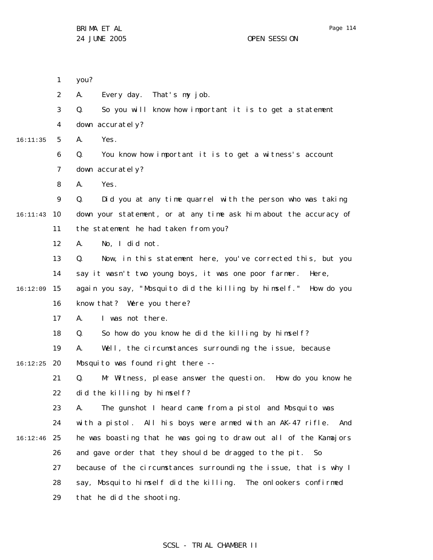1 2 3 4 5 6 7 8 9 10 16:11:43 11 12 13 14 15 16:12:09 16 17 18 19 20 16:12:25 21 22 23 24 25 16:12:46 26 27 28 29 16:11:35 you? A. Every day. That's my job. Q. So you will know how important it is to get a statement down accurately? A. Yes. Q. You know how important it is to get a witness's account down accurately? A. Yes. Q. Did you at any time quarrel with the person who was taking down your statement, or at any time ask him about the accuracy of the statement he had taken from you? A. No, I did not. Q. Now, in this statement here, you've corrected this, but you say it wasn't two young boys, it was one poor farmer. Here, again you say, "Mosquito did the killing by himself." How do you know that? Were you there? A. I was not there. Q. So how do you know he did the killing by himself? A. Well, the circumstances surrounding the issue, because Mosquito was found right there --Q. Mr Witness, please answer the question. How do you know he did the killing by himself? A. The gunshot I heard came from a pistol and Mosquito was with a pistol. All his boys were armed with an AK-47 rifle. And he was boasting that he was going to draw out all of the Kamajors and gave order that they should be dragged to the pit. So because of the circumstances surrounding the issue, that is why I say, Mosquito himself did the killing. The onlookers confirmed that he did the shooting.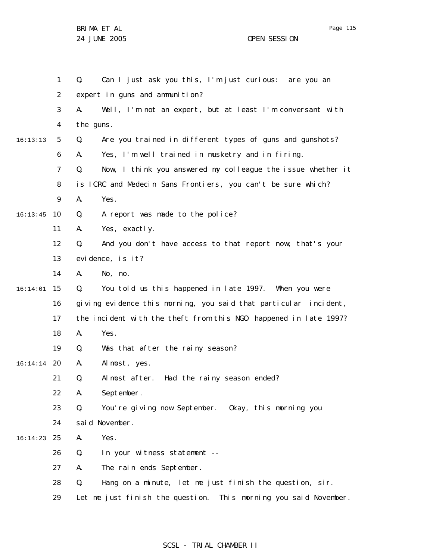|          | $\mathbf{1}$   | Can I just ask you this, I'm just curious: are you an<br>Q.         |  |  |  |
|----------|----------------|---------------------------------------------------------------------|--|--|--|
|          | 2              | expert in guns and ammunition?                                      |  |  |  |
|          | 3              | Well, I'm not an expert, but at least I'm conversant with<br>А.     |  |  |  |
|          | $\overline{4}$ | the guns.                                                           |  |  |  |
| 16:13:13 | 5              | Are you trained in different types of guns and gunshots?<br>Q.      |  |  |  |
|          | 6              | Yes, I'm well trained in musketry and in firing.<br>А.              |  |  |  |
|          | 7              | Now, I think you answered my colleague the issue whether it<br>Q.   |  |  |  |
|          | 8              | is ICRC and Medecin Sans Frontiers, you can't be sure which?        |  |  |  |
|          | 9              | Yes.<br>А.                                                          |  |  |  |
| 16:13:45 | 10             | A report was made to the police?<br>Q.                              |  |  |  |
|          | 11             | Yes, exactly.<br>Α.                                                 |  |  |  |
|          | 12             | Q.<br>And you don't have access to that report now; that's your     |  |  |  |
|          | 13             | evidence, is it?                                                    |  |  |  |
|          | 14             | No, no.<br>А.                                                       |  |  |  |
| 16:14:01 | 15             | You told us this happened in late 1997. When you were<br>Q.         |  |  |  |
|          | 16             | giving evidence this morning, you said that particular incident,    |  |  |  |
|          | 17             | the incident with the theft from this NGO happened in late 1997?    |  |  |  |
|          | 18             | Yes.<br>А.                                                          |  |  |  |
|          | 19             | Was that after the rainy season?<br>Q.                              |  |  |  |
| 16:14:14 | 20             | Almost, yes.<br>Α.                                                  |  |  |  |
|          | 21             | Had the rainy season ended?<br>Q.<br>Almost after.                  |  |  |  |
|          | 22             | September.<br>А.                                                    |  |  |  |
|          | 23             | Q.<br>You're giving now September. Okay, this morning you           |  |  |  |
|          | 24             | said November.                                                      |  |  |  |
| 16:14:23 | 25             | Yes.<br>Α.                                                          |  |  |  |
|          | 26             | Q.<br>In your witness statement --                                  |  |  |  |
|          | 27             | The rain ends September.<br>А.                                      |  |  |  |
|          | 28             | Q.<br>Hang on a minute, let me just finish the question, sir.       |  |  |  |
|          | 29             | Let me just finish the question.<br>This morning you said November. |  |  |  |

## SCSL - TRIAL CHAMBER II

Page 115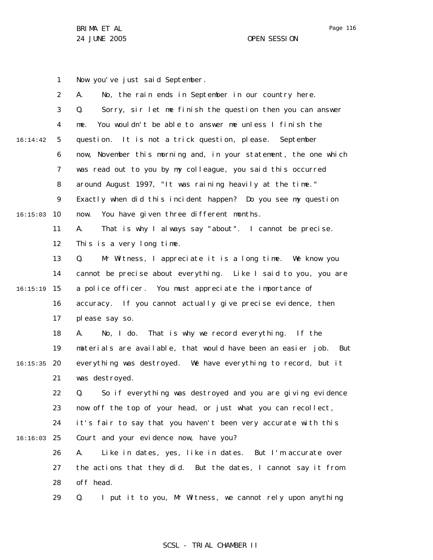1 2 3 4 5 6 7 8 9 10 16:15:03 11 12 13 14 15 16:15:19 16 17 18 19 20 16:15:35 21 22 23 24 25 16:16:03 26 27 28 29 16:14:42 Now you've just said September. A. No, the rain ends in September in our country here. Q. Sorry, sir let me finish the question then you can answer me. You wouldn't be able to answer me unless I finish the question. It is not a trick question, please. September now, November this morning and, in your statement, the one which was read out to you by my colleague, you said this occurred around August 1997, "It was raining heavily at the time." Exactly when did this incident happen? Do you see my question now. You have given three different months. A. That is why I always say "about". I cannot be precise. This is a very long time. Q. Mr Witness, I appreciate it is a long time. We know you cannot be precise about everything. Like I said to you, you are a police officer. You must appreciate the importance of accuracy. If you cannot actually give precise evidence, then please say so. A. No, I do. That is why we record everything. If the materials are available, that would have been an easier job. But everything was destroyed. We have everything to record, but it was destroyed. Q. So if everything was destroyed and you are giving evidence now off the top of your head, or just what you can recollect, it's fair to say that you haven't been very accurate with this Court and your evidence now, have you? A. Like in dates, yes, like in dates. But I'm accurate over the actions that they did. But the dates, I cannot say it from off head. Q. I put it to you, Mr Witness, we cannot rely upon anything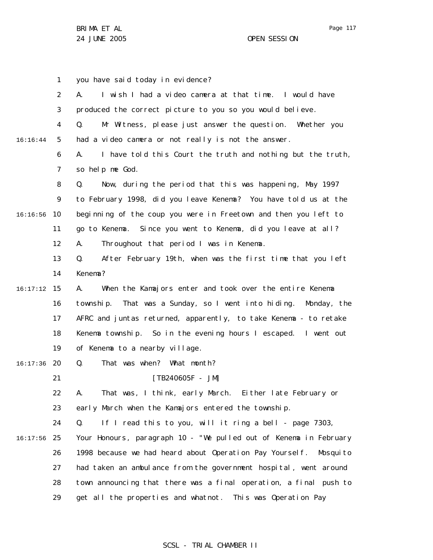1 2 3 4 5 6 7 8 9 10 16:16:56 11 12 13 14 15 16:17:12 16 17 18 19 20 16:17:36 21 22 23 24 25 16:17:56 26 27 28 29 16:16:44 you have said today in evidence? A. I wish I had a video camera at that time. I would have produced the correct picture to you so you would believe. Q. Mr Witness, please just answer the question. Whether you had a video camera or not really is not the answer. A. I have told this Court the truth and nothing but the truth, so help me God. Q. Now, during the period that this was happening, May 1997 to February 1998, did you leave Kenema? You have told us at the beginning of the coup you were in Freetown and then you left to go to Kenema. Since you went to Kenema, did you leave at all? A. Throughout that period I was in Kenema. Q. After February 19th, when was the first time that you left Kenema? A. When the Kamajors enter and took over the entire Kenema township. That was a Sunday, so I went into hiding. Monday, the AFRC and juntas returned, apparently, to take Kenema - to retake Kenema township. So in the evening hours I escaped. I went out of Kenema to a nearby village. Q. That was when? What month?  $[TB240605F - JM]$ A. That was, I think, early March. Either late February or early March when the Kamajors entered the township. Q. If I read this to you, will it ring a bell - page 7303, Your Honours, paragraph 10 - "We pulled out of Kenema in February 1998 because we had heard about Operation Pay Yoursel f. Mosquito had taken an ambulance from the government hospital, went around town announcing that there was a final operation, a final push to get all the properties and whatnot. This was Operation Pay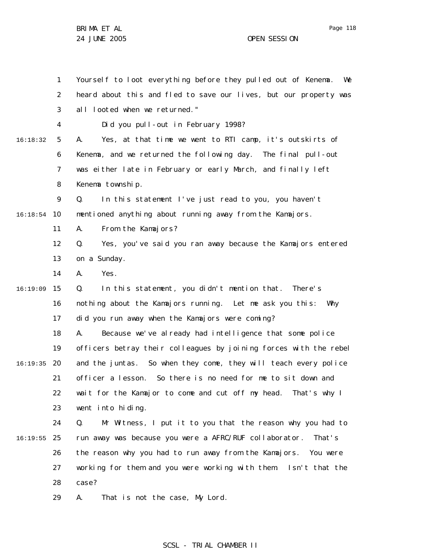1 2 3 4 5 6 7 8 9 10 16:18:54 11 12 13 14 15 16:19:09 16 17 18 19 20 16:19:35 21 22 23 24 25 16:19:55 26 27 28 16:18:32 Yourself to loot everything before they pulled out of Kenema. We heard about this and fled to save our lives, but our property was all looted when we returned." Did you pull-out in February 1998? A. Yes, at that time we went to RTI camp, it's outskirts of Kenema, and we returned the following day. The final pull-out was either late in February or early March, and finally left Kenema township. Q. In this statement I've just read to you, you haven't mentioned anything about running away from the Kamajors. A. From the Kamajors? Q. Yes, you've said you ran away because the Kamajors entered on a Sunday. A. Yes. Q. In this statement, you didn't mention that. There's nothing about the Kamajors running. Let me ask you this: Why did you run away when the Kamajors were coming? A. Because we've already had intelligence that some police officers betray their colleagues by joining forces with the rebel and the juntas. So when they come, they will teach every police officer a lesson. So there is no need for me to sit down and wait for the Kamajor to come and cut off my head. That's why I went into hiding. Q. Mr Witness, I put it to you that the reason why you had to run away was because you were a AFRC/RUF collaborator. That's the reason why you had to run away from the Kamajors. You were working for them and you were working with them. Isn't that the case?

29 A. That is not the case, My Lord.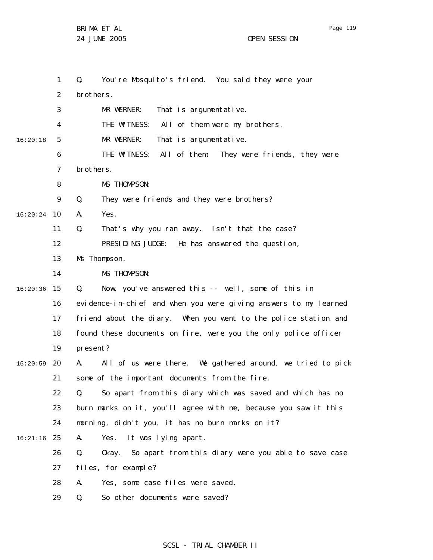Page 119

|          | 1  | You're Mosquito's friend. You said they were your<br>Q.                     |
|----------|----|-----------------------------------------------------------------------------|
|          | 2  | brothers.                                                                   |
|          | 3  | That is argumentative.<br>MR WERNER:                                        |
|          | 4  | THE WITNESS:<br>All of them were my brothers.                               |
| 16:20:18 | 5  | MR WERNER:<br>That is argumentative.                                        |
|          | 6  | THE WI TNESS:<br>All of them. They were friends, they were                  |
|          | 7  | brothers.                                                                   |
|          | 8  | MS THOMPSON:                                                                |
|          | 9  | Q.<br>They were friends and they were brothers?                             |
| 16:20:24 | 10 | Yes.<br>А.                                                                  |
|          | 11 | Q.<br>That's why you ran away. Isn't that the case?                         |
|          | 12 | PRESIDING JUDGE:<br>He has answered the question,                           |
|          | 13 | Ms Thompson.                                                                |
|          | 14 | MS THOMPSON:                                                                |
| 16:20:36 | 15 | Now, you've answered this -- well, some of this in<br>Q.                    |
|          | 16 | evidence-in-chief and when you were giving answers to my learned            |
|          | 17 | friend about the diary. When you went to the police station and             |
|          | 18 | found these documents on fire, were you the only police officer             |
|          | 19 | present?                                                                    |
| 16:20:59 | 20 | All of us were there. We gathered around, we tried to pick<br>А.            |
|          | 21 | some of the important documents from the fire.                              |
|          | 22 | So apart from this diary which was saved and which has no<br>$\mathbf{0}$ . |
|          | 23 | burn marks on it, you'll agree with me, because you saw it this             |
|          | 24 | morning, didn't you, it has no burn marks on it?                            |
| 16:21:16 | 25 | Yes. It was lying apart.<br>А.                                              |
|          | 26 | Okay. So apart from this diary were you able to save case<br>Q.             |
|          | 27 | files, for example?                                                         |
|          | 28 | Yes, some case files were saved.<br>А.                                      |
|          | 29 | So other documents were saved?<br>Q.                                        |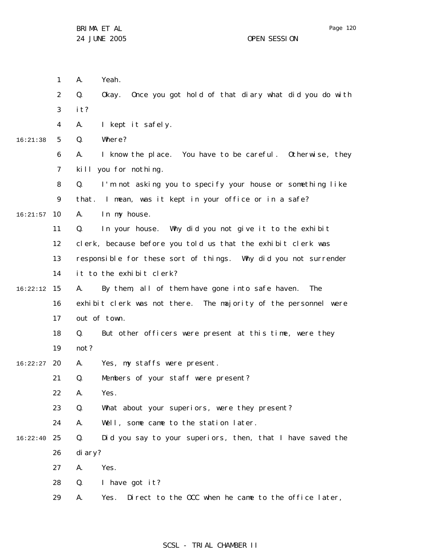|          | 1  | А.      | Yeah.                                                           |
|----------|----|---------|-----------------------------------------------------------------|
|          | 2  | Q.      | Once you got hold of that diary what did you do with<br>0kay.   |
|          | 3  | it?     |                                                                 |
|          | 4  | А.      | I kept it safely.                                               |
| 16:21:38 | 5  | Q.      | Where?                                                          |
|          | 6  | А.      | I know the place. You have to be careful. Otherwise, they       |
|          | 7  |         | kill you for nothing.                                           |
|          | 8  | Q.      | I'm not asking you to specify your house or something like      |
|          | 9  |         | that. I mean, was it kept in your office or in a safe?          |
| 16:21:57 | 10 | А.      | In my house.                                                    |
|          | 11 | Q.      | In your house. Why did you not give it to the exhibit           |
|          | 12 |         | clerk, because before you told us that the exhibit clerk was    |
|          | 13 |         | responsible for these sort of things. Why did you not surrender |
|          | 14 |         | it to the exhibit clerk?                                        |
| 16:22:12 | 15 | А.      | By them, all of them have gone into safe haven.<br>The          |
|          | 16 |         | exhibit clerk was not there. The majority of the personnel were |
|          | 17 |         | out of town.                                                    |
|          | 18 | Q.      | But other officers were present at this time, were they         |
|          | 19 | not?    |                                                                 |
| 16:22:27 | 20 | А.      | Yes, my staffs were present.                                    |
|          | 21 | Q.      | Members of your staff were present?                             |
|          | 22 | А.      | Yes.                                                            |
|          | 23 | Q.      | What about your superiors, were they present?                   |
|          | 24 | Α.      | Well, some came to the station later.                           |
| 16:22:40 | 25 | Q.      | Did you say to your superiors, then, that I have saved the      |
|          | 26 | di ary? |                                                                 |
|          | 27 | А.      | Yes.                                                            |
|          | 28 | Q.      | I have got it?                                                  |
|          | 29 | А.      | Direct to the OCC when he came to the office later,<br>Yes.     |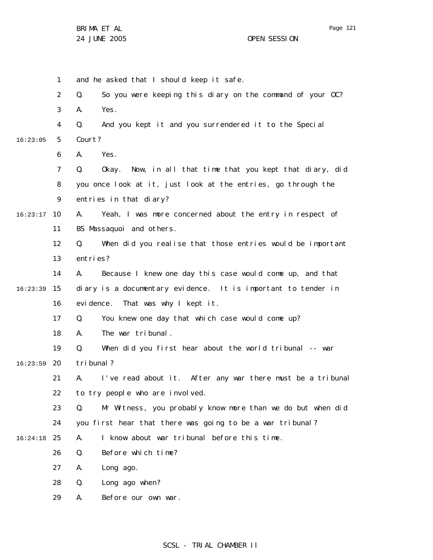Page 121

1 2 3 4 5 6 7 8 9 10 16:23:17 11 12 13 14 15 16:23:39 16 17 18 19 20 16:23:59 21 22 23 24 25 16:24:18 26 27 28 29 16:23:05 and he asked that I should keep it safe. Q. So you were keeping this diary on the command of your OC? A. Yes. Q. And you kept it and you surrendered it to the Special Court? A. Yes. Q. Okay. Now, in all that time that you kept that diary, did you once look at it, just look at the entries, go through the entries in that diary? A. Yeah, I was more concerned about the entry in respect of BS Massaquoi and others. Q. When did you realise that those entries would be important entries? A. Because I knew one day this case would come up, and that diary is a documentary evidence. It is important to tender in evidence. That was why I kept it. Q. You knew one day that which case would come up? A. The war tribunal. Q. When did you first hear about the world tribunal -- war tribunal? A. I've read about it. After any war there must be a tribunal to try people who are involved. Q. Mr Witness, you probably know more than we do but when did you first hear that there was going to be a war tribunal? A. I know about war tribunal before this time. Q. Before which time? A. Long ago. Q. Long ago when? A. Before our own war.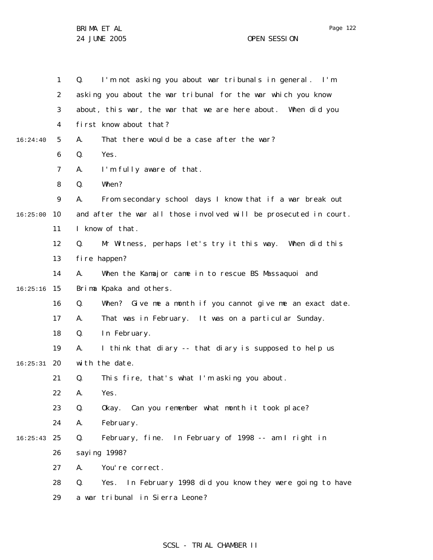|          | $\mathbf{1}$   | I'm not asking you about war tribunals in general. I'm<br>Q.      |
|----------|----------------|-------------------------------------------------------------------|
|          | 2              | asking you about the war tribunal for the war which you know      |
|          | 3              | about, this war, the war that we are here about. When did you     |
|          | 4              | first know about that?                                            |
| 16:24:40 | 5              | That there would be a case after the war?<br>А.                   |
|          | 6              | Yes.<br>Q.                                                        |
|          | $\overline{7}$ | А.<br>I'm fully aware of that.                                    |
|          | 8              | When?<br>Q.                                                       |
|          | 9              | From secondary school days I know that if a war break out<br>А.   |
| 16:25:00 | 10             | and after the war all those involved will be prosecuted in court. |
|          | 11             | I know of that.                                                   |
|          | 12             | Mr Witness, perhaps let's try it this way. When did this<br>Q.    |
|          | 13             | fi re happen?                                                     |
|          | 14             | When the Kamajor came in to rescue BS Massaquoi and<br>А.         |
| 16:25:16 | 15             | Brima Kpaka and others.                                           |
|          | 16             | When? Give me a month if you cannot give me an exact date.<br>Q.  |
|          | 17             | That was in February. It was on a particular Sunday.<br>А.        |
|          | 18             | In February.<br>Q.                                                |
|          | 19             | I think that diary -- that diary is supposed to help us<br>А.     |
| 16:25:31 | 20             | with the date.                                                    |
|          | 21             | This fire, that's what I'm asking you about.<br>Q.                |
|          | 22             | А.<br>Yes.                                                        |
|          | 23             | Q.<br>Okay. Can you remember what month it took place?            |
|          | 24             | Α.<br>February.                                                   |
| 16:25:43 | 25             | Q.<br>February, fine. In February of 1998 -- am I right in        |
|          | 26             | saying 1998?                                                      |
|          | 27             | Α.<br>You're correct.                                             |
|          | 28             | Yes. In February 1998 did you know they were going to have<br>Q.  |
|          | 29             | a war tribunal in Sierra Leone?                                   |

## SCSL - TRIAL CHAMBER II

Page 122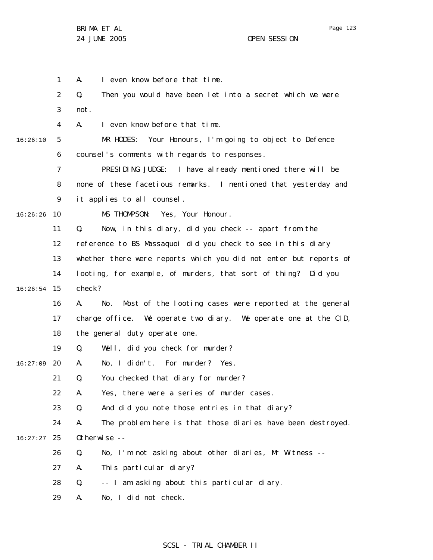1 2 3 4 5 6 7 8 9 10 11 12 13 14 15 16:26:54 16 17 18 19 20 16:27:09 21 22 23 24 25 16:27:27 26 27 28 29 16:26:10 16:26:26 A. I even know before that time. Q. Then you would have been let into a secret which we were not. A. I even know before that time. MR HODES: Your Honours, I'm going to object to Defence counsel's comments with regards to responses. PRESIDING JUDGE: I have already mentioned there will be none of these facetious remarks. I mentioned that yesterday and it applies to all counsel. MS THOMPSON: Yes, Your Honour. Q. Now, in this diary, did you check -- apart from the reference to BS Massaquoi did you check to see in this diary whether there were reports which you did not enter but reports of looting, for example, of murders, that sort of thing? Did you check? A. No. Most of the looting cases were reported at the general charge office. We operate two diary. We operate one at the CID, the general duty operate one. Q. Well, did you check for murder? A. No, I didn't. For murder? Yes. Q. You checked that diary for murder? A. Yes, there were a series of murder cases. Q. And did you note those entries in that diary? A. The problem here is that those diaries have been destroyed. Otherwise --Q. No, I'm not asking about other diaries, Mr Witness -- A. This particular diary? Q. -- I am asking about this particular diary. A. No, I did not check.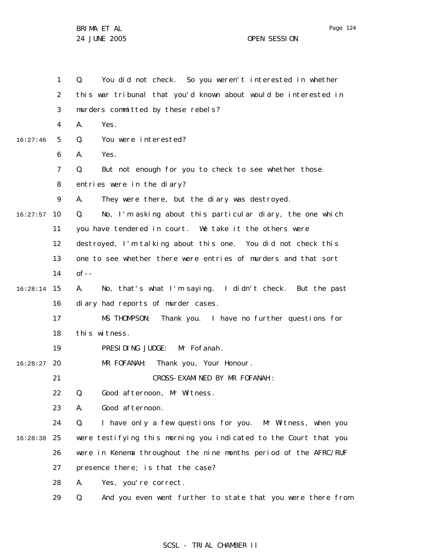1 2 3 4 5 6 7 8 9 10 16:27:57 11 12 13 14 15 16:28:14 16 17 18 19 20 16:28:27 21 22 23 24 25 16:28:38 26 27 28 29 16:27:46 Q. You did not check. So you weren't interested in whether this war tribunal that you'd known about would be interested in murders committed by these rebels? A. Yes. Q. You were interested? A. Yes. Q. But not enough for you to check to see whether those entries were in the diary? A. They were there, but the diary was destroyed. Q. No, I'm asking about this particular diary, the one which you have tendered in court. We take it the others were destroyed, I'm talking about this one. You did not check this one to see whether there were entries of murders and that sort  $of --$ A. No, that's what I'm saying. I didn't check. But the past diary had reports of murder cases. MS THOMPSON: Thank you. I have no further questions for this witness. PRESIDING JUDGE: Mr Fofanah. MR FOFANAH: Thank you, Your Honour. CROSS-EXAMINED BY MR FOFANAH : Q. Good afternoon, Mr Witness. A. Good afternoon. Q. I have only a few questions for you. Mr Witness, when you were testifying this morning you indicated to the Court that you were in Kenema throughout the nine months period of the AFRC/RUF presence there; is that the case? A. Yes, you're correct. Q. And you even went further to state that you were there from

### SCSL - TRIAL CHAMBER II

Page 124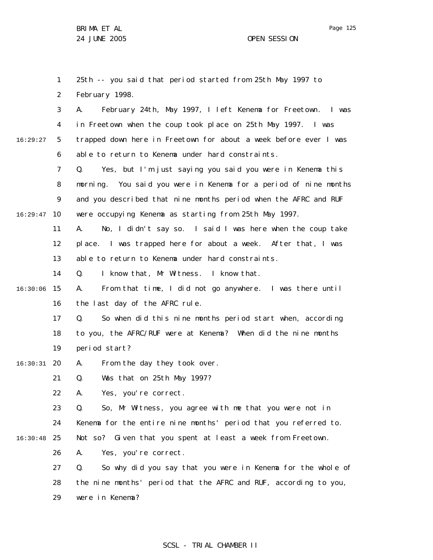1 2 25th -- you said that period started from 25th May 1997 to February 1998.

3 4 5 6 16:29:27 A. February 24th, May 1997, I left Kenema for Freetown. I was in Freetown when the coup took place on 25th May 1997. I was trapped down here in Freetown for about a week before ever I was able to return to Kenema under hard constraints.

7 8 9 10 16:29:47 Q. Yes, but I'm just saying you said you were in Kenema this morning. You said you were in Kenema for a period of nine months and you described that nine months period when the AFRC and RUF were occupying Kenema as starting from 25th May 1997.

> 11 12 13 A. No, I didn't say so. I said I was here when the coup take place. I was trapped here for about a week. After that, I was able to return to Kenema under hard constraints.

14 Q. I know that, Mr Witness. I know that.

15 16:30:06 16 A. From that time, I did not go anywhere. I was there until the last day of the AFRC rule.

> 17 18 19 Q. So when did this nine months period start when, according to you, the AFRC/RUF were at Kenema? When did the nine months period start?

20 16:30:31 A. From the day they took over.

> 21 Q. Was that on 25th May 1997?

22 A. Yes, you're correct.

23 24 25 16:30:48 Q. So, Mr Witness, you agree with me that you were not in Kenema for the entire nine months' period that you referred to. Not so? Given that you spent at least a week from Freetown.

26 A. Yes, you're correct.

27 28 29 Q. So why did you say that you were in Kenema for the whole of the nine months' period that the AFRC and RUF, according to you, were in Kenema?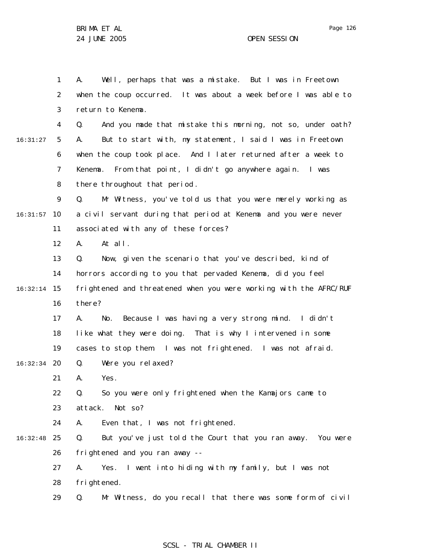Page 126

1 2 3 4 5 6 7 8 9 10 16:31:57 11 12 13 14 15 16:32:14 16 17 18 19 20 16:32:34 21 22 23 24 25 16:32:48 26 27 28 29 16:31:27 A. Well, perhaps that was a mistake. But I was in Freetown when the coup occurred. It was about a week before I was able to return to Kenema. Q. And you made that mistake this morning, not so, under oath? A. But to start with, my statement, I said I was in Freetown when the coup took place. And I later returned after a week to Kenema. From that point, I didn't go anywhere again. I was there throughout that period . Q. Mr Witness, you've told us that you were merely working as a civil servant during that period at Kenema and you were never associated with any of these forces? A. At all. Q. Now, given the scenario that you've described, kind of horrors according to you that pervaded Kenema, did you feel frightened and threatened when you were working with the AFRC/RUF there? A. No. Because I was having a very strong mind. I didn't like what they were doing. That is why I intervened in some cases to stop them. I was not frightened. I was not afraid. Q. Were you relaxed? A. Yes. Q. So you were only frightened when the Kamajors came to attack. Not so? A. Even that, I was not frightened. Q. But you've just told the Court that you ran away. You were frightened and you ran away -- A. Yes. I went into hiding with my family, but I was not frightened. Q. Mr Witness, do you recall that there was some form of civil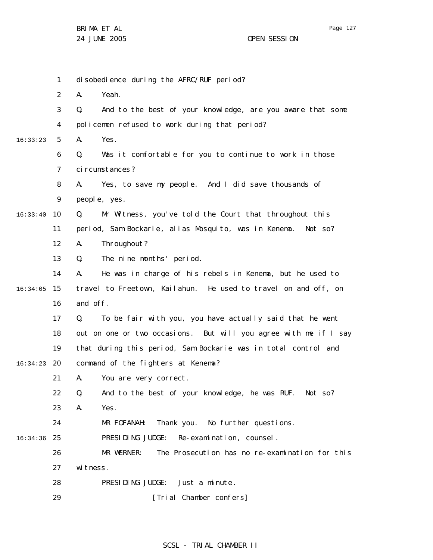1 2 3 4 5 6 7 8 9 10 16:33:40 11 12 13 14 15 16:34:05 16 17 18 19 20 16:34:23 21 22 23 24 25 16:34:36 26 27 28 16:33:23 disobedience during the AFRC/RUF period? A. Yeah. Q. And to the best of your knowledge, are you aware that some policemen refused to work during that period? A. Yes. Q. Was it comfortable for you to continue to work in those circumstances? A. Yes, to save my people. And I did save thousands of people, yes. Q. Mr Witness, you've told the Court that throughout this period, Sam Bockarie, alias Mosquito, was in Kenema. Not so? A. Throughout? Q. The nine months' period. A. He was in charge of his rebels in Kenema, but he used to travel to Freetown, Kailahun. He used to travel on and off, on and off. Q. To be fair with you, you have actually said that he went out on one or two occasions. But will you agree with me if I say that during this period, Sam Bockarie was in total control and command of the fighters at Kenema? A. You are very correct. Q. And to the best of your knowledge, he was RUF. Not so? A. Yes. MR FOFANAH: Thank you. No further questions. PRESIDING JUDGE: Re-examination, counsel. MR WERNER: The Prosecution has no re-examination for this witness. PRESIDING JUDGE: Just a minute.

> 29 [Trial Chamber confers]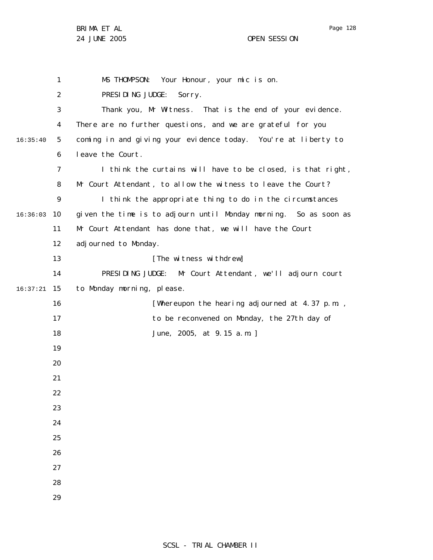Page 128

1 2 3 4 5 6 7 8 9 10 16:36:03 11 12 13 14 15 16:37:21 16 17 18 19 20 21 22 23 24 25 26 27 28 29 16:35:40 MS THOMPSON: Your Honour, your mic is on. PRESIDING JUDGE: Sorry. Thank you, Mr Witness. That is the end of your evidence. There are no further questions, and we are grateful for you coming in and giving your evidence today. You're at liberty to leave the Court. I think the curtains will have to be closed, is that right, Mr Court Attendant , to allow the witness to leave the Court? I think the appropriate thing to do in the circumstances given the time is to adjourn until Monday morning. So as soon as Mr Court Attendant has done that, we will have the Court adjourned to Monday. [The witness withdrew] PRESIDING JUDGE: Mr Court Attendant , we'll adjourn court to Monday morning, please. [Whereupon the hearing adjourned at 4.37 p.m. , to be reconvened on Monday, the 27th day of June, 2005, at 9.15 a.m. ]